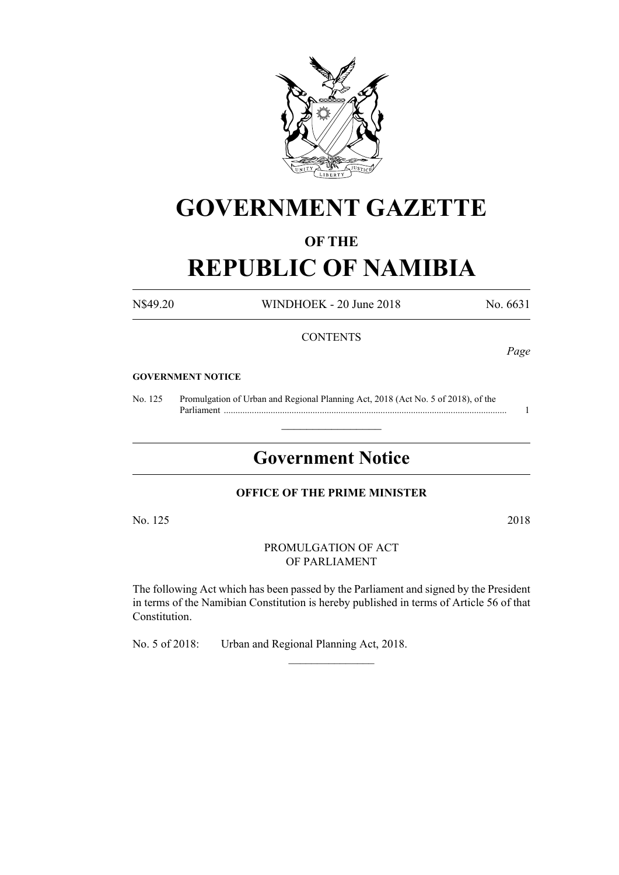

# **GOVERNMENT GAZETTE**

# **OF THE**

# **REPUBLIC OF NAMIBIA**

N\$49.20 WINDHOEK - 20 June 2018 No. 6631

# **CONTENTS**

*Page*

#### **GOVERNMENT NOTICE**

No. 125 Promulgation of Urban and Regional Planning Act, 2018 (Act No. 5 of 2018), of the Parliament ......................................................................................................................... 1

# **Government Notice**

 $\frac{1}{2}$  ,  $\frac{1}{2}$  ,  $\frac{1}{2}$  ,  $\frac{1}{2}$  ,  $\frac{1}{2}$  ,  $\frac{1}{2}$  ,  $\frac{1}{2}$ 

# **OFFICE OF THE PRIME MINISTER**

No. 125 2018

PROMULGATION OF ACT OF PARLIAMENT

The following Act which has been passed by the Parliament and signed by the President in terms of the Namibian Constitution is hereby published in terms of Article 56 of that Constitution.

 $\frac{1}{2}$ 

No. 5 of 2018: Urban and Regional Planning Act, 2018.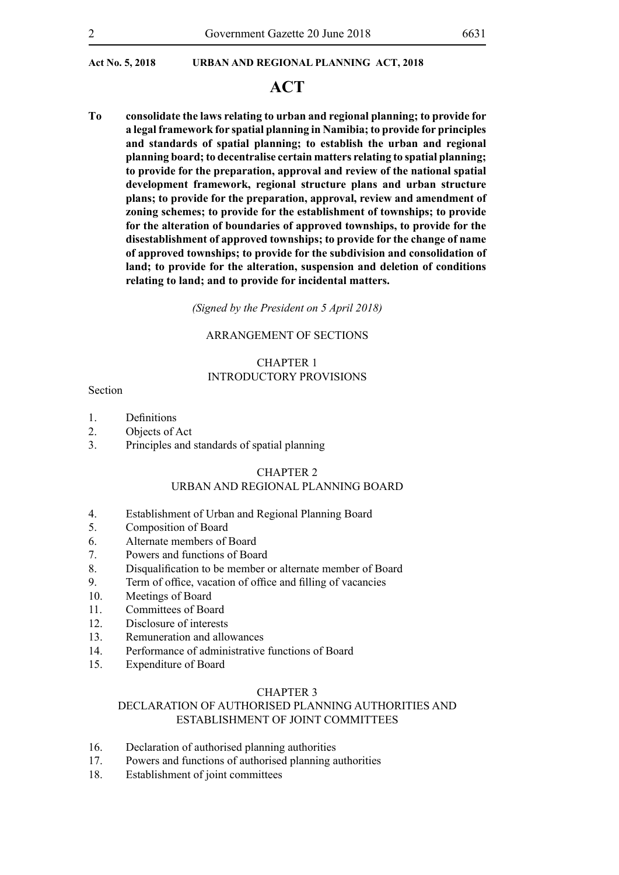# **ACT**

**To consolidate the laws relating to urban and regional planning; to provide for a legal framework for spatial planning in Namibia; to provide for principles and standards of spatial planning; to establish the urban and regional planning board; to decentralise certain matters relating to spatial planning; to provide for the preparation, approval and review of the national spatial development framework, regional structure plans and urban structure plans; to provide for the preparation, approval, review and amendment of zoning schemes; to provide for the establishment of townships; to provide for the alteration of boundaries of approved townships, to provide for the disestablishment of approved townships; to provide for the change of name of approved townships; to provide for the subdivision and consolidation of land; to provide for the alteration, suspension and deletion of conditions relating to land; and to provide for incidental matters.**

*(Signed by the President on 5 April 2018)*

#### ARRANGEMENT OF SECTIONS

# CHAPTER 1 INTRODUCTORY PROVISIONS

#### Section

- 1. Definitions
- 2. Objects of Act
- 3. Principles and standards of spatial planning

#### CHAPTER 2

# URBAN AND REGIONAL PLANNING BOARD

- 4. Establishment of Urban and Regional Planning Board
- 5. Composition of Board
- 6. Alternate members of Board
- 7. Powers and functions of Board
- 8. Disqualification to be member or alternate member of Board
- 9. Term of office, vacation of office and filling of vacancies
- 10. Meetings of Board
- 11 Committees of Board
- 12. Disclosure of interests
- 13. Remuneration and allowances
- 14. Performance of administrative functions of Board
- 15. Expenditure of Board

#### CHAPTER 3

# DECLARATION OF AUTHORISED PLANNING AUTHORITIES AND ESTABLISHMENT OF JOINT COMMITTEES

- 16. Declaration of authorised planning authorities
- 17. Powers and functions of authorised planning authorities
- 18. Establishment of joint committees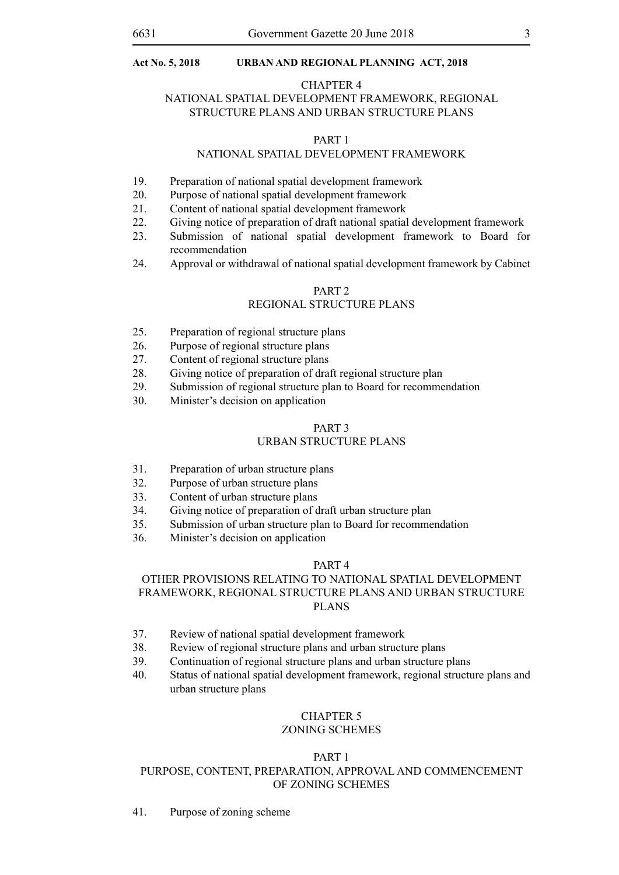#### CHAPTER 4

# NATIONAL SPATIAL DEVELOPMENT FRAMEWORK, REGIONAL STRUCTURE PLANS AND URBAN STRUCTURE PLANS

#### PART 1

# NATIONAL SPATIAL DEVELOPMENT FRAMEWORK

- 19. Preparation of national spatial development framework
- 20. Purpose of national spatial development framework
- 21. Content of national spatial development framework
- 22. Giving notice of preparation of draft national spatial development framework
- 23. Submission of national spatial development framework to Board for recommendation
- 24. Approval or withdrawal of national spatial development framework by Cabinet

#### PART 2

# REGIONAL STRUCTURE PLANS

- 25. Preparation of regional structure plans
- 26. Purpose of regional structure plans
- 27. Content of regional structure plans
- 28. Giving notice of preparation of draft regional structure plan
- 29. Submission of regional structure plan to Board for recommendation
- 30. Minister's decision on application

# PART 3

# URBAN STRUCTURE PLANS

- 31. Preparation of urban structure plans
- 32. Purpose of urban structure plans
- 33. Content of urban structure plans
- 34. Giving notice of preparation of draft urban structure plan
- 35. Submission of urban structure plan to Board for recommendation
- 36. Minister's decision on application

# PART 4

# OTHER PROVISIONS RELATING TO NATIONAL SPATIAL DEVELOPMENT FRAMEWORK, REGIONAL STRUCTURE PLANS AND URBAN STRUCTURE PLANS

- 37. Review of national spatial development framework
- 38. Review of regional structure plans and urban structure plans
- 39. Continuation of regional structure plans and urban structure plans
- 40. Status of national spatial development framework, regional structure plans and urban structure plans

# CHAPTER 5

# ZONING SCHEMES

# PART 1

# PURPOSE, CONTENT, PREPARATION, APPROVAL AND COMMENCEMENT OF ZONING SCHEMES

41. Purpose of zoning scheme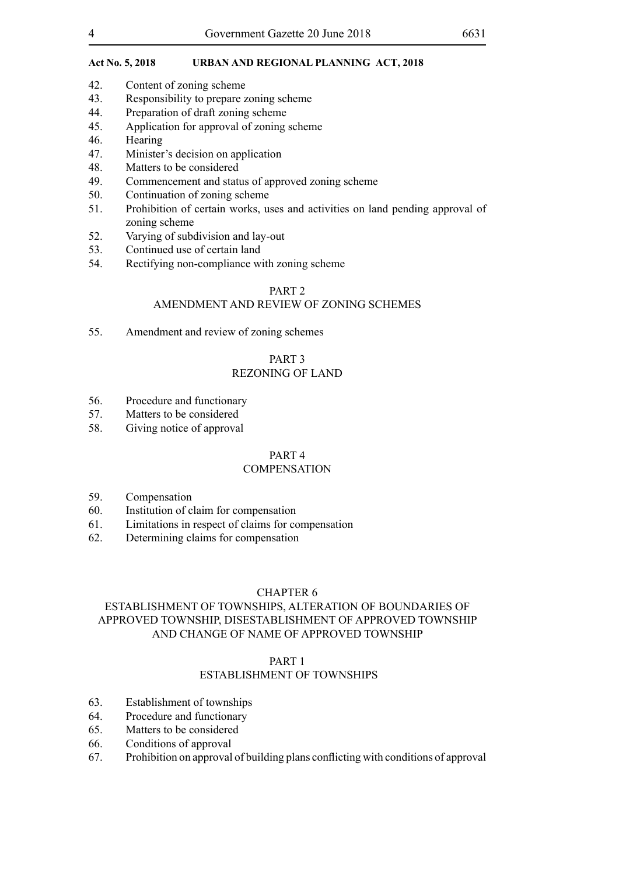- 42. Content of zoning scheme
- 43. Responsibility to prepare zoning scheme
- 44. Preparation of draft zoning scheme
- 45. Application for approval of zoning scheme
- 46. Hearing
- 47. Minister's decision on application
- 48. Matters to be considered
- 49. Commencement and status of approved zoning scheme
- 50. Continuation of zoning scheme
- 51. Prohibition of certain works, uses and activities on land pending approval of zoning scheme
- 52. Varying of subdivision and lay-out
- 53. Continued use of certain land
- 54. Rectifying non-compliance with zoning scheme

#### PART 2

# AMENDMENT AND REVIEW OF ZONING SCHEMES

55. Amendment and review of zoning schemes

# PART 3

# REZONING OF LAND

- 56. Procedure and functionary
- 57. Matters to be considered
- 58. Giving notice of approval

# PART 4

#### **COMPENSATION**

- 59. Compensation
- 60. Institution of claim for compensation
- 61. Limitations in respect of claims for compensation
- 62. Determining claims for compensation

#### CHAPTER 6

# ESTABLISHMENT OF TOWNSHIPS, ALTERATION OF BOUNDARIES OF APPROVED TOWNSHIP, DISESTABLISHMENT OF APPROVED TOWNSHIP AND CHANGE OF NAME OF APPROVED TOWNSHIP

### PART 1

# ESTABLISHMENT OF TOWNSHIPS

- 63. Establishment of townships
- 64. Procedure and functionary
- 65. Matters to be considered
- 66. Conditions of approval
- 67. Prohibition on approval of building plans conflicting with conditions of approval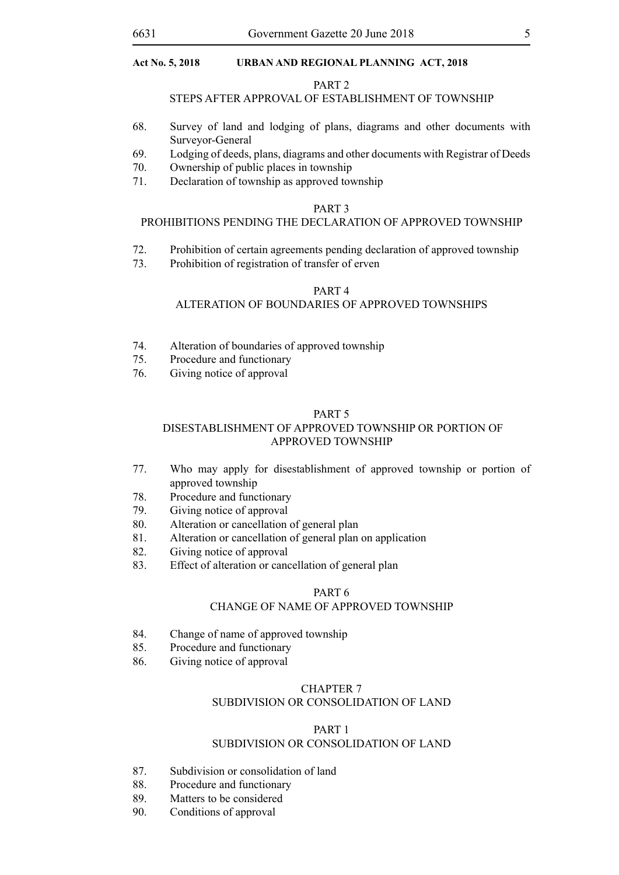#### PART 2

#### STEPS AFTER APPROVAL OF ESTABLISHMENT OF TOWNSHIP

- 68. Survey of land and lodging of plans, diagrams and other documents with Surveyor-General
- 69. Lodging of deeds, plans, diagrams and other documents with Registrar of Deeds
- 70. Ownership of public places in township
- 71. Declaration of township as approved township

#### PART 3

#### PROHIBITIONS PENDING THE DECLARATION OF APPROVED TOWNSHIP

- 72. Prohibition of certain agreements pending declaration of approved township
- 73. Prohibition of registration of transfer of erven

# PART 4

# ALTERATION OF BOUNDARIES OF APPROVED TOWNSHIPS

- 74. Alteration of boundaries of approved township
- 75. Procedure and functionary
- 76. Giving notice of approval

#### PART 5

# DISESTABLISHMENT OF APPROVED TOWNSHIP OR PORTION OF APPROVED TOWNSHIP

- 77. Who may apply for disestablishment of approved township or portion of approved township
- 78. Procedure and functionary
- 79. Giving notice of approval
- 80. Alteration or cancellation of general plan
- 81. Alteration or cancellation of general plan on application
- 82. Giving notice of approval
- 83. Effect of alteration or cancellation of general plan

#### PART 6

# CHANGE OF NAME OF APPROVED TOWNSHIP

- 84. Change of name of approved township
- 85. Procedure and functionary
- 86. Giving notice of approval

#### CHAPTER 7

# SUBDIVISION OR CONSOLIDATION OF LAND

#### PART 1 SUBDIVISION OR CONSOLIDATION OF LAND

- 87. Subdivision or consolidation of land
- 88. Procedure and functionary
- 89. Matters to be considered
- 90. Conditions of approval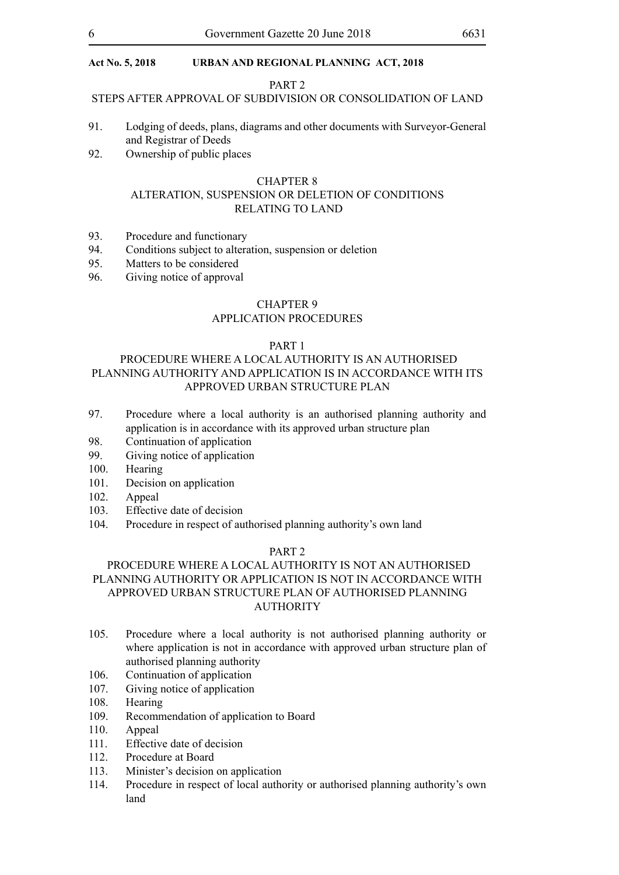#### PART 2

# STEPS AFTER APPROVAL OF SUBDIVISION OR CONSOLIDATION OF LAND

- 91. Lodging of deeds, plans, diagrams and other documents with Surveyor-General and Registrar of Deeds
- 92. Ownership of public places

#### CHAPTER 8

# ALTERATION, SUSPENSION OR DELETION OF CONDITIONS RELATING TO LAND

- 93. Procedure and functionary
- 94. Conditions subject to alteration, suspension or deletion
- 95. Matters to be considered
- 96. Giving notice of approval

# CHAPTER 9

# APPLICATION PROCEDURES

# PART 1

# PROCEDURE WHERE A LOCAL AUTHORITY IS AN AUTHORISED PLANNING AUTHORITY AND APPLICATION IS IN ACCORDANCE WITH ITS APPROVED URBAN STRUCTURE PLAN

- 97. Procedure where a local authority is an authorised planning authority and application is in accordance with its approved urban structure plan
- 98. Continuation of application
- 99. Giving notice of application
- 100. Hearing
- 101. Decision on application
- 102. Appeal
- 103. Effective date of decision
- 104. Procedure in respect of authorised planning authority's own land

# PART 2

# PROCEDURE WHERE A LOCAL AUTHORITY IS NOT AN AUTHORISED PLANNING AUTHORITY OR APPLICATION IS NOT IN ACCORDANCE WITH APPROVED URBAN STRUCTURE PLAN OF AUTHORISED PLANNING AUTHORITY

- 105. Procedure where a local authority is not authorised planning authority or where application is not in accordance with approved urban structure plan of authorised planning authority
- 106. Continuation of application
- 107. Giving notice of application<br>108. Hearing
- Hearing
- 109. Recommendation of application to Board
- 110. Appeal
- 111. Effective date of decision
- 112. Procedure at Board
- 113. Minister's decision on application
- 114. Procedure in respect of local authority or authorised planning authority's own land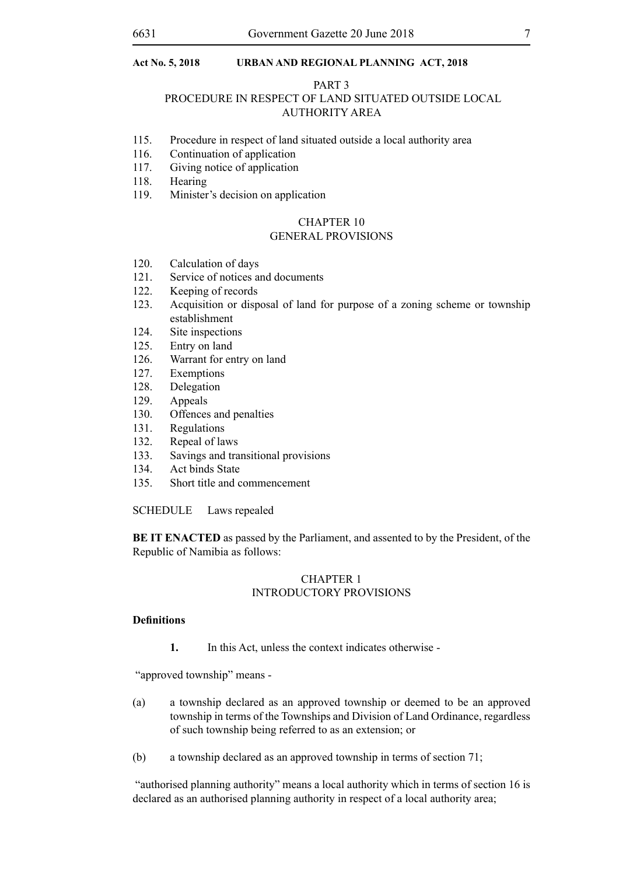#### PART 3

# PROCEDURE IN RESPECT OF LAND SITUATED OUTSIDE LOCAL AUTHORITY AREA

- 115. Procedure in respect of land situated outside a local authority area
- 116. Continuation of application
- 117. Giving notice of application
- 118. Hearing
- 119. Minister's decision on application

#### CHAPTER 10

#### GENERAL PROVISIONS

- 120. Calculation of days
- 121. Service of notices and documents<br>122. Keeping of records
- Keeping of records
- 123. Acquisition or disposal of land for purpose of a zoning scheme or township establishment
- 124. Site inspections
- 125. Entry on land
- 126. Warrant for entry on land
- 127. Exemptions
- 128. Delegation
- 129. Appeals
- 130. Offences and penalties
- 131. Regulations
- 132. Repeal of laws
- 133. Savings and transitional provisions
- 134. Act binds State
- 135. Short title and commencement

#### SCHEDULE Laws repealed

**BE IT ENACTED** as passed by the Parliament, and assented to by the President, of the Republic of Namibia as follows:

# CHAPTER 1 INTRODUCTORY PROVISIONS

# **Definitions**

**1.** In this Act, unless the context indicates otherwise -

"approved township" means -

- (a) a township declared as an approved township or deemed to be an approved township in terms of the Townships and Division of Land Ordinance, regardless of such township being referred to as an extension; or
- (b) a township declared as an approved township in terms of section 71;

 "authorised planning authority" means a local authority which in terms of section 16 is declared as an authorised planning authority in respect of a local authority area;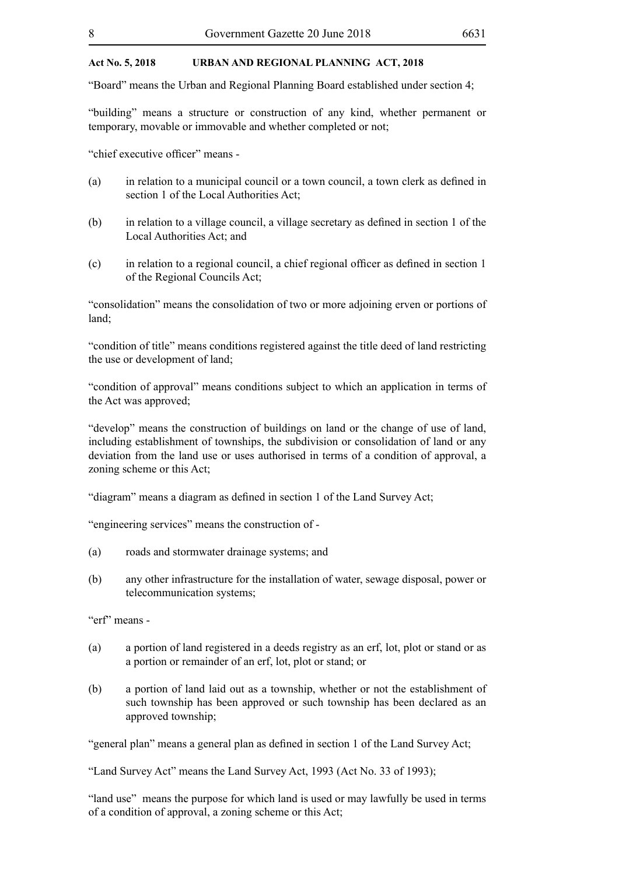"Board" means the Urban and Regional Planning Board established under section 4;

"building" means a structure or construction of any kind, whether permanent or temporary, movable or immovable and whether completed or not;

"chief executive officer" means -

- (a) in relation to a municipal council or a town council, a town clerk as defined in section 1 of the Local Authorities Act;
- (b) in relation to a village council, a village secretary as defined in section 1 of the Local Authorities Act; and
- (c) in relation to a regional council, a chief regional officer as defined in section 1 of the Regional Councils Act;

"consolidation" means the consolidation of two or more adjoining erven or portions of land;

"condition of title" means conditions registered against the title deed of land restricting the use or development of land;

"condition of approval" means conditions subject to which an application in terms of the Act was approved;

"develop" means the construction of buildings on land or the change of use of land, including establishment of townships, the subdivision or consolidation of land or any deviation from the land use or uses authorised in terms of a condition of approval, a zoning scheme or this Act;

"diagram" means a diagram as defined in section 1 of the Land Survey Act;

"engineering services" means the construction of -

- (a) roads and stormwater drainage systems; and
- (b) any other infrastructure for the installation of water, sewage disposal, power or telecommunication systems;

"erf" means -

- (a) a portion of land registered in a deeds registry as an erf, lot, plot or stand or as a portion or remainder of an erf, lot, plot or stand; or
- (b) a portion of land laid out as a township, whether or not the establishment of such township has been approved or such township has been declared as an approved township;

"general plan" means a general plan as defined in section 1 of the Land Survey Act;

"Land Survey Act" means the Land Survey Act, 1993 (Act No. 33 of 1993);

"land use" means the purpose for which land is used or may lawfully be used in terms of a condition of approval, a zoning scheme or this Act;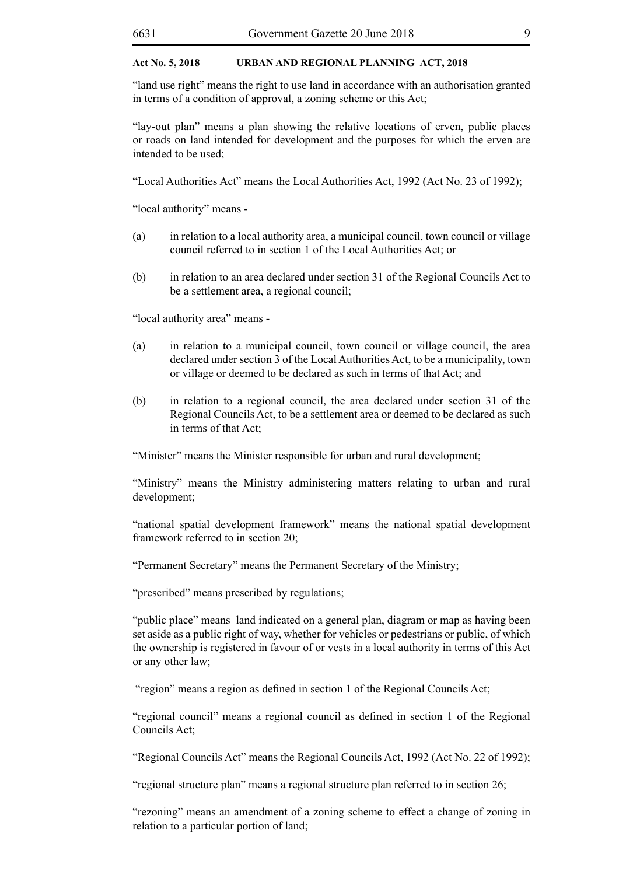"land use right" means the right to use land in accordance with an authorisation granted in terms of a condition of approval, a zoning scheme or this Act;

"lay-out plan" means a plan showing the relative locations of erven, public places or roads on land intended for development and the purposes for which the erven are intended to be used;

"Local Authorities Act" means the Local Authorities Act, 1992 (Act No. 23 of 1992);

"local authority" means -

- (a) in relation to a local authority area, a municipal council, town council or village council referred to in section 1 of the Local Authorities Act; or
- (b) in relation to an area declared under section 31 of the Regional Councils Act to be a settlement area, a regional council;

"local authority area" means -

- (a) in relation to a municipal council, town council or village council, the area declared under section 3 of the Local Authorities Act, to be a municipality, town or village or deemed to be declared as such in terms of that Act; and
- (b) in relation to a regional council, the area declared under section 31 of the Regional Councils Act, to be a settlement area or deemed to be declared as such in terms of that Act:

"Minister" means the Minister responsible for urban and rural development;

"Ministry" means the Ministry administering matters relating to urban and rural development;

"national spatial development framework" means the national spatial development framework referred to in section 20;

"Permanent Secretary" means the Permanent Secretary of the Ministry;

"prescribed" means prescribed by regulations;

"public place" means land indicated on a general plan, diagram or map as having been set aside as a public right of way, whether for vehicles or pedestrians or public, of which the ownership is registered in favour of or vests in a local authority in terms of this Act or any other law;

"region" means a region as defined in section 1 of the Regional Councils Act;

"regional council" means a regional council as defined in section 1 of the Regional Councils Act;

"Regional Councils Act" means the Regional Councils Act, 1992 (Act No. 22 of 1992);

"regional structure plan" means a regional structure plan referred to in section 26;

"rezoning" means an amendment of a zoning scheme to effect a change of zoning in relation to a particular portion of land;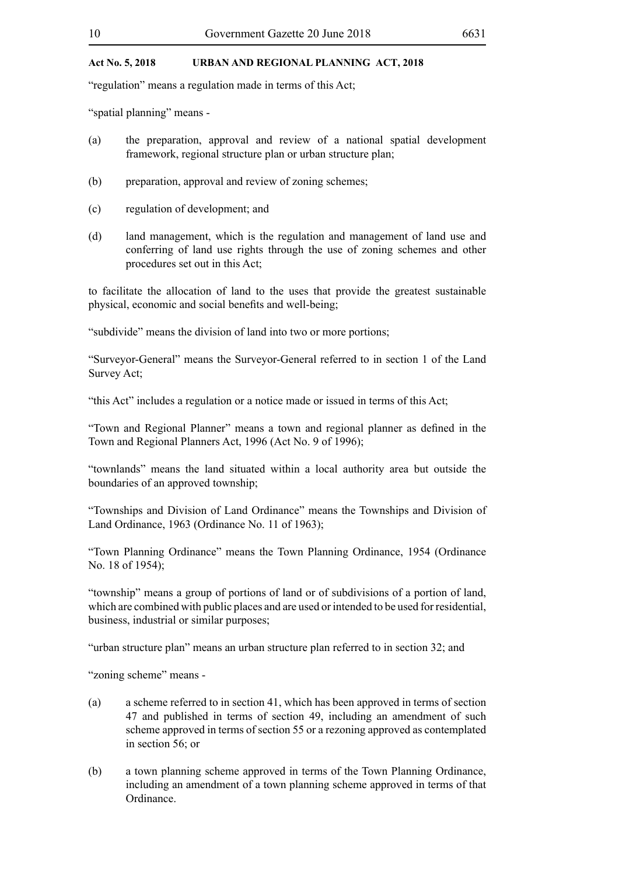"regulation" means a regulation made in terms of this Act;

"spatial planning" means -

- (a) the preparation, approval and review of a national spatial development framework, regional structure plan or urban structure plan;
- (b) preparation, approval and review of zoning schemes;
- (c) regulation of development; and
- (d) land management, which is the regulation and management of land use and conferring of land use rights through the use of zoning schemes and other procedures set out in this Act;

to facilitate the allocation of land to the uses that provide the greatest sustainable physical, economic and social benefits and well-being;

"subdivide" means the division of land into two or more portions;

"Surveyor-General" means the Surveyor-General referred to in section 1 of the Land Survey Act;

"this Act" includes a regulation or a notice made or issued in terms of this Act;

"Town and Regional Planner" means a town and regional planner as defined in the Town and Regional Planners Act, 1996 (Act No. 9 of 1996);

"townlands" means the land situated within a local authority area but outside the boundaries of an approved township;

"Townships and Division of Land Ordinance" means the Townships and Division of Land Ordinance, 1963 (Ordinance No. 11 of 1963);

"Town Planning Ordinance" means the Town Planning Ordinance, 1954 (Ordinance No. 18 of 1954);

"township" means a group of portions of land or of subdivisions of a portion of land, which are combined with public places and are used or intended to be used for residential, business, industrial or similar purposes;

"urban structure plan" means an urban structure plan referred to in section 32; and

"zoning scheme" means -

- (a) a scheme referred to in section 41, which has been approved in terms of section 47 and published in terms of section 49, including an amendment of such scheme approved in terms of section 55 or a rezoning approved as contemplated in section 56; or
- (b) a town planning scheme approved in terms of the Town Planning Ordinance, including an amendment of a town planning scheme approved in terms of that Ordinance.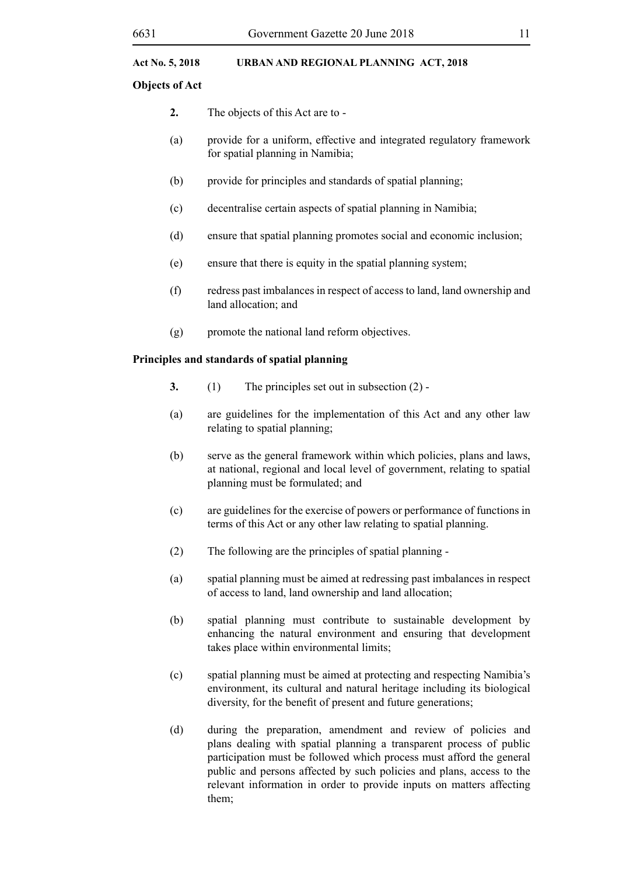# **Objects of Act**

- **2.** The objects of this Act are to -
- (a) provide for a uniform, effective and integrated regulatory framework for spatial planning in Namibia;
- (b) provide for principles and standards of spatial planning;
- (c) decentralise certain aspects of spatial planning in Namibia;
- (d) ensure that spatial planning promotes social and economic inclusion;
- (e) ensure that there is equity in the spatial planning system;
- (f) redress past imbalances in respect of access to land, land ownership and land allocation; and
- (g) promote the national land reform objectives.

# **Principles and standards of spatial planning**

- **3.** (1) The principles set out in subsection (2) -
- (a) are guidelines for the implementation of this Act and any other law relating to spatial planning;
- (b) serve as the general framework within which policies, plans and laws, at national, regional and local level of government, relating to spatial planning must be formulated; and
- (c) are guidelines for the exercise of powers or performance of functions in terms of this Act or any other law relating to spatial planning.
- (2) The following are the principles of spatial planning -
- (a) spatial planning must be aimed at redressing past imbalances in respect of access to land, land ownership and land allocation;
- (b) spatial planning must contribute to sustainable development by enhancing the natural environment and ensuring that development takes place within environmental limits;
- (c) spatial planning must be aimed at protecting and respecting Namibia's environment, its cultural and natural heritage including its biological diversity, for the benefit of present and future generations;
- (d) during the preparation, amendment and review of policies and plans dealing with spatial planning a transparent process of public participation must be followed which process must afford the general public and persons affected by such policies and plans, access to the relevant information in order to provide inputs on matters affecting them;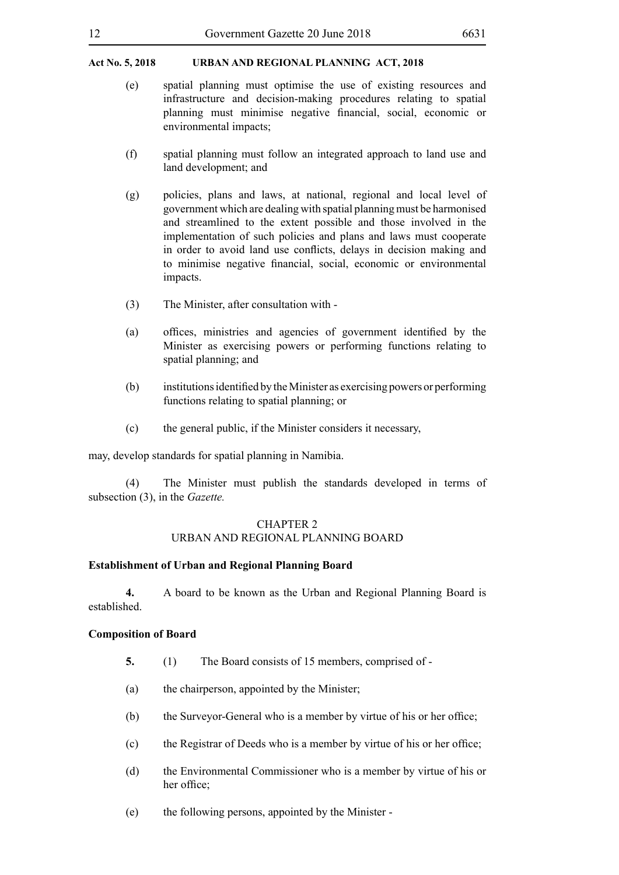- (e) spatial planning must optimise the use of existing resources and infrastructure and decision-making procedures relating to spatial planning must minimise negative financial, social, economic or environmental impacts;
- (f) spatial planning must follow an integrated approach to land use and land development; and
- (g) policies, plans and laws, at national, regional and local level of government which are dealing with spatial planning must be harmonised and streamlined to the extent possible and those involved in the implementation of such policies and plans and laws must cooperate in order to avoid land use conflicts, delays in decision making and to minimise negative financial, social, economic or environmental impacts.
- (3) The Minister, after consultation with -
- (a) offices, ministries and agencies of government identified by the Minister as exercising powers or performing functions relating to spatial planning; and
- (b) institutionsidentified by theMinister as exercising powers or performing functions relating to spatial planning; or
- (c) the general public, if the Minister considers it necessary,

may, develop standards for spatial planning in Namibia.

(4) The Minister must publish the standards developed in terms of subsection (3), in the *Gazette.*

#### CHAPTER 2

# URBAN AND REGIONAL PLANNING BOARD

# **Establishment of Urban and Regional Planning Board**

**4.** A board to be known as the Urban and Regional Planning Board is established.

#### **Composition of Board**

- **5.** (1) The Board consists of 15 members, comprised of -
- (a) the chairperson, appointed by the Minister;
- (b) the Surveyor-General who is a member by virtue of his or her office;
- (c) the Registrar of Deeds who is a member by virtue of his or her office;
- (d) the Environmental Commissioner who is a member by virtue of his or her office;
- (e) the following persons, appointed by the Minister -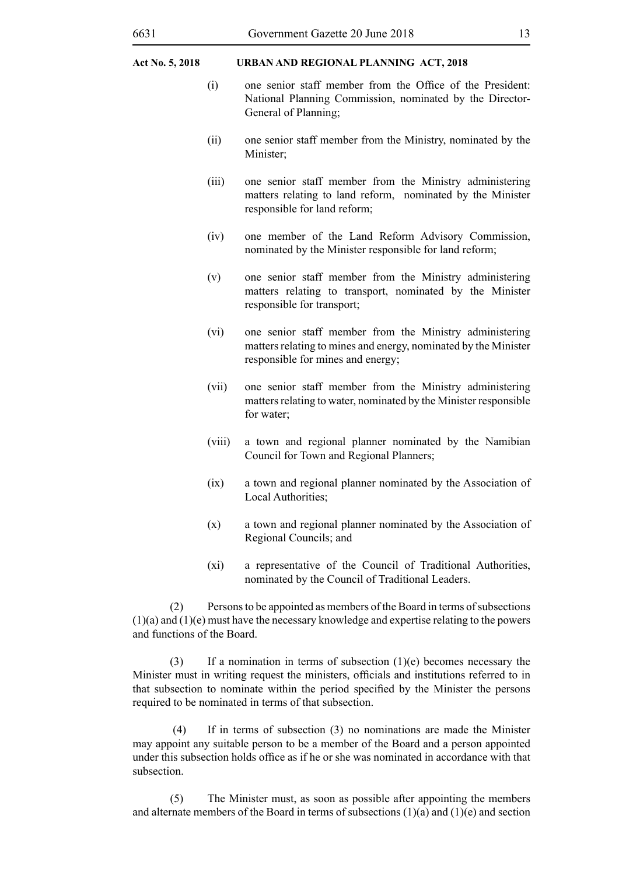- (i) one senior staff member from the Office of the President: National Planning Commission, nominated by the Director-General of Planning;
- (ii) one senior staff member from the Ministry, nominated by the Minister;
- (iii) one senior staff member from the Ministry administering matters relating to land reform, nominated by the Minister responsible for land reform;
- (iv) one member of the Land Reform Advisory Commission, nominated by the Minister responsible for land reform;
- (v) one senior staff member from the Ministry administering matters relating to transport, nominated by the Minister responsible for transport;
- (vi) one senior staff member from the Ministry administering matters relating to mines and energy, nominated by the Minister responsible for mines and energy;
- (vii) one senior staff member from the Ministry administering matters relating to water, nominated by the Minister responsible for water;
- (viii) a town and regional planner nominated by the Namibian Council for Town and Regional Planners;
- (ix) a town and regional planner nominated by the Association of Local Authorities:
- (x) a town and regional planner nominated by the Association of Regional Councils; and
- (xi) a representative of the Council of Traditional Authorities, nominated by the Council of Traditional Leaders.

(2) Persons to be appointed as members of the Board in terms of subsections (1)(a) and (1)(e) must have the necessary knowledge and expertise relating to the powers and functions of the Board.

(3) If a nomination in terms of subsection  $(1)(e)$  becomes necessary the Minister must in writing request the ministers, officials and institutions referred to in that subsection to nominate within the period specified by the Minister the persons required to be nominated in terms of that subsection.

 (4) If in terms of subsection (3) no nominations are made the Minister may appoint any suitable person to be a member of the Board and a person appointed under this subsection holds office as if he or she was nominated in accordance with that subsection.

(5) The Minister must, as soon as possible after appointing the members and alternate members of the Board in terms of subsections  $(1)(a)$  and  $(1)(e)$  and section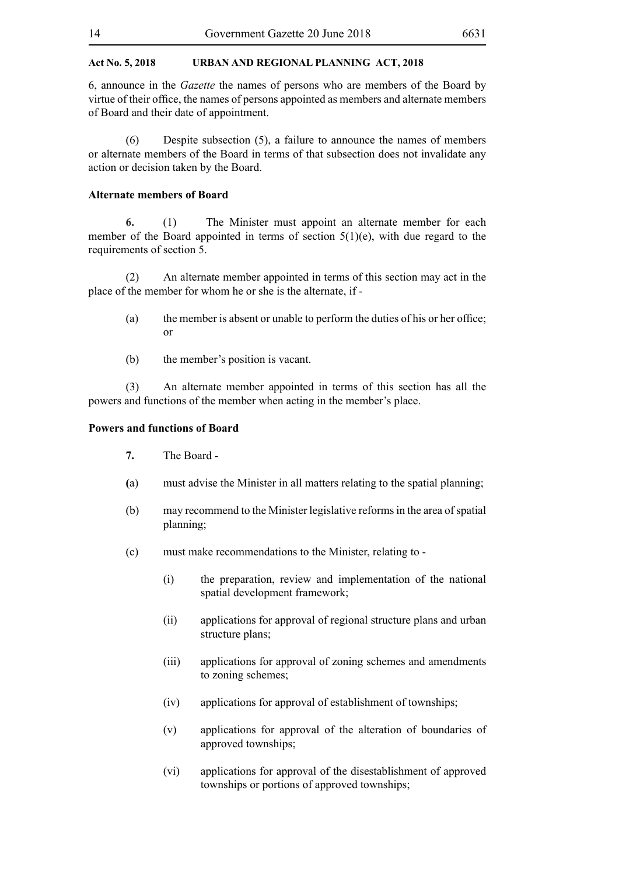6, announce in the *Gazette* the names of persons who are members of the Board by virtue of their office, the names of persons appointed as members and alternate members of Board and their date of appointment.

(6) Despite subsection (5), a failure to announce the names of members or alternate members of the Board in terms of that subsection does not invalidate any action or decision taken by the Board.

#### **Alternate members of Board**

**6.** (1) The Minister must appoint an alternate member for each member of the Board appointed in terms of section 5(1)(e), with due regard to the requirements of section 5.

(2) An alternate member appointed in terms of this section may act in the place of the member for whom he or she is the alternate, if -

- (a) the member is absent or unable to perform the duties of his or her office; or
- (b) the member's position is vacant.

(3) An alternate member appointed in terms of this section has all the powers and functions of the member when acting in the member's place.

# **Powers and functions of Board**

- **7.** The Board -
- **(**a) must advise the Minister in all matters relating to the spatial planning;
- (b) may recommend to the Minister legislative reforms in the area of spatial planning;
- (c) must make recommendations to the Minister, relating to
	- (i) the preparation, review and implementation of the national spatial development framework;
	- (ii) applications for approval of regional structure plans and urban structure plans:
	- (iii) applications for approval of zoning schemes and amendments to zoning schemes;
	- (iv) applications for approval of establishment of townships;
	- (v) applications for approval of the alteration of boundaries of approved townships;
	- (vi) applications for approval of the disestablishment of approved townships or portions of approved townships;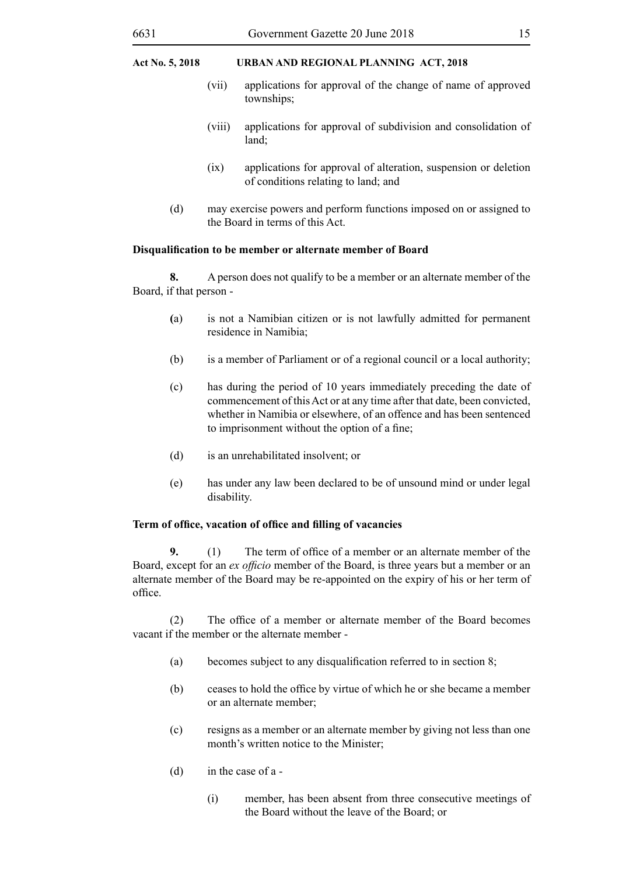- (vii) applications for approval of the change of name of approved townships;
- (viii) applications for approval of subdivision and consolidation of land;
- (ix) applications for approval of alteration, suspension or deletion of conditions relating to land; and
- (d) may exercise powers and perform functions imposed on or assigned to the Board in terms of this Act.

#### **Disqualification to be member or alternate member of Board**

**8.** A person does not qualify to be a member or an alternate member of the Board, if that person -

- **(**a) is not a Namibian citizen or is not lawfully admitted for permanent residence in Namibia;
- (b) is a member of Parliament or of a regional council or a local authority;
- (c) has during the period of 10 years immediately preceding the date of commencement of this Act or at any time after that date, been convicted, whether in Namibia or elsewhere, of an offence and has been sentenced to imprisonment without the option of a fine;
- (d) is an unrehabilitated insolvent; or
- (e) has under any law been declared to be of unsound mind or under legal disability.

#### **Term of office, vacation of office and filling of vacancies**

**9.** (1) The term of office of a member or an alternate member of the Board, except for an *ex officio* member of the Board, is three years but a member or an alternate member of the Board may be re-appointed on the expiry of his or her term of office.

(2) The office of a member or alternate member of the Board becomes vacant if the member or the alternate member -

- (a) becomes subject to any disqualification referred to in section 8;
- (b) ceases to hold the office by virtue of which he or she became a member or an alternate member;
- (c) resigns as a member or an alternate member by giving not less than one month's written notice to the Minister;
- (d) in the case of a
	- (i) member, has been absent from three consecutive meetings of the Board without the leave of the Board; or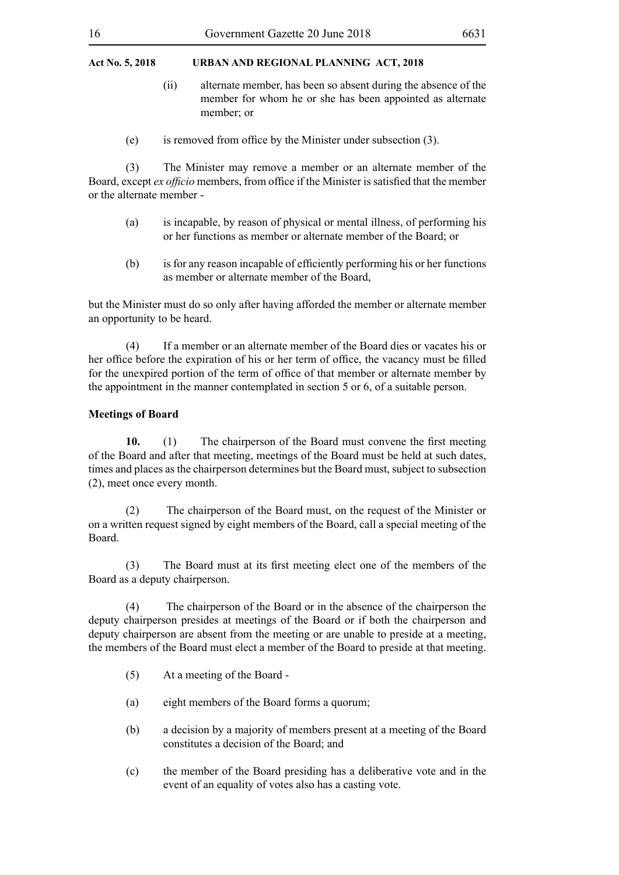- (ii) alternate member, has been so absent during the absence of the member for whom he or she has been appointed as alternate member; or
- (e) is removed from office by the Minister under subsection (3).

(3) The Minister may remove a member or an alternate member of the Board, except *ex officio* members, from office if the Minister is satisfied that the member or the alternate member -

- (a) is incapable, by reason of physical or mental illness, of performing his or her functions as member or alternate member of the Board; or
- (b) isfor any reason incapable of efficiently performing his or her functions as member or alternate member of the Board,

but the Minister must do so only after having afforded the member or alternate member an opportunity to be heard.

(4) If a member or an alternate member of the Board dies or vacates his or her office before the expiration of his or her term of office, the vacancy must be filled for the unexpired portion of the term of office of that member or alternate member by the appointment in the manner contemplated in section 5 or 6, of a suitable person.

### **Meetings of Board**

10. (1) The chairperson of the Board must convene the first meeting of the Board and after that meeting, meetings of the Board must be held at such dates, times and places as the chairperson determines but the Board must, subject to subsection (2), meet once every month.

(2) The chairperson of the Board must, on the request of the Minister or on a written request signed by eight members of the Board, call a special meeting of the Board.

 (3) The Board must at its first meeting elect one of the members of the Board as a deputy chairperson.

(4) The chairperson of the Board or in the absence of the chairperson the deputy chairperson presides at meetings of the Board or if both the chairperson and deputy chairperson are absent from the meeting or are unable to preside at a meeting, the members of the Board must elect a member of the Board to preside at that meeting.

- (5) At a meeting of the Board -
- (a) eight members of the Board forms a quorum;
- (b) a decision by a majority of members present at a meeting of the Board constitutes a decision of the Board; and
- (c) the member of the Board presiding has a deliberative vote and in the event of an equality of votes also has a casting vote.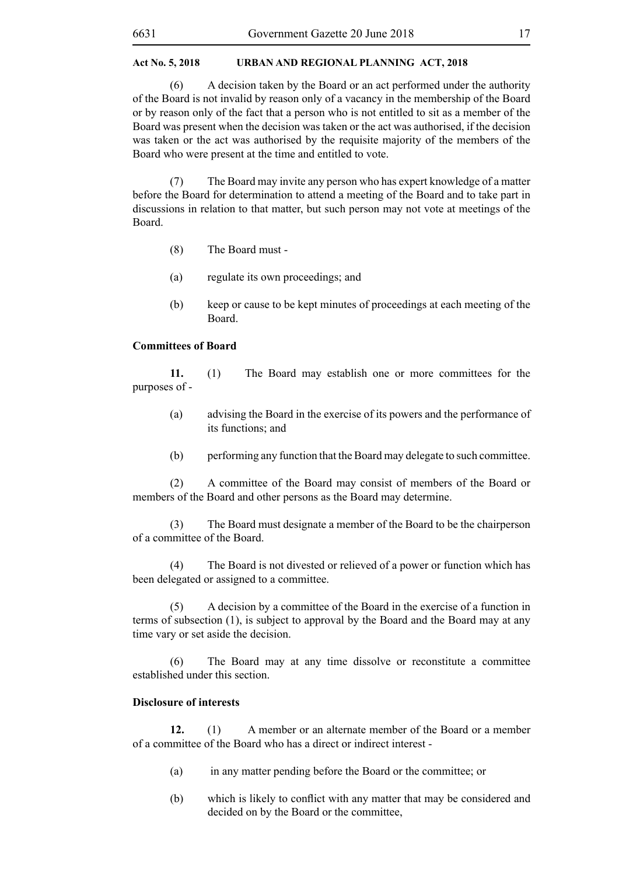(6) A decision taken by the Board or an act performed under the authority of the Board is not invalid by reason only of a vacancy in the membership of the Board or by reason only of the fact that a person who is not entitled to sit as a member of the Board was present when the decision was taken or the act was authorised, if the decision was taken or the act was authorised by the requisite majority of the members of the Board who were present at the time and entitled to vote.

(7) The Board may invite any person who has expert knowledge of a matter before the Board for determination to attend a meeting of the Board and to take part in discussions in relation to that matter, but such person may not vote at meetings of the Board.

- (8) The Board must -
- (a) regulate its own proceedings; and
- (b) keep or cause to be kept minutes of proceedings at each meeting of the Board.

### **Committees of Board**

**11.** (1) The Board may establish one or more committees for the purposes of -

- (a) advising the Board in the exercise of its powers and the performance of its functions; and
- (b) performing any function that the Board may delegate to such committee.

(2) A committee of the Board may consist of members of the Board or members of the Board and other persons as the Board may determine.

(3) The Board must designate a member of the Board to be the chairperson of a committee of the Board.

(4) The Board is not divested or relieved of a power or function which has been delegated or assigned to a committee.

(5) A decision by a committee of the Board in the exercise of a function in terms of subsection (1), is subject to approval by the Board and the Board may at any time vary or set aside the decision.

(6) The Board may at any time dissolve or reconstitute a committee established under this section.

# **Disclosure of interests**

**12.** (1) A member or an alternate member of the Board or a member of a committee of the Board who has a direct or indirect interest -

- (a) in any matter pending before the Board or the committee; or
- (b) which is likely to conflict with any matter that may be considered and decided on by the Board or the committee,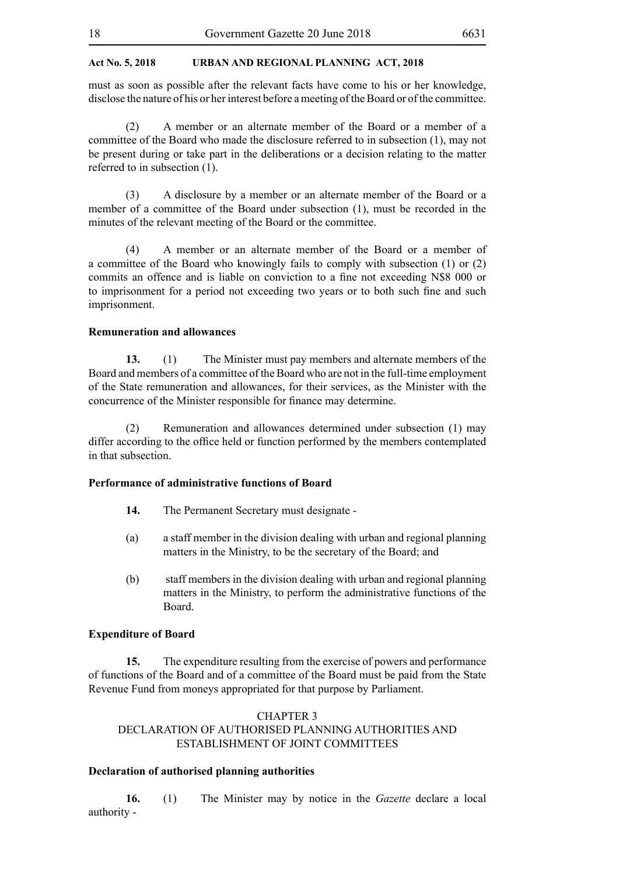must as soon as possible after the relevant facts have come to his or her knowledge, disclose the nature of his or her interest before a meeting of the Board or of the committee.

(2) A member or an alternate member of the Board or a member of a committee of the Board who made the disclosure referred to in subsection (1), may not be present during or take part in the deliberations or a decision relating to the matter referred to in subsection (1).

(3) A disclosure by a member or an alternate member of the Board or a member of a committee of the Board under subsection (1), must be recorded in the minutes of the relevant meeting of the Board or the committee.

(4) A member or an alternate member of the Board or a member of a committee of the Board who knowingly fails to comply with subsection (1) or (2) commits an offence and is liable on conviction to a fine not exceeding N\$8 000 or to imprisonment for a period not exceeding two years or to both such fine and such imprisonment.

#### **Remuneration and allowances**

**13.** (1) The Minister must pay members and alternate members of the Board and members of a committee of the Board who are not in the full-time employment of the State remuneration and allowances, for their services, as the Minister with the concurrence of the Minister responsible for finance may determine.

(2) Remuneration and allowances determined under subsection (1) may differ according to the office held or function performed by the members contemplated in that subsection.

# **Performance of administrative functions of Board**

- **14.** The Permanent Secretary must designate -
- (a) a staff member in the division dealing with urban and regional planning matters in the Ministry, to be the secretary of the Board; and
- (b) staff members in the division dealing with urban and regional planning matters in the Ministry, to perform the administrative functions of the Board.

# **Expenditure of Board**

**15.** The expenditure resulting from the exercise of powers and performance of functions of the Board and of a committee of the Board must be paid from the State Revenue Fund from moneys appropriated for that purpose by Parliament.

# CHAPTER 3

# DECLARATION OF AUTHORISED PLANNING AUTHORITIES AND ESTABLISHMENT OF JOINT COMMITTEES

#### **Declaration of authorised planning authorities**

**16.** (1) The Minister may by notice in the *Gazette* declare a local authority -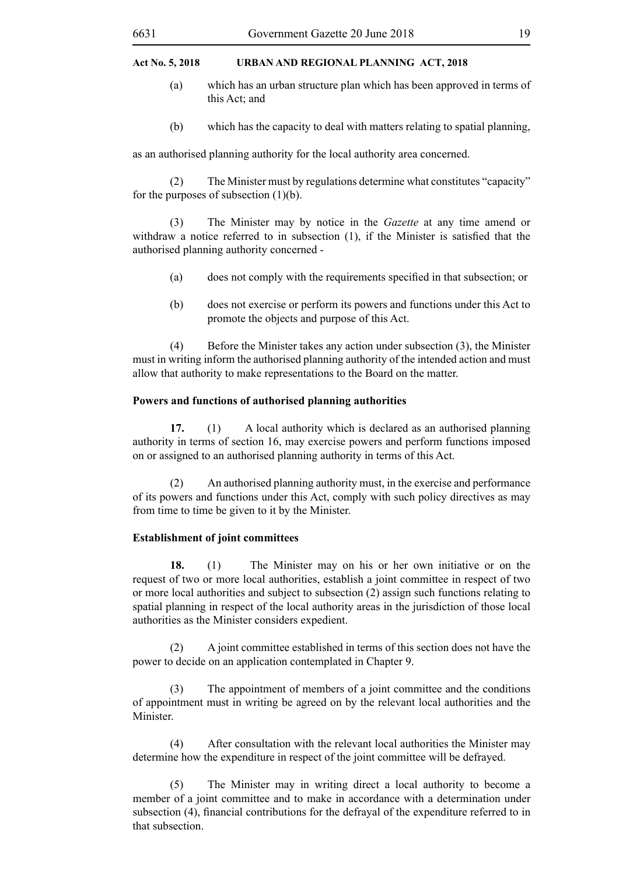- (a) which has an urban structure plan which has been approved in terms of this Act; and
- (b) which has the capacity to deal with matters relating to spatial planning,

as an authorised planning authority for the local authority area concerned.

(2) The Minister must by regulations determine what constitutes "capacity" for the purposes of subsection  $(1)(b)$ .

(3) The Minister may by notice in the *Gazette* at any time amend or withdraw a notice referred to in subsection (1), if the Minister is satisfied that the authorised planning authority concerned -

- (a) does not comply with the requirements specified in that subsection; or
- (b) does not exercise or perform its powers and functions under this Act to promote the objects and purpose of this Act.

(4) Before the Minister takes any action under subsection (3), the Minister must in writing inform the authorised planning authority of the intended action and must allow that authority to make representations to the Board on the matter.

#### **Powers and functions of authorised planning authorities**

**17.** (1) A local authority which is declared as an authorised planning authority in terms of section 16, may exercise powers and perform functions imposed on or assigned to an authorised planning authority in terms of this Act.

(2) An authorised planning authority must, in the exercise and performance of its powers and functions under this Act, comply with such policy directives as may from time to time be given to it by the Minister.

#### **Establishment of joint committees**

**18.** (1) The Minister may on his or her own initiative or on the request of two or more local authorities, establish a joint committee in respect of two or more local authorities and subject to subsection (2) assign such functions relating to spatial planning in respect of the local authority areas in the jurisdiction of those local authorities as the Minister considers expedient.

(2) A joint committee established in terms of this section does not have the power to decide on an application contemplated in Chapter 9.

(3) The appointment of members of a joint committee and the conditions of appointment must in writing be agreed on by the relevant local authorities and the **Minister** 

(4) After consultation with the relevant local authorities the Minister may determine how the expenditure in respect of the joint committee will be defrayed.

(5) The Minister may in writing direct a local authority to become a member of a joint committee and to make in accordance with a determination under subsection (4), financial contributions for the defrayal of the expenditure referred to in that subsection.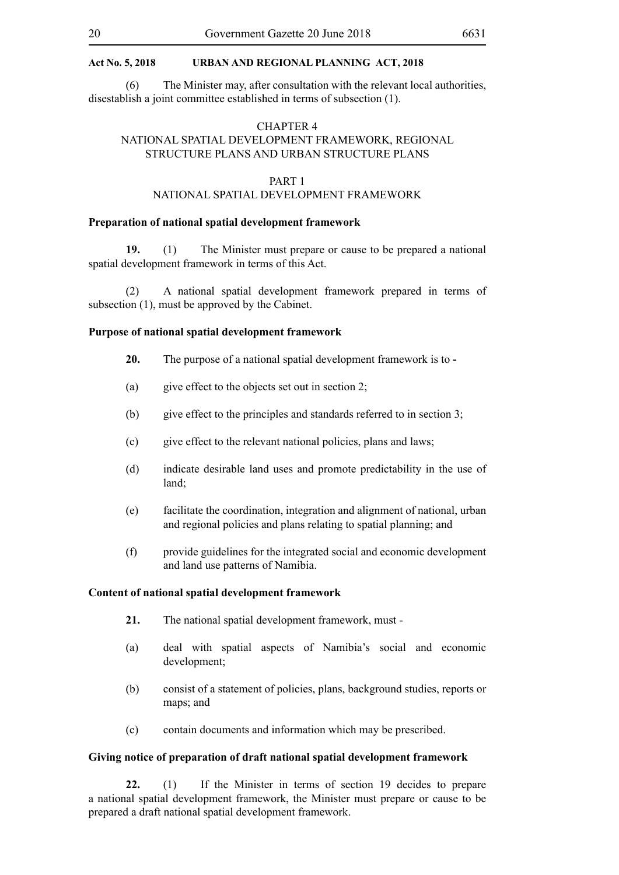(6) The Minister may, after consultation with the relevant local authorities, disestablish a joint committee established in terms of subsection (1).

# CHAPTER 4 NATIONAL SPATIAL DEVELOPMENT FRAMEWORK, REGIONAL STRUCTURE PLANS AND URBAN STRUCTURE PLANS

#### PART 1

# NATIONAL SPATIAL DEVELOPMENT FRAMEWORK

#### **Preparation of national spatial development framework**

**19.** (1) The Minister must prepare or cause to be prepared a national spatial development framework in terms of this Act.

(2) A national spatial development framework prepared in terms of subsection (1), must be approved by the Cabinet.

#### **Purpose of national spatial development framework**

- **20.** The purpose of a national spatial development framework is to **-**
- (a) give effect to the objects set out in section 2;
- (b) give effect to the principles and standards referred to in section 3;
- (c) give effect to the relevant national policies, plans and laws;
- (d) indicate desirable land uses and promote predictability in the use of land;
- (e) facilitate the coordination, integration and alignment of national, urban and regional policies and plans relating to spatial planning; and
- (f) provide guidelines for the integrated social and economic development and land use patterns of Namibia.

#### **Content of national spatial development framework**

- **21.** The national spatial development framework, must -
- (a) deal with spatial aspects of Namibia's social and economic development;
- (b) consist of a statement of policies, plans, background studies, reports or maps; and
- (c) contain documents and information which may be prescribed.

#### **Giving notice of preparation of draft national spatial development framework**

**22.** (1) If the Minister in terms of section 19 decides to prepare a national spatial development framework, the Minister must prepare or cause to be prepared a draft national spatial development framework.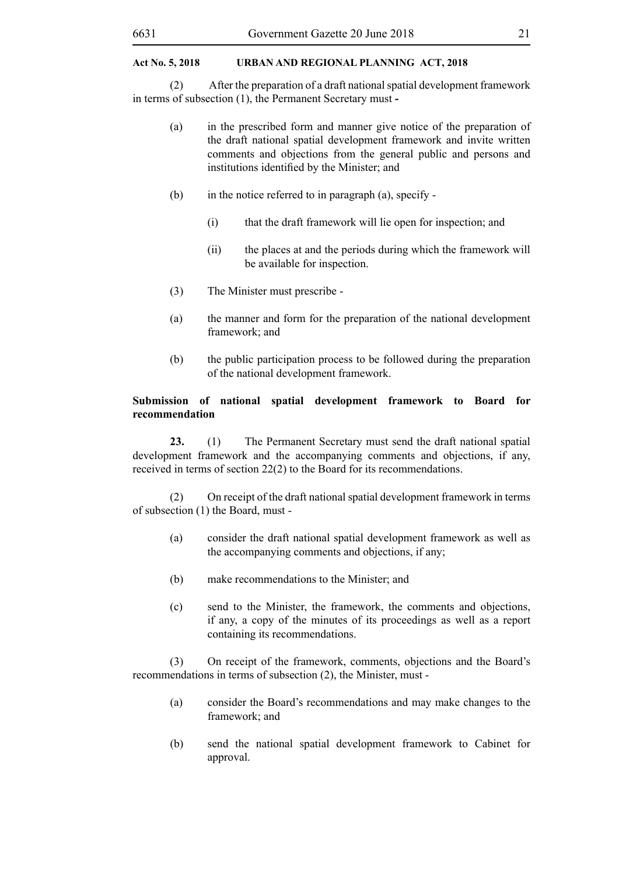(2) After the preparation of a draft national spatial development framework in terms of subsection (1), the Permanent Secretary must **-**

- (a) in the prescribed form and manner give notice of the preparation of the draft national spatial development framework and invite written comments and objections from the general public and persons and institutions identified by the Minister; and
- (b) in the notice referred to in paragraph (a), specify
	- (i) that the draft framework will lie open for inspection; and
	- (ii) the places at and the periods during which the framework will be available for inspection.
- (3) The Minister must prescribe -
- (a) the manner and form for the preparation of the national development framework; and
- (b) the public participation process to be followed during the preparation of the national development framework.

# **Submission of national spatial development framework to Board for recommendation**

**23.** (1) The Permanent Secretary must send the draft national spatial development framework and the accompanying comments and objections, if any, received in terms of section 22(2) to the Board for its recommendations.

(2) On receipt of the draft national spatial development framework in terms of subsection (1) the Board, must -

- (a) consider the draft national spatial development framework as well as the accompanying comments and objections, if any;
- (b) make recommendations to the Minister; and
- (c) send to the Minister, the framework, the comments and objections, if any, a copy of the minutes of its proceedings as well as a report containing its recommendations.

(3) On receipt of the framework, comments, objections and the Board's recommendations in terms of subsection (2), the Minister, must -

- (a) consider the Board's recommendations and may make changes to the framework; and
- (b) send the national spatial development framework to Cabinet for approval.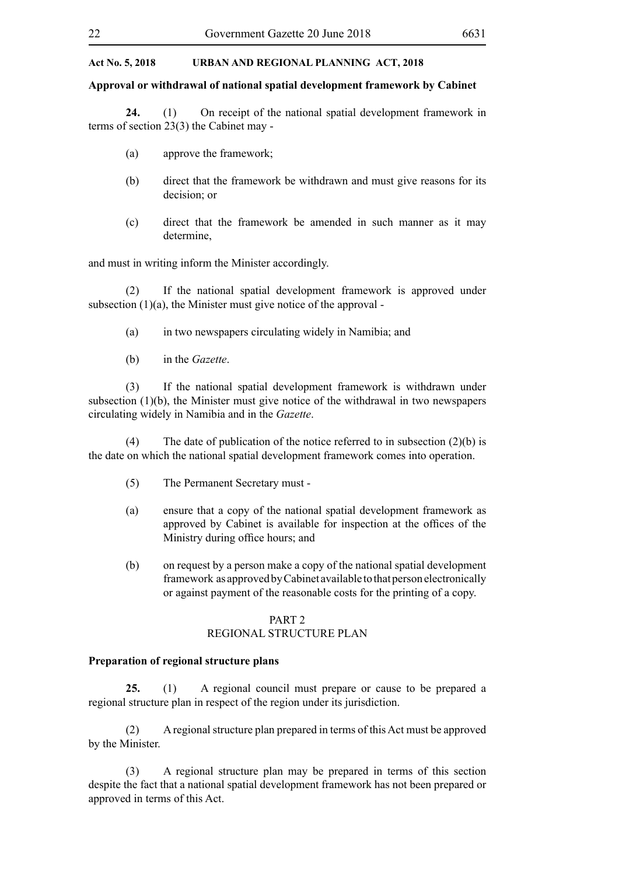#### **Approval or withdrawal of national spatial development framework by Cabinet**

**24.** (1) On receipt of the national spatial development framework in terms of section 23(3) the Cabinet may -

- (a) approve the framework;
- (b) direct that the framework be withdrawn and must give reasons for its decision; or
- (c) direct that the framework be amended in such manner as it may determine,

and must in writing inform the Minister accordingly.

(2) If the national spatial development framework is approved under subsection  $(1)(a)$ , the Minister must give notice of the approval -

- (a) in two newspapers circulating widely in Namibia; and
- (b) in the *Gazette*.

(3) If the national spatial development framework is withdrawn under subsection (1)(b), the Minister must give notice of the withdrawal in two newspapers circulating widely in Namibia and in the *Gazette*.

(4) The date of publication of the notice referred to in subsection  $(2)(b)$  is the date on which the national spatial development framework comes into operation.

- (5) The Permanent Secretary must -
- (a) ensure that a copy of the national spatial development framework as approved by Cabinet is available for inspection at the offices of the Ministry during office hours; and
- (b) on request by a person make a copy of the national spatial development framework as approved by Cabinet available to that person electronically or against payment of the reasonable costs for the printing of a copy.

#### PART 2 REGIONAL STRUCTURE PLAN

#### **Preparation of regional structure plans**

**25.** (1) A regional council must prepare or cause to be prepared a regional structure plan in respect of the region under its jurisdiction.

(2) A regional structure plan prepared in terms of this Act must be approved by the Minister.

(3) A regional structure plan may be prepared in terms of this section despite the fact that a national spatial development framework has not been prepared or approved in terms of this Act.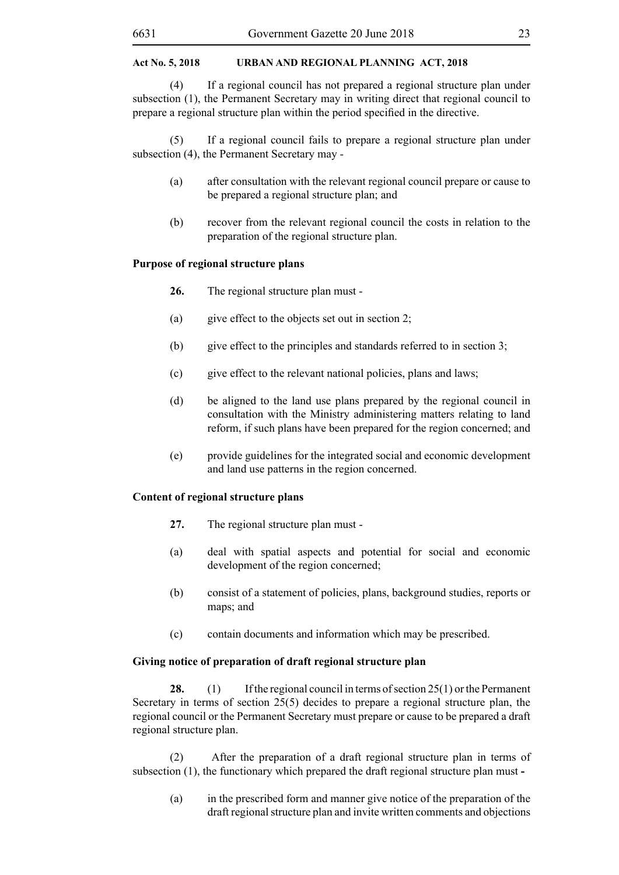(4) If a regional council has not prepared a regional structure plan under subsection (1), the Permanent Secretary may in writing direct that regional council to prepare a regional structure plan within the period specified in the directive.

(5) If a regional council fails to prepare a regional structure plan under subsection (4), the Permanent Secretary may -

- (a) after consultation with the relevant regional council prepare or cause to be prepared a regional structure plan; and
- (b) recover from the relevant regional council the costs in relation to the preparation of the regional structure plan.

# **Purpose of regional structure plans**

- **26.** The regional structure plan must -
- (a) give effect to the objects set out in section 2;
- (b) give effect to the principles and standards referred to in section 3;
- (c) give effect to the relevant national policies, plans and laws;
- (d) be aligned to the land use plans prepared by the regional council in consultation with the Ministry administering matters relating to land reform, if such plans have been prepared for the region concerned; and
- (e) provide guidelines for the integrated social and economic development and land use patterns in the region concerned.

# **Content of regional structure plans**

- **27.** The regional structure plan must -
- (a) deal with spatial aspects and potential for social and economic development of the region concerned:
- (b) consist of a statement of policies, plans, background studies, reports or maps; and
- (c) contain documents and information which may be prescribed.

# **Giving notice of preparation of draft regional structure plan**

**28.** (1) If the regional council in terms of section 25(1) or the Permanent Secretary in terms of section 25(5) decides to prepare a regional structure plan, the regional council or the Permanent Secretary must prepare or cause to be prepared a draft regional structure plan.

(2) After the preparation of a draft regional structure plan in terms of subsection (1), the functionary which prepared the draft regional structure plan must **-**

(a) in the prescribed form and manner give notice of the preparation of the draft regional structure plan and invite written comments and objections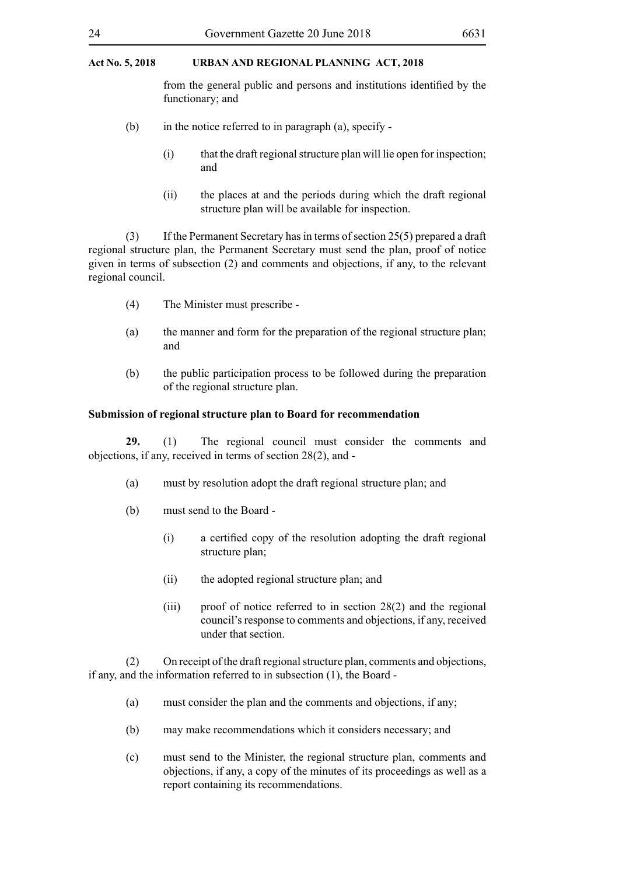from the general public and persons and institutions identified by the functionary; and

- (b) in the notice referred to in paragraph (a), specify
	- (i) that the draft regional structure plan will lie open for inspection; and
	- (ii) the places at and the periods during which the draft regional structure plan will be available for inspection.

(3) If the Permanent Secretary has in terms of section 25(5) prepared a draft regional structure plan, the Permanent Secretary must send the plan, proof of notice given in terms of subsection (2) and comments and objections, if any, to the relevant regional council.

- (4) The Minister must prescribe -
- (a) the manner and form for the preparation of the regional structure plan; and
- (b) the public participation process to be followed during the preparation of the regional structure plan.

### **Submission of regional structure plan to Board for recommendation**

**29.** (1) The regional council must consider the comments and objections, if any, received in terms of section 28(2), and -

- (a) must by resolution adopt the draft regional structure plan; and
- (b) must send to the Board
	- (i) a certified copy of the resolution adopting the draft regional structure plan;
	- (ii) the adopted regional structure plan; and
	- (iii) proof of notice referred to in section 28(2) and the regional council's response to comments and objections, if any, received under that section.

(2) On receipt of the draft regional structure plan, comments and objections, if any, and the information referred to in subsection (1), the Board -

- (a) must consider the plan and the comments and objections, if any;
- (b) may make recommendations which it considers necessary; and
- (c) must send to the Minister, the regional structure plan, comments and objections, if any, a copy of the minutes of its proceedings as well as a report containing its recommendations.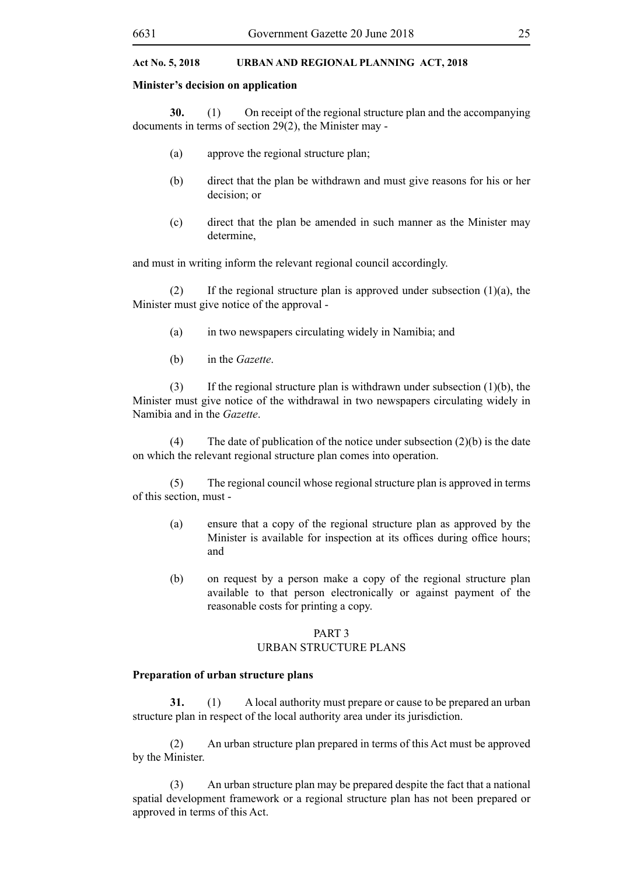#### **Minister's decision on application**

**30.** (1) On receipt of the regional structure plan and the accompanying documents in terms of section 29(2), the Minister may -

- (a) approve the regional structure plan;
- (b) direct that the plan be withdrawn and must give reasons for his or her decision; or
- (c) direct that the plan be amended in such manner as the Minister may determine,

and must in writing inform the relevant regional council accordingly.

(2) If the regional structure plan is approved under subsection  $(1)(a)$ , the Minister must give notice of the approval -

- (a) in two newspapers circulating widely in Namibia; and
- (b) in the *Gazette*.

(3) If the regional structure plan is withdrawn under subsection  $(1)(b)$ , the Minister must give notice of the withdrawal in two newspapers circulating widely in Namibia and in the *Gazette*.

(4) The date of publication of the notice under subsection (2)(b) is the date on which the relevant regional structure plan comes into operation.

(5) The regional council whose regional structure plan is approved in terms of this section, must -

- (a) ensure that a copy of the regional structure plan as approved by the Minister is available for inspection at its offices during office hours; and
- (b) on request by a person make a copy of the regional structure plan available to that person electronically or against payment of the reasonable costs for printing a copy.

### PART 3 URBAN STRUCTURE PLANS

#### **Preparation of urban structure plans**

**31.** (1) A local authority must prepare or cause to be prepared an urban structure plan in respect of the local authority area under its jurisdiction.

(2) An urban structure plan prepared in terms of this Act must be approved by the Minister.

(3) An urban structure plan may be prepared despite the fact that a national spatial development framework or a regional structure plan has not been prepared or approved in terms of this Act.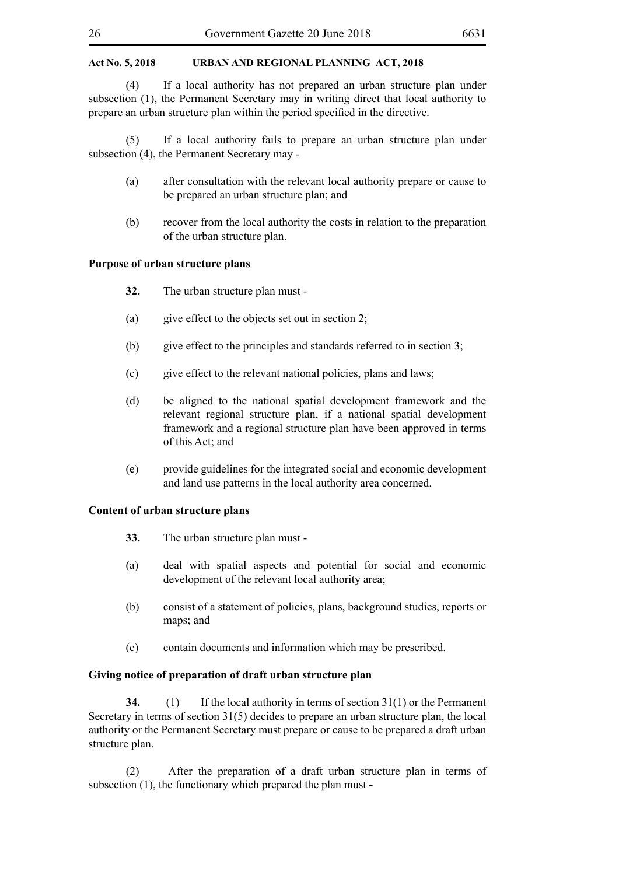(4) If a local authority has not prepared an urban structure plan under subsection (1), the Permanent Secretary may in writing direct that local authority to prepare an urban structure plan within the period specified in the directive.

(5) If a local authority fails to prepare an urban structure plan under subsection (4), the Permanent Secretary may -

- (a) after consultation with the relevant local authority prepare or cause to be prepared an urban structure plan; and
- (b) recover from the local authority the costs in relation to the preparation of the urban structure plan.

# **Purpose of urban structure plans**

- **32.** The urban structure plan must -
- (a) give effect to the objects set out in section 2;
- (b) give effect to the principles and standards referred to in section 3;
- (c) give effect to the relevant national policies, plans and laws;
- (d) be aligned to the national spatial development framework and the relevant regional structure plan, if a national spatial development framework and a regional structure plan have been approved in terms of this Act; and
- (e) provide guidelines for the integrated social and economic development and land use patterns in the local authority area concerned.

#### **Content of urban structure plans**

- **33.** The urban structure plan must -
- (a) deal with spatial aspects and potential for social and economic development of the relevant local authority area;
- (b) consist of a statement of policies, plans, background studies, reports or maps; and
- (c) contain documents and information which may be prescribed.

#### **Giving notice of preparation of draft urban structure plan**

**34.** (1) If the local authority in terms of section 31(1) or the Permanent Secretary in terms of section 31(5) decides to prepare an urban structure plan, the local authority or the Permanent Secretary must prepare or cause to be prepared a draft urban structure plan.

(2) After the preparation of a draft urban structure plan in terms of subsection (1), the functionary which prepared the plan must **-**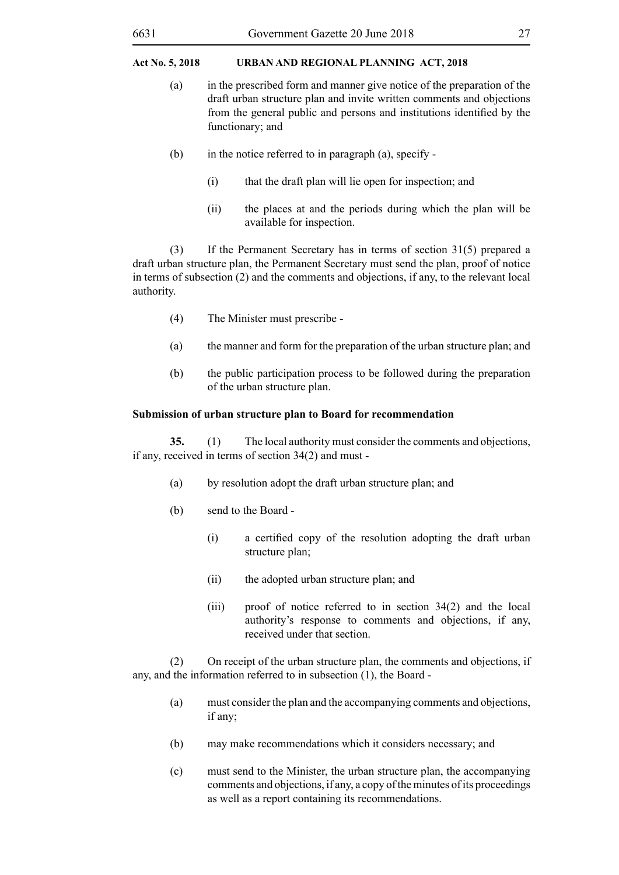- (a) in the prescribed form and manner give notice of the preparation of the draft urban structure plan and invite written comments and objections from the general public and persons and institutions identified by the functionary; and
- (b) in the notice referred to in paragraph (a), specify
	- (i) that the draft plan will lie open for inspection; and
	- (ii) the places at and the periods during which the plan will be available for inspection.

(3) If the Permanent Secretary has in terms of section 31(5) prepared a draft urban structure plan, the Permanent Secretary must send the plan, proof of notice in terms of subsection (2) and the comments and objections, if any, to the relevant local authority.

- (4) The Minister must prescribe -
- (a) the manner and form for the preparation of the urban structure plan; and
- (b) the public participation process to be followed during the preparation of the urban structure plan.

# **Submission of urban structure plan to Board for recommendation**

**35.** (1) The local authority must consider the comments and objections, if any, received in terms of section 34(2) and must -

- (a) by resolution adopt the draft urban structure plan; and
- (b) send to the Board
	- (i) a certified copy of the resolution adopting the draft urban structure plan;
	- (ii) the adopted urban structure plan; and
	- (iii) proof of notice referred to in section 34(2) and the local authority's response to comments and objections, if any, received under that section.

(2) On receipt of the urban structure plan, the comments and objections, if any, and the information referred to in subsection (1), the Board -

- (a) must consider the plan and the accompanying comments and objections, if any;
- (b) may make recommendations which it considers necessary; and
- (c) must send to the Minister, the urban structure plan, the accompanying comments and objections, if any, a copy of the minutes of its proceedings as well as a report containing its recommendations.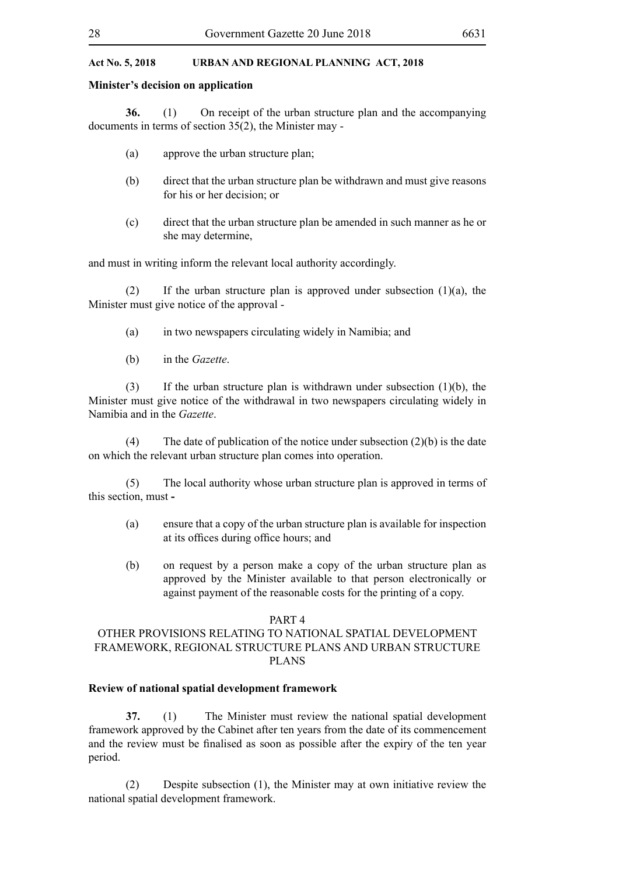#### **Minister's decision on application**

**36.** (1) On receipt of the urban structure plan and the accompanying documents in terms of section 35(2), the Minister may -

- (a) approve the urban structure plan;
- (b) direct that the urban structure plan be withdrawn and must give reasons for his or her decision; or
- (c) direct that the urban structure plan be amended in such manner as he or she may determine,

and must in writing inform the relevant local authority accordingly.

(2) If the urban structure plan is approved under subsection  $(1)(a)$ , the Minister must give notice of the approval -

- (a) in two newspapers circulating widely in Namibia; and
- (b) in the *Gazette*.

(3) If the urban structure plan is withdrawn under subsection (1)(b), the Minister must give notice of the withdrawal in two newspapers circulating widely in Namibia and in the *Gazette*.

(4) The date of publication of the notice under subsection  $(2)(b)$  is the date on which the relevant urban structure plan comes into operation.

(5) The local authority whose urban structure plan is approved in terms of this section, must **-**

- (a) ensure that a copy of the urban structure plan is available for inspection at its offices during office hours; and
- (b) on request by a person make a copy of the urban structure plan as approved by the Minister available to that person electronically or against payment of the reasonable costs for the printing of a copy.

#### PART 4

# OTHER PROVISIONS RELATING TO NATIONAL SPATIAL DEVELOPMENT FRAMEWORK, REGIONAL STRUCTURE PLANS AND URBAN STRUCTURE PLANS

#### **Review of national spatial development framework**

**37.** (1) The Minister must review the national spatial development framework approved by the Cabinet after ten years from the date of its commencement and the review must be finalised as soon as possible after the expiry of the ten year period.

(2) Despite subsection (1), the Minister may at own initiative review the national spatial development framework.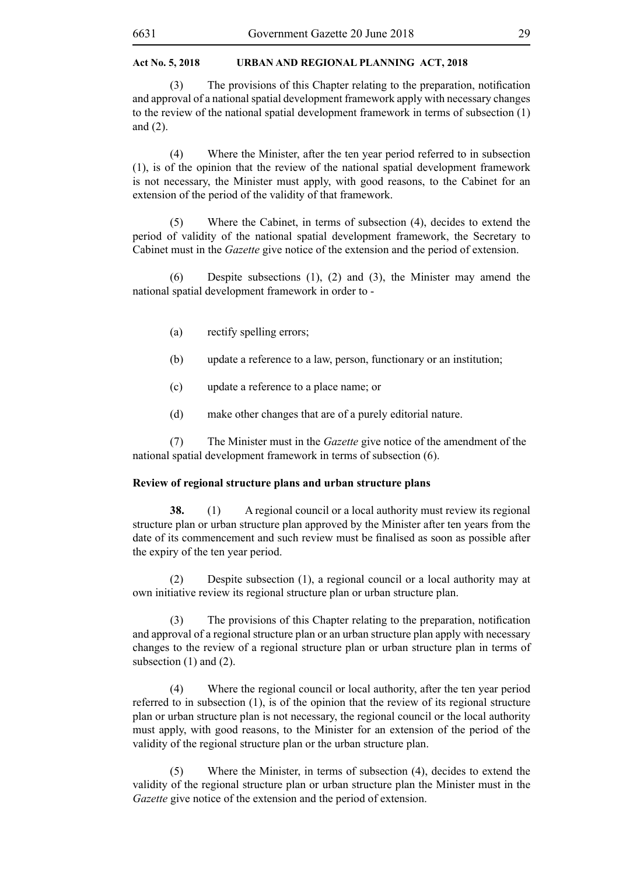(3) The provisions of this Chapter relating to the preparation, notification and approval of a national spatial development framework apply with necessary changes to the review of the national spatial development framework in terms of subsection (1) and (2).

(4) Where the Minister, after the ten year period referred to in subsection (1), is of the opinion that the review of the national spatial development framework is not necessary, the Minister must apply, with good reasons, to the Cabinet for an extension of the period of the validity of that framework.

(5) Where the Cabinet, in terms of subsection (4), decides to extend the period of validity of the national spatial development framework, the Secretary to Cabinet must in the *Gazette* give notice of the extension and the period of extension.

(6) Despite subsections (1), (2) and (3), the Minister may amend the national spatial development framework in order to -

- (a) rectify spelling errors;
- (b) update a reference to a law, person, functionary or an institution;
- (c) update a reference to a place name; or
- (d) make other changes that are of a purely editorial nature.

(7) The Minister must in the *Gazette* give notice of the amendment of the national spatial development framework in terms of subsection (6).

# **Review of regional structure plans and urban structure plans**

**38.** (1) A regional council or a local authority must review its regional structure plan or urban structure plan approved by the Minister after ten years from the date of its commencement and such review must be finalised as soon as possible after the expiry of the ten year period.

(2) Despite subsection (1), a regional council or a local authority may at own initiative review its regional structure plan or urban structure plan.

 (3) The provisions of this Chapter relating to the preparation, notification and approval of a regional structure plan or an urban structure plan apply with necessary changes to the review of a regional structure plan or urban structure plan in terms of subsection (1) and (2).

(4) Where the regional council or local authority, after the ten year period referred to in subsection (1), is of the opinion that the review of its regional structure plan or urban structure plan is not necessary, the regional council or the local authority must apply, with good reasons, to the Minister for an extension of the period of the validity of the regional structure plan or the urban structure plan.

(5) Where the Minister, in terms of subsection (4), decides to extend the validity of the regional structure plan or urban structure plan the Minister must in the *Gazette* give notice of the extension and the period of extension.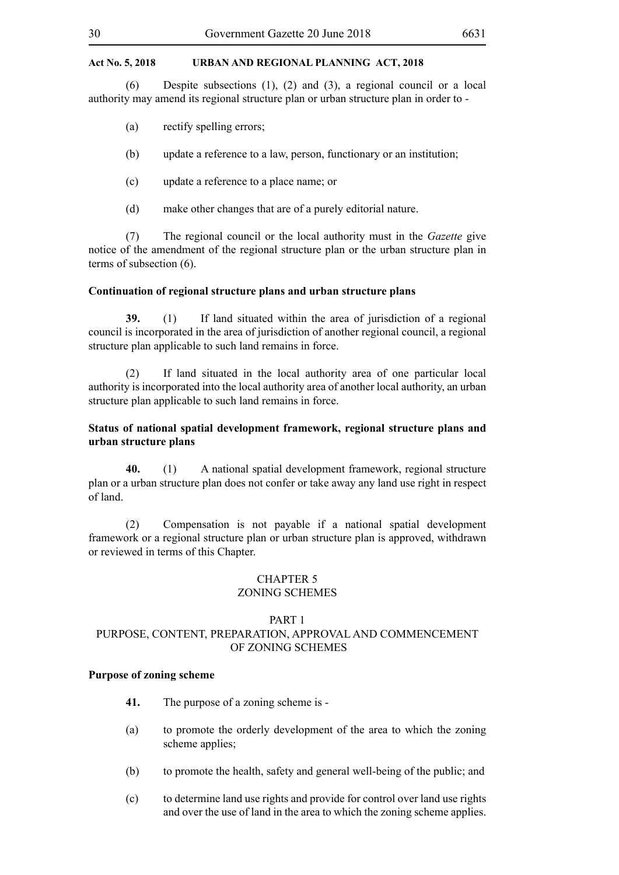(6) Despite subsections (1), (2) and (3), a regional council or a local authority may amend its regional structure plan or urban structure plan in order to -

- (a) rectify spelling errors;
- (b) update a reference to a law, person, functionary or an institution;
- (c) update a reference to a place name; or
- (d) make other changes that are of a purely editorial nature.

(7) The regional council or the local authority must in the *Gazette* give notice of the amendment of the regional structure plan or the urban structure plan in terms of subsection (6).

#### **Continuation of regional structure plans and urban structure plans**

**39.** (1) If land situated within the area of jurisdiction of a regional council is incorporated in the area of jurisdiction of another regional council, a regional structure plan applicable to such land remains in force.

(2) If land situated in the local authority area of one particular local authority is incorporated into the local authority area of another local authority, an urban structure plan applicable to such land remains in force.

# **Status of national spatial development framework, regional structure plans and urban structure plans**

**40.** (1) A national spatial development framework, regional structure plan or a urban structure plan does not confer or take away any land use right in respect of land.

(2) Compensation is not payable if a national spatial development framework or a regional structure plan or urban structure plan is approved, withdrawn or reviewed in terms of this Chapter.

#### CHAPTER 5 ZONING SCHEMES

# PART 1

# PURPOSE, CONTENT, PREPARATION, APPROVAL AND COMMENCEMENT OF ZONING SCHEMES

#### **Purpose of zoning scheme**

- **41.** The purpose of a zoning scheme is -
- (a) to promote the orderly development of the area to which the zoning scheme applies;
- (b) to promote the health, safety and general well-being of the public; and
- (c) to determine land use rights and provide for control over land use rights and over the use of land in the area to which the zoning scheme applies.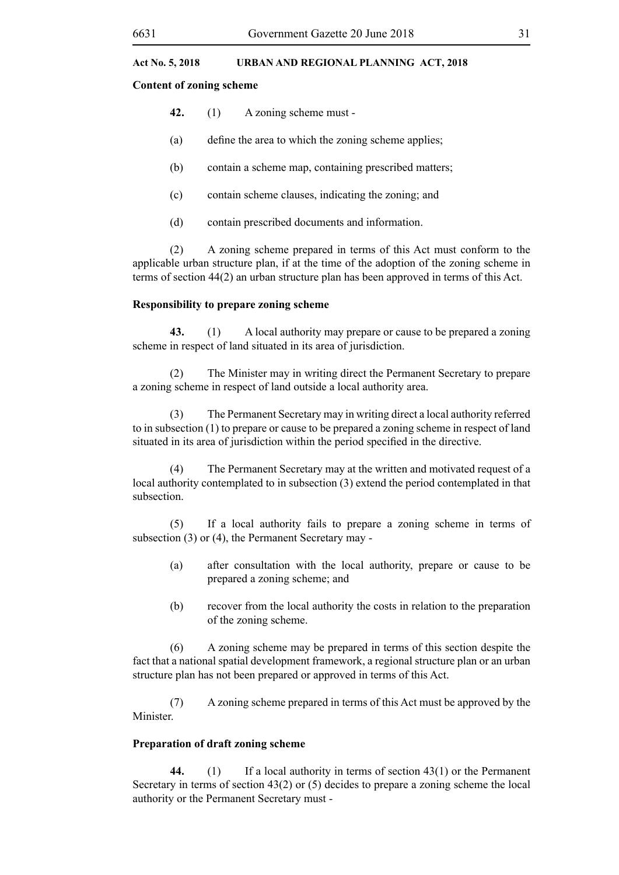#### **Content of zoning scheme**

- **42.** (1) A zoning scheme must -
- (a) define the area to which the zoning scheme applies;
- (b) contain a scheme map, containing prescribed matters;
- (c) contain scheme clauses, indicating the zoning; and
- (d) contain prescribed documents and information.

(2) A zoning scheme prepared in terms of this Act must conform to the applicable urban structure plan, if at the time of the adoption of the zoning scheme in terms of section 44(2) an urban structure plan has been approved in terms of this Act.

# **Responsibility to prepare zoning scheme**

**43.** (1) A local authority may prepare or cause to be prepared a zoning scheme in respect of land situated in its area of jurisdiction.

(2) The Minister may in writing direct the Permanent Secretary to prepare a zoning scheme in respect of land outside a local authority area.

(3) The Permanent Secretary may in writing direct a local authority referred to in subsection (1) to prepare or cause to be prepared a zoning scheme in respect of land situated in its area of jurisdiction within the period specified in the directive.

(4) The Permanent Secretary may at the written and motivated request of a local authority contemplated to in subsection (3) extend the period contemplated in that subsection.

(5) If a local authority fails to prepare a zoning scheme in terms of subsection (3) or (4), the Permanent Secretary may -

- (a) after consultation with the local authority, prepare or cause to be prepared a zoning scheme; and
- (b) recover from the local authority the costs in relation to the preparation of the zoning scheme.

(6) A zoning scheme may be prepared in terms of this section despite the fact that a national spatial development framework, a regional structure plan or an urban structure plan has not been prepared or approved in terms of this Act.

(7) A zoning scheme prepared in terms of this Act must be approved by the Minister.

# **Preparation of draft zoning scheme**

**44.** (1) If a local authority in terms of section 43(1) or the Permanent Secretary in terms of section 43(2) or (5) decides to prepare a zoning scheme the local authority or the Permanent Secretary must -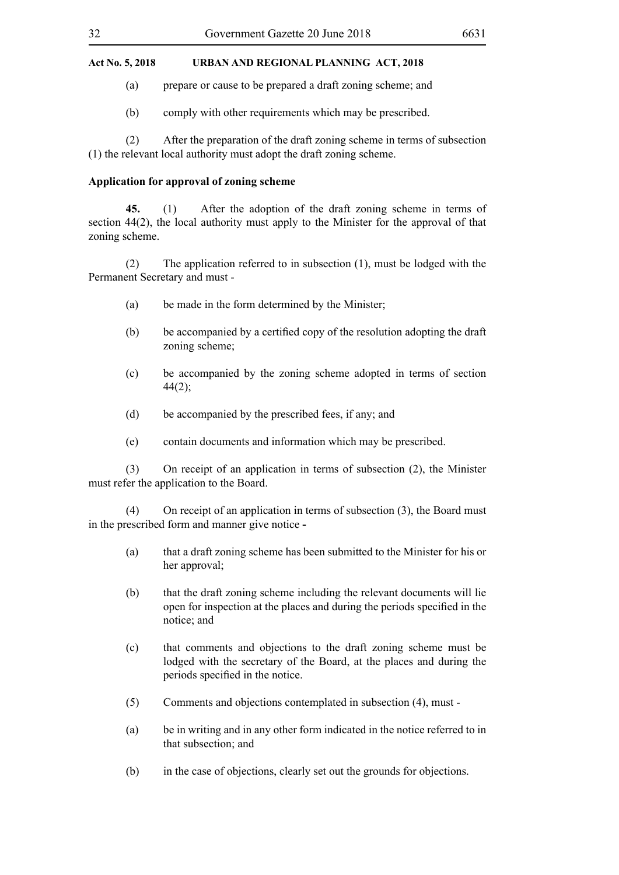(a) prepare or cause to be prepared a draft zoning scheme; and

(b) comply with other requirements which may be prescribed.

(2) After the preparation of the draft zoning scheme in terms of subsection (1) the relevant local authority must adopt the draft zoning scheme.

# **Application for approval of zoning scheme**

**45.** (1) After the adoption of the draft zoning scheme in terms of section 44(2), the local authority must apply to the Minister for the approval of that zoning scheme.

(2) The application referred to in subsection (1), must be lodged with the Permanent Secretary and must -

- (a) be made in the form determined by the Minister;
- (b) be accompanied by a certified copy of the resolution adopting the draft zoning scheme;
- (c) be accompanied by the zoning scheme adopted in terms of section  $44(2)$ ;
- (d) be accompanied by the prescribed fees, if any; and
- (e) contain documents and information which may be prescribed.

(3) On receipt of an application in terms of subsection (2), the Minister must refer the application to the Board.

(4) On receipt of an application in terms of subsection (3), the Board must in the prescribed form and manner give notice **-**

- (a) that a draft zoning scheme has been submitted to the Minister for his or her approval:
- (b) that the draft zoning scheme including the relevant documents will lie open for inspection at the places and during the periods specified in the notice; and
- (c) that comments and objections to the draft zoning scheme must be lodged with the secretary of the Board, at the places and during the periods specified in the notice.
- (5) Comments and objections contemplated in subsection (4), must -
- (a) be in writing and in any other form indicated in the notice referred to in that subsection; and
- (b) in the case of objections, clearly set out the grounds for objections.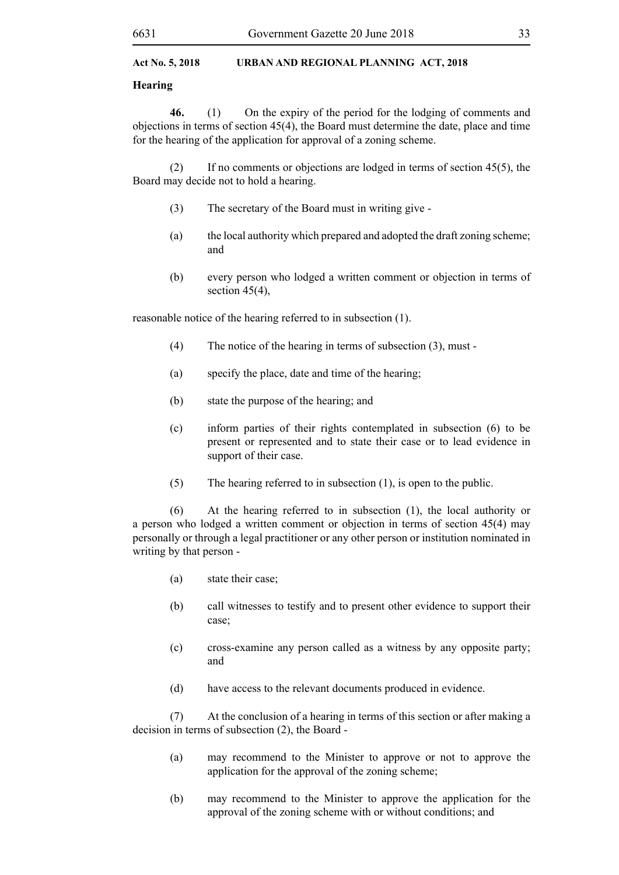#### **Hearing**

**46.** (1) On the expiry of the period for the lodging of comments and objections in terms of section 45(4), the Board must determine the date, place and time for the hearing of the application for approval of a zoning scheme.

(2) If no comments or objections are lodged in terms of section 45(5), the Board may decide not to hold a hearing.

- (3) The secretary of the Board must in writing give -
- (a) the local authority which prepared and adopted the draft zoning scheme; and
- (b) every person who lodged a written comment or objection in terms of section  $45(4)$ ,

reasonable notice of the hearing referred to in subsection (1).

- (4) The notice of the hearing in terms of subsection (3), must -
- (a) specify the place, date and time of the hearing;
- (b) state the purpose of the hearing; and
- (c) inform parties of their rights contemplated in subsection (6) to be present or represented and to state their case or to lead evidence in support of their case.
- (5) The hearing referred to in subsection (1), is open to the public.

(6) At the hearing referred to in subsection (1), the local authority or a person who lodged a written comment or objection in terms of section 45(4) may personally or through a legal practitioner or any other person or institution nominated in writing by that person -

- (a) state their case;
- (b) call witnesses to testify and to present other evidence to support their case;
- (c) cross-examine any person called as a witness by any opposite party; and
- (d) have access to the relevant documents produced in evidence.

(7) At the conclusion of a hearing in terms of this section or after making a decision in terms of subsection (2), the Board -

- (a) may recommend to the Minister to approve or not to approve the application for the approval of the zoning scheme;
- (b) may recommend to the Minister to approve the application for the approval of the zoning scheme with or without conditions; and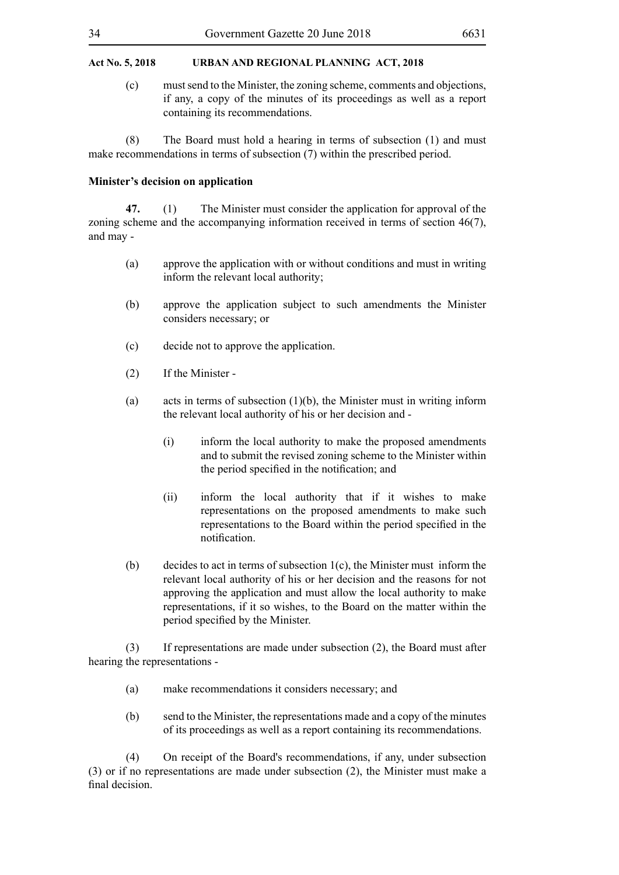(c) must send to the Minister, the zoning scheme, comments and objections, if any, a copy of the minutes of its proceedings as well as a report containing its recommendations.

(8) The Board must hold a hearing in terms of subsection (1) and must make recommendations in terms of subsection (7) within the prescribed period.

#### **Minister's decision on application**

**47.** (1) The Minister must consider the application for approval of the zoning scheme and the accompanying information received in terms of section 46(7), and may -

- (a) approve the application with or without conditions and must in writing inform the relevant local authority;
- (b) approve the application subject to such amendments the Minister considers necessary; or
- (c) decide not to approve the application.
- (2) If the Minister -
- (a) acts in terms of subsection  $(1)(b)$ , the Minister must in writing inform the relevant local authority of his or her decision and -
	- (i) inform the local authority to make the proposed amendments and to submit the revised zoning scheme to the Minister within the period specified in the notification; and
	- (ii) inform the local authority that if it wishes to make representations on the proposed amendments to make such representations to the Board within the period specified in the notification.
- (b) decides to act in terms of subsection 1(c), the Minister must inform the relevant local authority of his or her decision and the reasons for not approving the application and must allow the local authority to make representations, if it so wishes, to the Board on the matter within the period specified by the Minister.

(3) If representations are made under subsection (2), the Board must after hearing the representations -

- (a) make recommendations it considers necessary; and
- (b) send to the Minister, the representations made and a copy of the minutes of its proceedings as well as a report containing its recommendations.

(4) On receipt of the Board's recommendations, if any, under subsection (3) or if no representations are made under subsection (2), the Minister must make a final decision.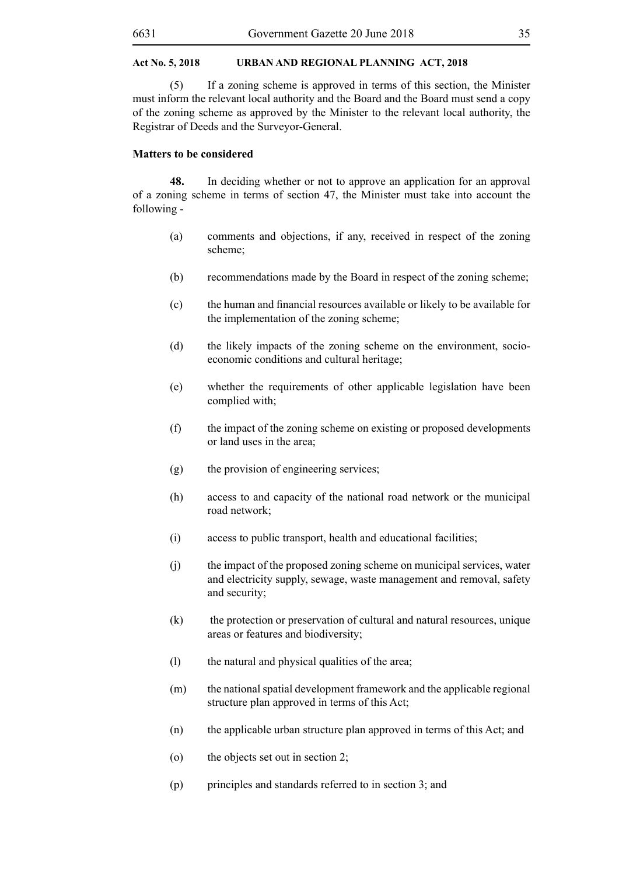(5) If a zoning scheme is approved in terms of this section, the Minister must inform the relevant local authority and the Board and the Board must send a copy of the zoning scheme as approved by the Minister to the relevant local authority, the Registrar of Deeds and the Surveyor-General.

### **Matters to be considered**

**48.** In deciding whether or not to approve an application for an approval of a zoning scheme in terms of section 47, the Minister must take into account the following -

- (a) comments and objections, if any, received in respect of the zoning scheme;
- (b) recommendations made by the Board in respect of the zoning scheme;
- (c) the human and financial resources available or likely to be available for the implementation of the zoning scheme;
- (d) the likely impacts of the zoning scheme on the environment, socioeconomic conditions and cultural heritage;
- (e) whether the requirements of other applicable legislation have been complied with;
- (f) the impact of the zoning scheme on existing or proposed developments or land uses in the area;
- (g) the provision of engineering services;
- (h) access to and capacity of the national road network or the municipal road network;
- (i) access to public transport, health and educational facilities;
- (j) the impact of the proposed zoning scheme on municipal services, water and electricity supply, sewage, waste management and removal, safety and security;
- (k) the protection or preservation of cultural and natural resources, unique areas or features and biodiversity;
- (l) the natural and physical qualities of the area;
- (m) the national spatial development framework and the applicable regional structure plan approved in terms of this Act;
- (n) the applicable urban structure plan approved in terms of this Act; and
- (o) the objects set out in section 2;
- (p) principles and standards referred to in section 3; and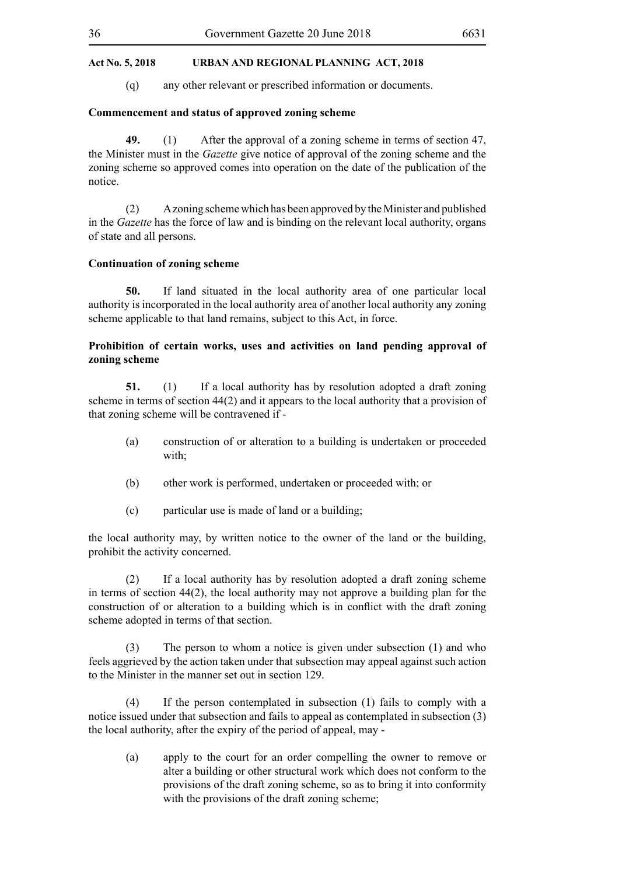(q) any other relevant or prescribed information or documents.

# **Commencement and status of approved zoning scheme**

**49.** (1) After the approval of a zoning scheme in terms of section 47, the Minister must in the *Gazette* give notice of approval of the zoning scheme and the zoning scheme so approved comes into operation on the date of the publication of the notice.

(2) A zoning scheme which has been approved by the Minister and published in the *Gazette* has the force of law and is binding on the relevant local authority, organs of state and all persons.

#### **Continuation of zoning scheme**

**50.** If land situated in the local authority area of one particular local authority is incorporated in the local authority area of another local authority any zoning scheme applicable to that land remains, subject to this Act, in force.

# **Prohibition of certain works, uses and activities on land pending approval of zoning scheme**

**51.** (1) If a local authority has by resolution adopted a draft zoning scheme in terms of section 44(2) and it appears to the local authority that a provision of that zoning scheme will be contravened if -

- (a) construction of or alteration to a building is undertaken or proceeded with;
- (b) other work is performed, undertaken or proceeded with; or
- (c) particular use is made of land or a building;

the local authority may, by written notice to the owner of the land or the building, prohibit the activity concerned.

(2) If a local authority has by resolution adopted a draft zoning scheme in terms of section 44(2), the local authority may not approve a building plan for the construction of or alteration to a building which is in conflict with the draft zoning scheme adopted in terms of that section.

(3) The person to whom a notice is given under subsection (1) and who feels aggrieved by the action taken under that subsection may appeal against such action to the Minister in the manner set out in section 129.

(4) If the person contemplated in subsection (1) fails to comply with a notice issued under that subsection and fails to appeal as contemplated in subsection (3) the local authority, after the expiry of the period of appeal, may -

(a) apply to the court for an order compelling the owner to remove or alter a building or other structural work which does not conform to the provisions of the draft zoning scheme, so as to bring it into conformity with the provisions of the draft zoning scheme;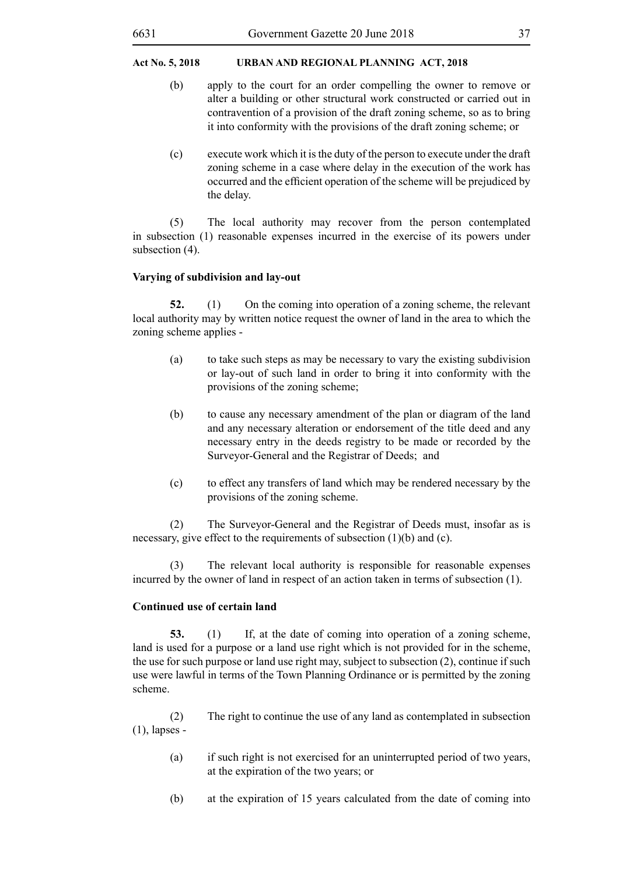- (b) apply to the court for an order compelling the owner to remove or alter a building or other structural work constructed or carried out in contravention of a provision of the draft zoning scheme, so as to bring it into conformity with the provisions of the draft zoning scheme; or
- (c) execute work which it is the duty of the person to execute under the draft zoning scheme in a case where delay in the execution of the work has occurred and the efficient operation of the scheme will be prejudiced by the delay.

(5) The local authority may recover from the person contemplated in subsection (1) reasonable expenses incurred in the exercise of its powers under subsection  $(4)$ .

#### **Varying of subdivision and lay-out**

**52.** (1) On the coming into operation of a zoning scheme, the relevant local authority may by written notice request the owner of land in the area to which the zoning scheme applies -

- (a) to take such steps as may be necessary to vary the existing subdivision or lay-out of such land in order to bring it into conformity with the provisions of the zoning scheme;
- (b) to cause any necessary amendment of the plan or diagram of the land and any necessary alteration or endorsement of the title deed and any necessary entry in the deeds registry to be made or recorded by the Surveyor-General and the Registrar of Deeds; and
- (c) to effect any transfers of land which may be rendered necessary by the provisions of the zoning scheme.

(2) The Surveyor-General and the Registrar of Deeds must, insofar as is necessary, give effect to the requirements of subsection (1)(b) and (c).

(3) The relevant local authority is responsible for reasonable expenses incurred by the owner of land in respect of an action taken in terms of subsection (1).

#### **Continued use of certain land**

**53.** (1) If, at the date of coming into operation of a zoning scheme, land is used for a purpose or a land use right which is not provided for in the scheme, the use for such purpose or land use right may, subject to subsection (2), continue if such use were lawful in terms of the Town Planning Ordinance or is permitted by the zoning scheme.

(2) The right to continue the use of any land as contemplated in subsection (1), lapses -

- (a) if such right is not exercised for an uninterrupted period of two years, at the expiration of the two years; or
- (b) at the expiration of 15 years calculated from the date of coming into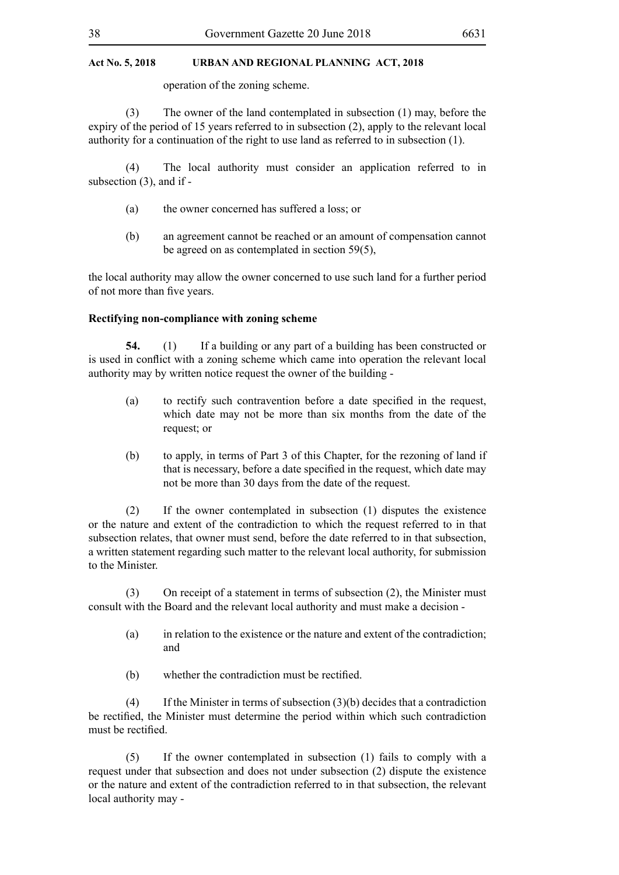operation of the zoning scheme.

(3) The owner of the land contemplated in subsection (1) may, before the expiry of the period of 15 years referred to in subsection (2), apply to the relevant local authority for a continuation of the right to use land as referred to in subsection (1).

(4) The local authority must consider an application referred to in subsection (3), and if -

- (a) the owner concerned has suffered a loss; or
- (b) an agreement cannot be reached or an amount of compensation cannot be agreed on as contemplated in section 59(5),

the local authority may allow the owner concerned to use such land for a further period of not more than five years.

#### **Rectifying non-compliance with zoning scheme**

**54.** (1) If a building or any part of a building has been constructed or is used in conflict with a zoning scheme which came into operation the relevant local authority may by written notice request the owner of the building -

- (a) to rectify such contravention before a date specified in the request, which date may not be more than six months from the date of the request; or
- (b) to apply, in terms of Part 3 of this Chapter, for the rezoning of land if that is necessary, before a date specified in the request, which date may not be more than 30 days from the date of the request.

(2) If the owner contemplated in subsection (1) disputes the existence or the nature and extent of the contradiction to which the request referred to in that subsection relates, that owner must send, before the date referred to in that subsection, a written statement regarding such matter to the relevant local authority, for submission to the Minister.

(3) On receipt of a statement in terms of subsection (2), the Minister must consult with the Board and the relevant local authority and must make a decision -

- (a) in relation to the existence or the nature and extent of the contradiction; and
- (b) whether the contradiction must be rectified.

(4) If the Minister in terms of subsection (3)(b) decides that a contradiction be rectified, the Minister must determine the period within which such contradiction must be rectified.

(5) If the owner contemplated in subsection (1) fails to comply with a request under that subsection and does not under subsection (2) dispute the existence or the nature and extent of the contradiction referred to in that subsection, the relevant local authority may -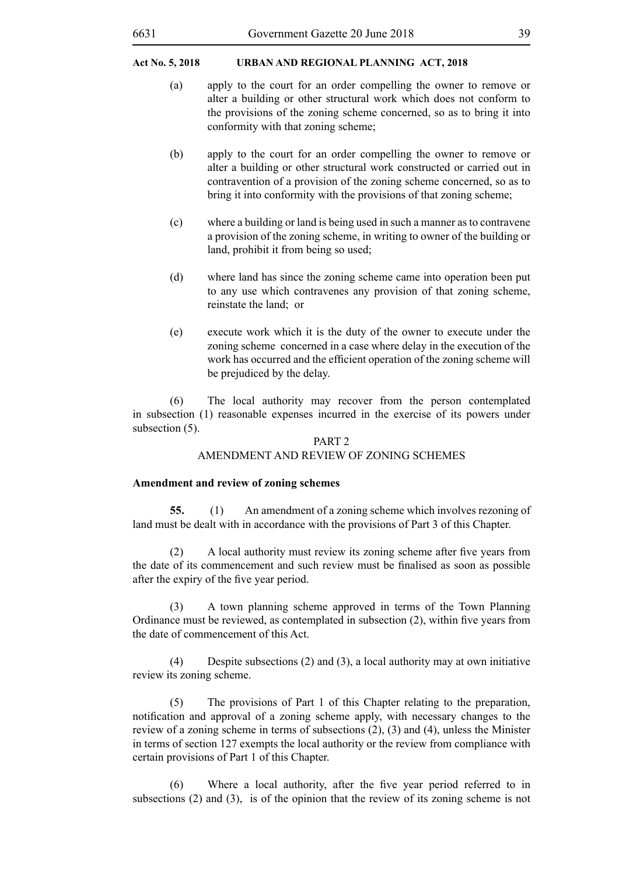- (a) apply to the court for an order compelling the owner to remove or alter a building or other structural work which does not conform to the provisions of the zoning scheme concerned, so as to bring it into conformity with that zoning scheme;
- (b) apply to the court for an order compelling the owner to remove or alter a building or other structural work constructed or carried out in contravention of a provision of the zoning scheme concerned, so as to bring it into conformity with the provisions of that zoning scheme;
- (c) where a building or land is being used in such a manner as to contravene a provision of the zoning scheme, in writing to owner of the building or land, prohibit it from being so used;
- (d) where land has since the zoning scheme came into operation been put to any use which contravenes any provision of that zoning scheme, reinstate the land; or
- (e) execute work which it is the duty of the owner to execute under the zoning scheme concerned in a case where delay in the execution of the work has occurred and the efficient operation of the zoning scheme will be prejudiced by the delay.

(6) The local authority may recover from the person contemplated in subsection (1) reasonable expenses incurred in the exercise of its powers under subsection (5).

#### PART<sub>2</sub>

# AMENDMENT AND REVIEW OF ZONING SCHEMES

#### **Amendment and review of zoning schemes**

**55.** (1) An amendment of a zoning scheme which involves rezoning of land must be dealt with in accordance with the provisions of Part 3 of this Chapter.

 (2) A local authority must review its zoning scheme after five years from the date of its commencement and such review must be finalised as soon as possible after the expiry of the five year period.

(3) A town planning scheme approved in terms of the Town Planning Ordinance must be reviewed, as contemplated in subsection (2), within five years from the date of commencement of this Act.

(4) Despite subsections (2) and (3), a local authority may at own initiative review its zoning scheme.

(5) The provisions of Part 1 of this Chapter relating to the preparation, notification and approval of a zoning scheme apply, with necessary changes to the review of a zoning scheme in terms of subsections (2), (3) and (4), unless the Minister in terms of section 127 exempts the local authority or the review from compliance with certain provisions of Part 1 of this Chapter.

 (6) Where a local authority, after the five year period referred to in subsections (2) and (3), is of the opinion that the review of its zoning scheme is not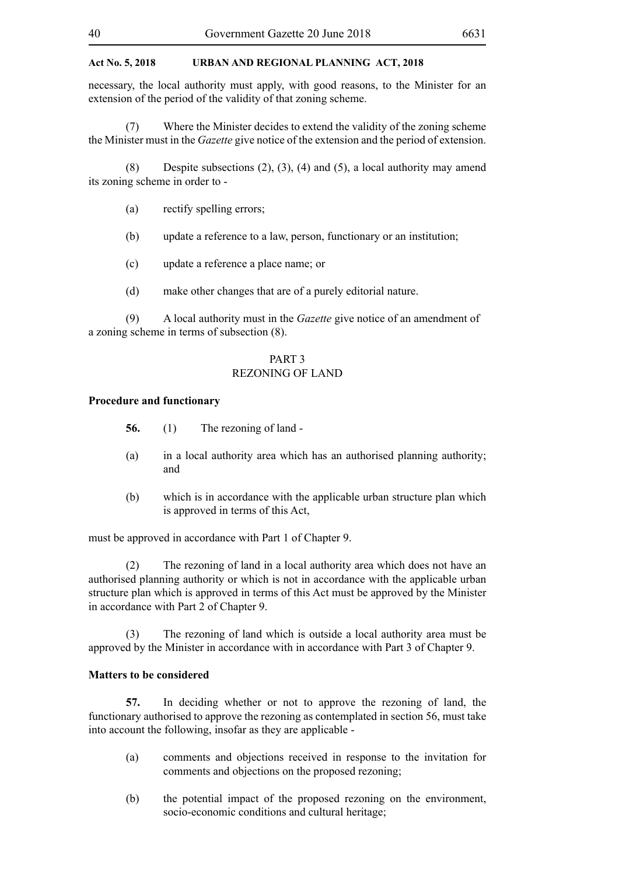necessary, the local authority must apply, with good reasons, to the Minister for an extension of the period of the validity of that zoning scheme.

(7) Where the Minister decides to extend the validity of the zoning scheme the Minister must in the *Gazette* give notice of the extension and the period of extension.

(8) Despite subsections (2), (3), (4) and (5), a local authority may amend its zoning scheme in order to -

- (a) rectify spelling errors;
- (b) update a reference to a law, person, functionary or an institution;
- (c) update a reference a place name; or
- (d) make other changes that are of a purely editorial nature.

(9) A local authority must in the *Gazette* give notice of an amendment of a zoning scheme in terms of subsection (8).

# PART 3 REZONING OF LAND

#### **Procedure and functionary**

**56.** (1) The rezoning of land -

- (a) in a local authority area which has an authorised planning authority; and
- (b) which is in accordance with the applicable urban structure plan which is approved in terms of this Act,

must be approved in accordance with Part 1 of Chapter 9.

(2) The rezoning of land in a local authority area which does not have an authorised planning authority or which is not in accordance with the applicable urban structure plan which is approved in terms of this Act must be approved by the Minister in accordance with Part 2 of Chapter 9.

(3) The rezoning of land which is outside a local authority area must be approved by the Minister in accordance with in accordance with Part 3 of Chapter 9.

#### **Matters to be considered**

**57.** In deciding whether or not to approve the rezoning of land, the functionary authorised to approve the rezoning as contemplated in section 56, must take into account the following, insofar as they are applicable -

- (a) comments and objections received in response to the invitation for comments and objections on the proposed rezoning;
- (b) the potential impact of the proposed rezoning on the environment, socio-economic conditions and cultural heritage;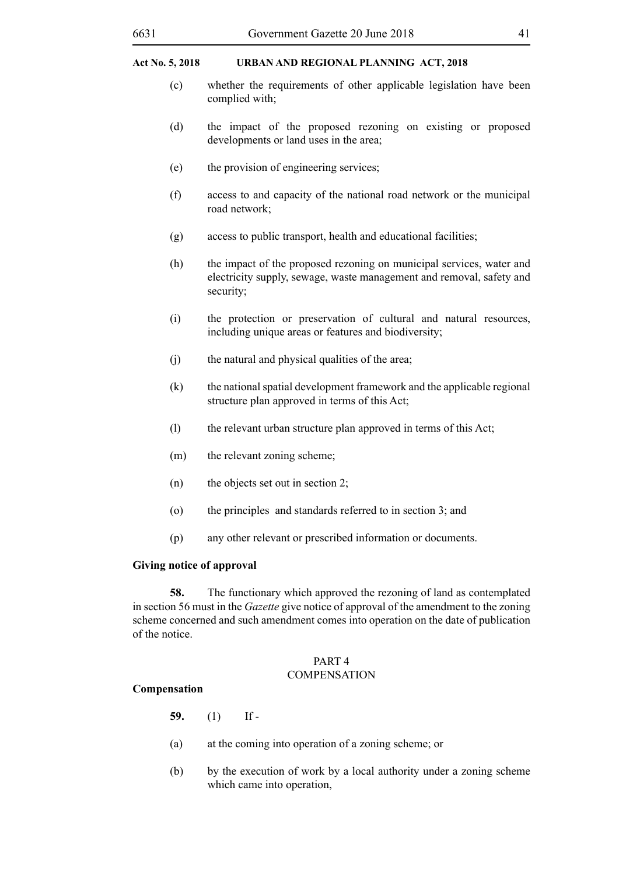- (c) whether the requirements of other applicable legislation have been complied with;
- (d) the impact of the proposed rezoning on existing or proposed developments or land uses in the area;
- (e) the provision of engineering services;
- (f) access to and capacity of the national road network or the municipal road network;
- (g) access to public transport, health and educational facilities;
- (h) the impact of the proposed rezoning on municipal services, water and electricity supply, sewage, waste management and removal, safety and security;
- (i) the protection or preservation of cultural and natural resources, including unique areas or features and biodiversity;
- (j) the natural and physical qualities of the area;
- (k) the national spatial development framework and the applicable regional structure plan approved in terms of this Act;
- (l) the relevant urban structure plan approved in terms of this Act;
- (m) the relevant zoning scheme;
- (n) the objects set out in section 2;
- (o) the principles and standards referred to in section 3; and
- (p) any other relevant or prescribed information or documents.

# **Giving notice of approval**

**58.** The functionary which approved the rezoning of land as contemplated in section 56 must in the *Gazette* give notice of approval of the amendment to the zoning scheme concerned and such amendment comes into operation on the date of publication of the notice.

#### PART 4 **COMPENSATION**

# **Compensation**

- **59.** (1) If -
- (a) at the coming into operation of a zoning scheme; or
- (b) by the execution of work by a local authority under a zoning scheme which came into operation,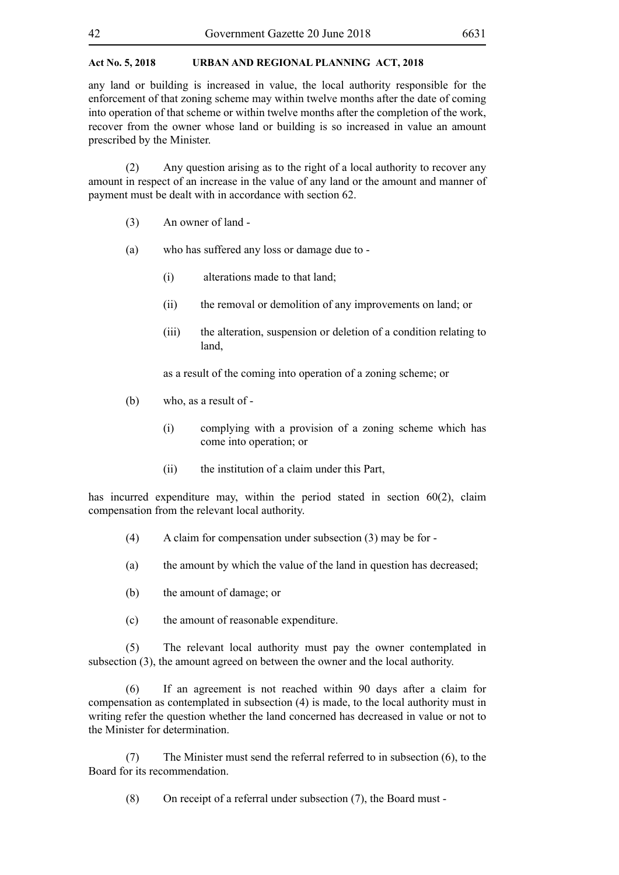any land or building is increased in value, the local authority responsible for the enforcement of that zoning scheme may within twelve months after the date of coming into operation of that scheme or within twelve months after the completion of the work, recover from the owner whose land or building is so increased in value an amount prescribed by the Minister.

(2) Any question arising as to the right of a local authority to recover any amount in respect of an increase in the value of any land or the amount and manner of payment must be dealt with in accordance with section 62.

- (3) An owner of land -
- (a) who has suffered any loss or damage due to
	- (i) alterations made to that land;
	- (ii) the removal or demolition of any improvements on land; or
	- (iii) the alteration, suspension or deletion of a condition relating to land,

as a result of the coming into operation of a zoning scheme; or

- (b) who, as a result of
	- (i) complying with a provision of a zoning scheme which has come into operation; or
	- (ii) the institution of a claim under this Part,

has incurred expenditure may, within the period stated in section 60(2), claim compensation from the relevant local authority.

- (4) A claim for compensation under subsection (3) may be for -
- (a) the amount by which the value of the land in question has decreased;
- (b) the amount of damage; or
- (c) the amount of reasonable expenditure.

(5) The relevant local authority must pay the owner contemplated in subsection (3), the amount agreed on between the owner and the local authority.

(6) If an agreement is not reached within 90 days after a claim for compensation as contemplated in subsection (4) is made, to the local authority must in writing refer the question whether the land concerned has decreased in value or not to the Minister for determination.

(7) The Minister must send the referral referred to in subsection (6), to the Board for its recommendation.

(8) On receipt of a referral under subsection (7), the Board must -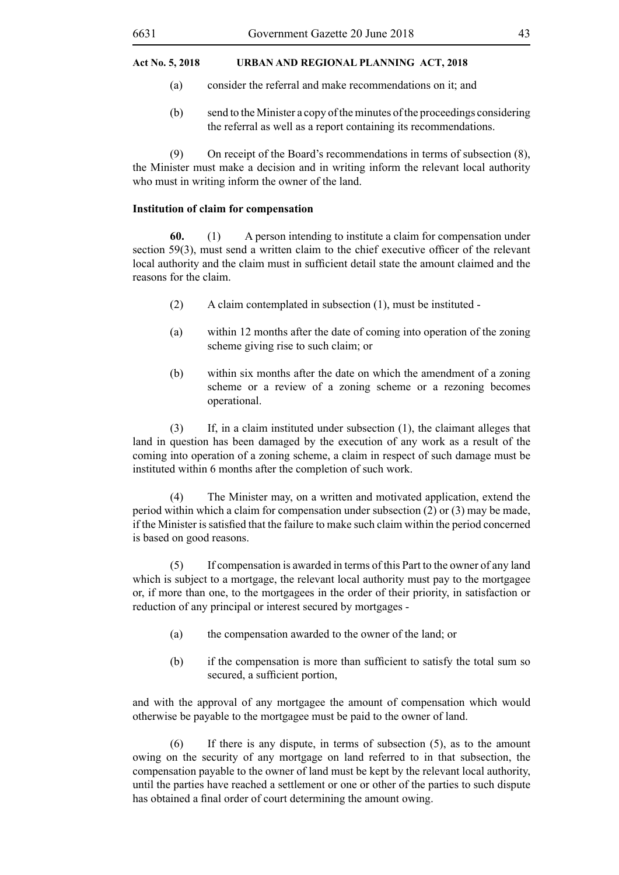- (a) consider the referral and make recommendations on it; and
- (b) send to the Minister a copy of the minutes of the proceedings considering the referral as well as a report containing its recommendations.

(9) On receipt of the Board's recommendations in terms of subsection (8), the Minister must make a decision and in writing inform the relevant local authority who must in writing inform the owner of the land.

#### **Institution of claim for compensation**

**60.** (1) A person intending to institute a claim for compensation under section 59(3), must send a written claim to the chief executive officer of the relevant local authority and the claim must in sufficient detail state the amount claimed and the reasons for the claim.

- (2) A claim contemplated in subsection (1), must be instituted -
- (a) within 12 months after the date of coming into operation of the zoning scheme giving rise to such claim; or
- (b) within six months after the date on which the amendment of a zoning scheme or a review of a zoning scheme or a rezoning becomes operational.

(3) If, in a claim instituted under subsection (1), the claimant alleges that land in question has been damaged by the execution of any work as a result of the coming into operation of a zoning scheme, a claim in respect of such damage must be instituted within 6 months after the completion of such work.

(4) The Minister may, on a written and motivated application, extend the period within which a claim for compensation under subsection (2) or (3) may be made, if the Minister issatisfied that the failure to make such claim within the period concerned is based on good reasons.

(5) If compensation is awarded in terms of this Part to the owner of any land which is subject to a mortgage, the relevant local authority must pay to the mortgagee or, if more than one, to the mortgagees in the order of their priority, in satisfaction or reduction of any principal or interest secured by mortgages -

- (a) the compensation awarded to the owner of the land; or
- (b) if the compensation is more than sufficient to satisfy the total sum so secured, a sufficient portion,

and with the approval of any mortgagee the amount of compensation which would otherwise be payable to the mortgagee must be paid to the owner of land.

(6) If there is any dispute, in terms of subsection (5), as to the amount owing on the security of any mortgage on land referred to in that subsection, the compensation payable to the owner of land must be kept by the relevant local authority, until the parties have reached a settlement or one or other of the parties to such dispute has obtained a final order of court determining the amount owing.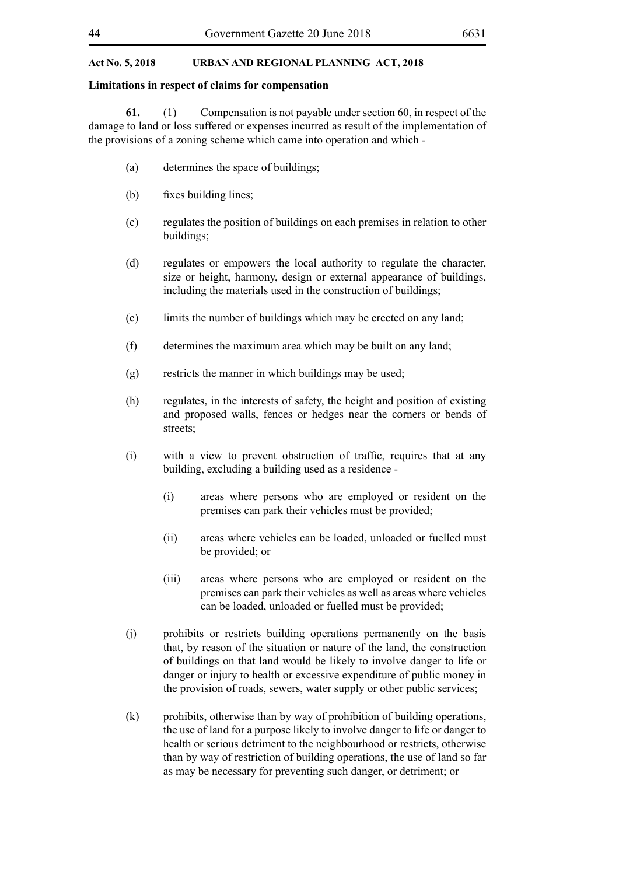#### **Limitations in respect of claims for compensation**

**61.** (1) Compensation is not payable under section 60, in respect of the damage to land or loss suffered or expenses incurred as result of the implementation of the provisions of a zoning scheme which came into operation and which -

- (a) determines the space of buildings;
- (b) fixes building lines;
- (c) regulates the position of buildings on each premises in relation to other buildings;
- (d) regulates or empowers the local authority to regulate the character, size or height, harmony, design or external appearance of buildings, including the materials used in the construction of buildings;
- (e) limits the number of buildings which may be erected on any land;
- (f) determines the maximum area which may be built on any land;
- (g) restricts the manner in which buildings may be used;
- (h) regulates, in the interests of safety, the height and position of existing and proposed walls, fences or hedges near the corners or bends of streets;
- (i) with a view to prevent obstruction of traffic, requires that at any building, excluding a building used as a residence -
	- (i) areas where persons who are employed or resident on the premises can park their vehicles must be provided;
	- (ii) areas where vehicles can be loaded, unloaded or fuelled must be provided; or
	- (iii) areas where persons who are employed or resident on the premises can park their vehicles as well as areas where vehicles can be loaded, unloaded or fuelled must be provided;
- (j) prohibits or restricts building operations permanently on the basis that, by reason of the situation or nature of the land, the construction of buildings on that land would be likely to involve danger to life or danger or injury to health or excessive expenditure of public money in the provision of roads, sewers, water supply or other public services;
- (k) prohibits, otherwise than by way of prohibition of building operations, the use of land for a purpose likely to involve danger to life or danger to health or serious detriment to the neighbourhood or restricts, otherwise than by way of restriction of building operations, the use of land so far as may be necessary for preventing such danger, or detriment; or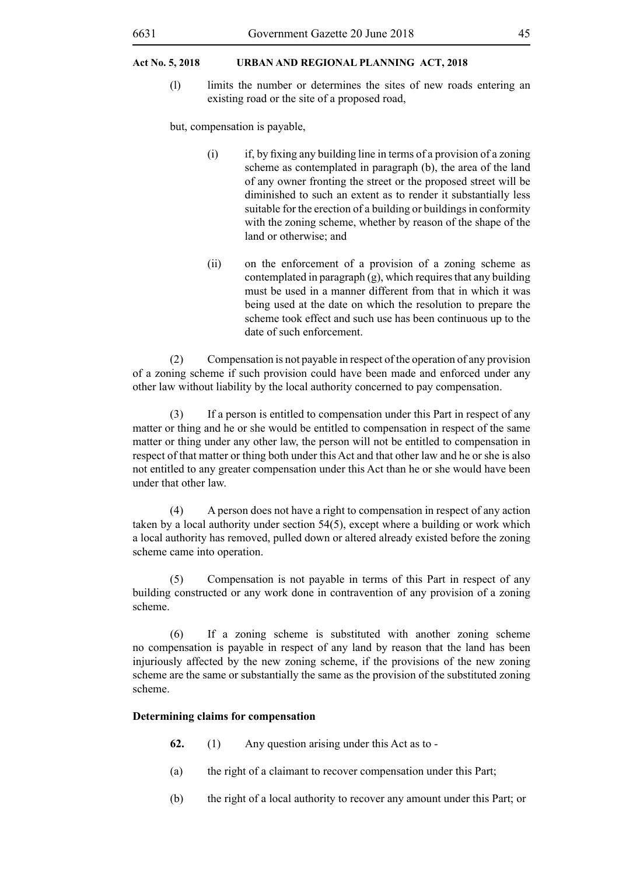(l) limits the number or determines the sites of new roads entering an existing road or the site of a proposed road,

but, compensation is payable,

- $(i)$  if, by fixing any building line in terms of a provision of a zoning scheme as contemplated in paragraph (b), the area of the land of any owner fronting the street or the proposed street will be diminished to such an extent as to render it substantially less suitable for the erection of a building or buildings in conformity with the zoning scheme, whether by reason of the shape of the land or otherwise; and
- (ii) on the enforcement of a provision of a zoning scheme as contemplated in paragraph (g), which requires that any building must be used in a manner different from that in which it was being used at the date on which the resolution to prepare the scheme took effect and such use has been continuous up to the date of such enforcement.

(2) Compensation is not payable in respect of the operation of any provision of a zoning scheme if such provision could have been made and enforced under any other law without liability by the local authority concerned to pay compensation.

(3) If a person is entitled to compensation under this Part in respect of any matter or thing and he or she would be entitled to compensation in respect of the same matter or thing under any other law, the person will not be entitled to compensation in respect of that matter or thing both under this Act and that other law and he or she is also not entitled to any greater compensation under this Act than he or she would have been under that other law.

(4) A person does not have a right to compensation in respect of any action taken by a local authority under section 54(5), except where a building or work which a local authority has removed, pulled down or altered already existed before the zoning scheme came into operation.

(5) Compensation is not payable in terms of this Part in respect of any building constructed or any work done in contravention of any provision of a zoning scheme.

(6) If a zoning scheme is substituted with another zoning scheme no compensation is payable in respect of any land by reason that the land has been injuriously affected by the new zoning scheme, if the provisions of the new zoning scheme are the same or substantially the same as the provision of the substituted zoning scheme.

# **Determining claims for compensation**

- **62.** (1) Any question arising under this Act as to -
- (a) the right of a claimant to recover compensation under this Part;
- (b) the right of a local authority to recover any amount under this Part; or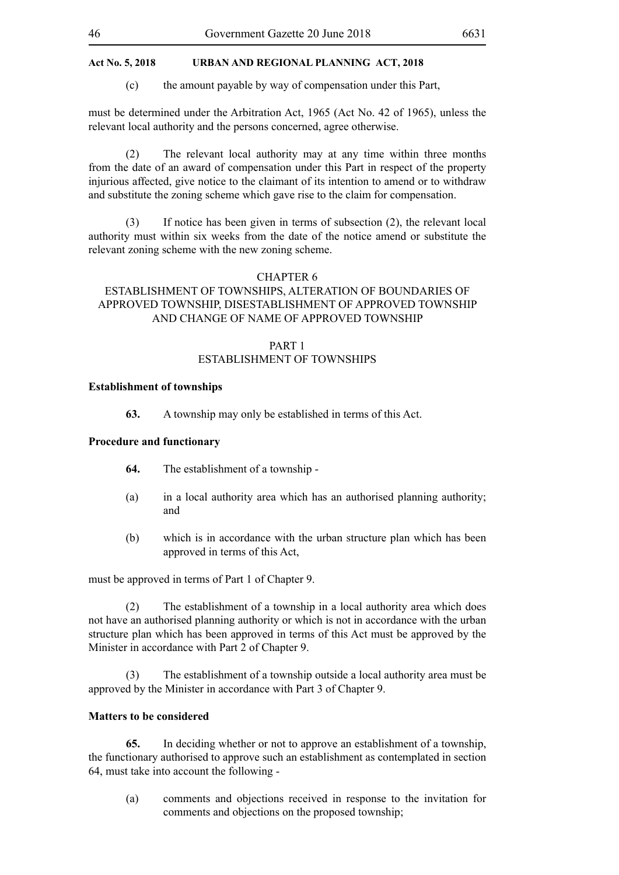(c) the amount payable by way of compensation under this Part,

must be determined under the Arbitration Act, 1965 (Act No. 42 of 1965), unless the relevant local authority and the persons concerned, agree otherwise.

(2) The relevant local authority may at any time within three months from the date of an award of compensation under this Part in respect of the property injurious affected, give notice to the claimant of its intention to amend or to withdraw and substitute the zoning scheme which gave rise to the claim for compensation.

(3) If notice has been given in terms of subsection (2), the relevant local authority must within six weeks from the date of the notice amend or substitute the relevant zoning scheme with the new zoning scheme.

#### CHAPTER 6

# ESTABLISHMENT OF TOWNSHIPS, ALTERATION OF BOUNDARIES OF APPROVED TOWNSHIP, DISESTABLISHMENT OF APPROVED TOWNSHIP AND CHANGE OF NAME OF APPROVED TOWNSHIP

# PART 1 ESTABLISHMENT OF TOWNSHIPS

#### **Establishment of townships**

**63.** A township may only be established in terms of this Act.

#### **Procedure and functionary**

- **64.** The establishment of a township -
- (a) in a local authority area which has an authorised planning authority; and
- (b) which is in accordance with the urban structure plan which has been approved in terms of this Act,

must be approved in terms of Part 1 of Chapter 9.

(2) The establishment of a township in a local authority area which does not have an authorised planning authority or which is not in accordance with the urban structure plan which has been approved in terms of this Act must be approved by the Minister in accordance with Part 2 of Chapter 9.

(3) The establishment of a township outside a local authority area must be approved by the Minister in accordance with Part 3 of Chapter 9.

# **Matters to be considered**

**65.** In deciding whether or not to approve an establishment of a township, the functionary authorised to approve such an establishment as contemplated in section 64, must take into account the following -

(a) comments and objections received in response to the invitation for comments and objections on the proposed township;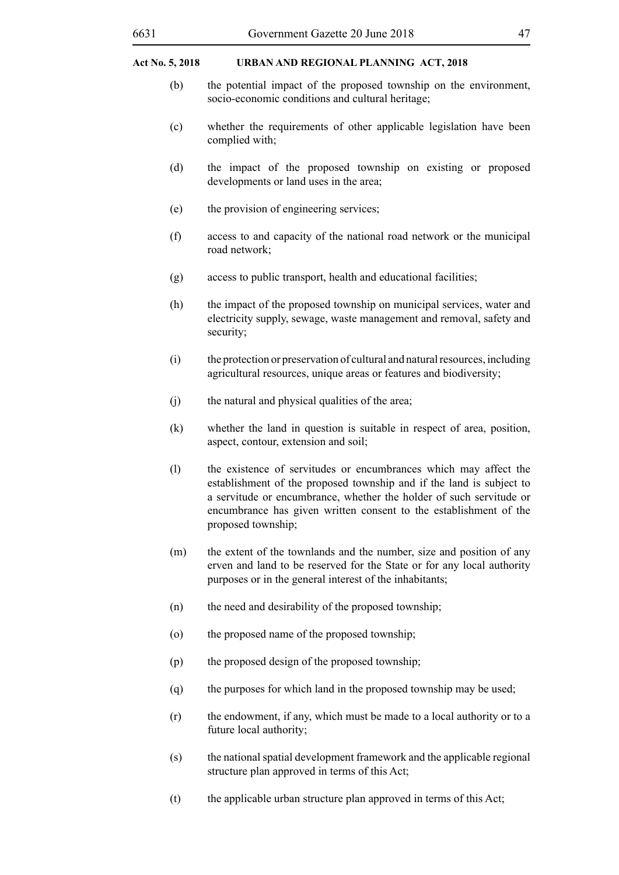- (b) the potential impact of the proposed township on the environment, socio-economic conditions and cultural heritage;
- (c) whether the requirements of other applicable legislation have been complied with;
- (d) the impact of the proposed township on existing or proposed developments or land uses in the area;
- (e) the provision of engineering services;
- (f) access to and capacity of the national road network or the municipal road network;
- (g) access to public transport, health and educational facilities;
- (h) the impact of the proposed township on municipal services, water and electricity supply, sewage, waste management and removal, safety and security;
- (i) the protection or preservation of cultural and natural resources, including agricultural resources, unique areas or features and biodiversity;
- (j) the natural and physical qualities of the area;
- (k) whether the land in question is suitable in respect of area, position, aspect, contour, extension and soil;
- (l) the existence of servitudes or encumbrances which may affect the establishment of the proposed township and if the land is subject to a servitude or encumbrance, whether the holder of such servitude or encumbrance has given written consent to the establishment of the proposed township;
- (m) the extent of the townlands and the number, size and position of any erven and land to be reserved for the State or for any local authority purposes or in the general interest of the inhabitants;
- (n) the need and desirability of the proposed township;
- (o) the proposed name of the proposed township;
- (p) the proposed design of the proposed township;
- (q) the purposes for which land in the proposed township may be used;
- (r) the endowment, if any, which must be made to a local authority or to a future local authority;
- (s) the national spatial development framework and the applicable regional structure plan approved in terms of this Act;
- (t) the applicable urban structure plan approved in terms of this Act;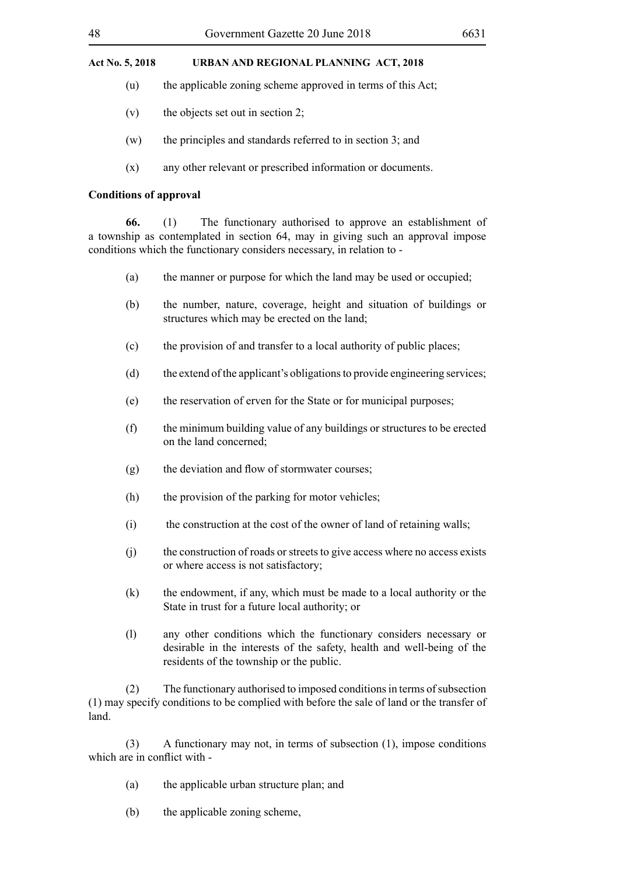- (u) the applicable zoning scheme approved in terms of this Act;
- (v) the objects set out in section 2;
- (w) the principles and standards referred to in section 3; and
- (x) any other relevant or prescribed information or documents.

#### **Conditions of approval**

**66.** (1) The functionary authorised to approve an establishment of a township as contemplated in section 64, may in giving such an approval impose conditions which the functionary considers necessary, in relation to -

- (a) the manner or purpose for which the land may be used or occupied;
- (b) the number, nature, coverage, height and situation of buildings or structures which may be erected on the land;
- (c) the provision of and transfer to a local authority of public places;
- (d) the extend of the applicant's obligations to provide engineering services;
- (e) the reservation of erven for the State or for municipal purposes;
- (f) the minimum building value of any buildings or structures to be erected on the land concerned;
- (g) the deviation and flow of stormwater courses;
- (h) the provision of the parking for motor vehicles;
- (i) the construction at the cost of the owner of land of retaining walls;
- (j) the construction of roads or streets to give access where no access exists or where access is not satisfactory;
- (k) the endowment, if any, which must be made to a local authority or the State in trust for a future local authority; or
- (l) any other conditions which the functionary considers necessary or desirable in the interests of the safety, health and well-being of the residents of the township or the public.

(2) The functionary authorised to imposed conditions in terms of subsection (1) may specify conditions to be complied with before the sale of land or the transfer of land.

(3) A functionary may not, in terms of subsection (1), impose conditions which are in conflict with -

- (a) the applicable urban structure plan; and
- (b) the applicable zoning scheme,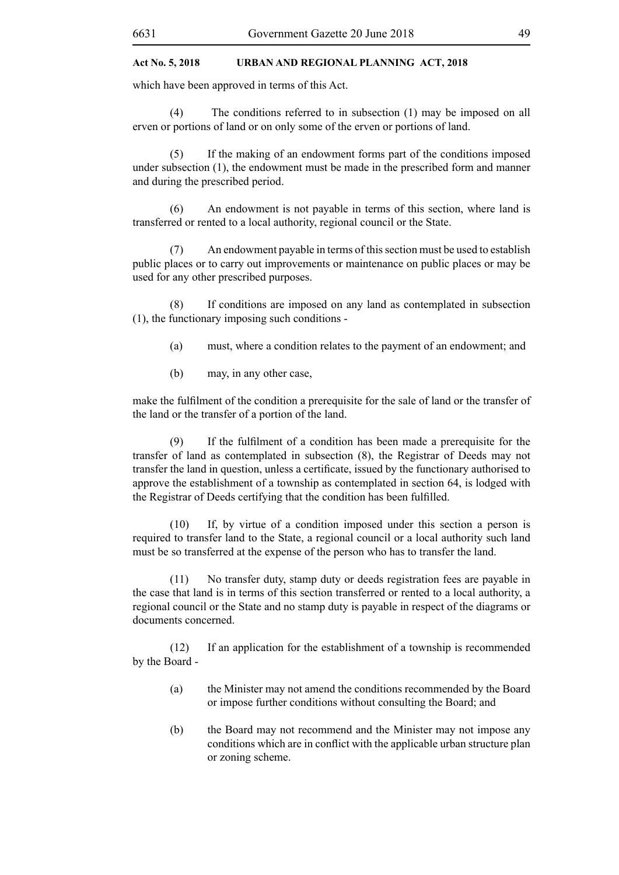which have been approved in terms of this Act.

(4) The conditions referred to in subsection (1) may be imposed on all erven or portions of land or on only some of the erven or portions of land.

(5) If the making of an endowment forms part of the conditions imposed under subsection (1), the endowment must be made in the prescribed form and manner and during the prescribed period.

(6) An endowment is not payable in terms of this section, where land is transferred or rented to a local authority, regional council or the State.

(7) An endowment payable in terms of this section must be used to establish public places or to carry out improvements or maintenance on public places or may be used for any other prescribed purposes.

(8) If conditions are imposed on any land as contemplated in subsection (1), the functionary imposing such conditions -

- (a) must, where a condition relates to the payment of an endowment; and
- (b) may, in any other case,

make the fulfilment of the condition a prerequisite for the sale of land or the transfer of the land or the transfer of a portion of the land.

 (9) If the fulfilment of a condition has been made a prerequisite for the transfer of land as contemplated in subsection (8), the Registrar of Deeds may not transfer the land in question, unless a certificate, issued by the functionary authorised to approve the establishment of a township as contemplated in section 64, is lodged with the Registrar of Deeds certifying that the condition has been fulfilled.

(10) If, by virtue of a condition imposed under this section a person is required to transfer land to the State, a regional council or a local authority such land must be so transferred at the expense of the person who has to transfer the land.

(11) No transfer duty, stamp duty or deeds registration fees are payable in the case that land is in terms of this section transferred or rented to a local authority, a regional council or the State and no stamp duty is payable in respect of the diagrams or documents concerned.

(12) If an application for the establishment of a township is recommended by the Board -

- (a) the Minister may not amend the conditions recommended by the Board or impose further conditions without consulting the Board; and
- (b) the Board may not recommend and the Minister may not impose any conditions which are in conflict with the applicable urban structure plan or zoning scheme.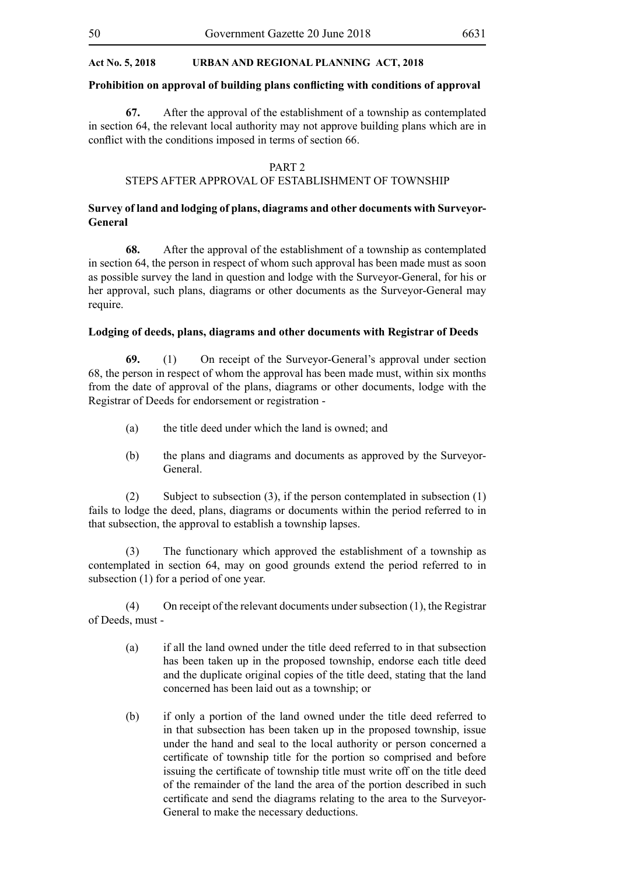#### **Prohibition on approval of building plans conflicting with conditions of approval**

**67.** After the approval of the establishment of a township as contemplated in section 64, the relevant local authority may not approve building plans which are in conflict with the conditions imposed in terms of section 66.

#### PART 2

#### STEPS AFTER APPROVAL OF ESTABLISHMENT OF TOWNSHIP

# **Survey of land and lodging of plans, diagrams and other documents with Surveyor-General**

**68.** After the approval of the establishment of a township as contemplated in section 64, the person in respect of whom such approval has been made must as soon as possible survey the land in question and lodge with the Surveyor-General, for his or her approval, such plans, diagrams or other documents as the Surveyor-General may require.

#### **Lodging of deeds, plans, diagrams and other documents with Registrar of Deeds**

**69.** (1) On receipt of the Surveyor-General's approval under section 68, the person in respect of whom the approval has been made must, within six months from the date of approval of the plans, diagrams or other documents, lodge with the Registrar of Deeds for endorsement or registration -

- (a) the title deed under which the land is owned; and
- (b) the plans and diagrams and documents as approved by the Surveyor-General.

(2) Subject to subsection (3), if the person contemplated in subsection (1) fails to lodge the deed, plans, diagrams or documents within the period referred to in that subsection, the approval to establish a township lapses.

(3) The functionary which approved the establishment of a township as contemplated in section 64, may on good grounds extend the period referred to in subsection (1) for a period of one year.

(4) On receipt of the relevant documents under subsection (1), the Registrar of Deeds, must -

- (a) if all the land owned under the title deed referred to in that subsection has been taken up in the proposed township, endorse each title deed and the duplicate original copies of the title deed, stating that the land concerned has been laid out as a township; or
- (b) if only a portion of the land owned under the title deed referred to in that subsection has been taken up in the proposed township, issue under the hand and seal to the local authority or person concerned a certificate of township title for the portion so comprised and before issuing the certificate of township title must write off on the title deed of the remainder of the land the area of the portion described in such certificate and send the diagrams relating to the area to the Surveyor-General to make the necessary deductions.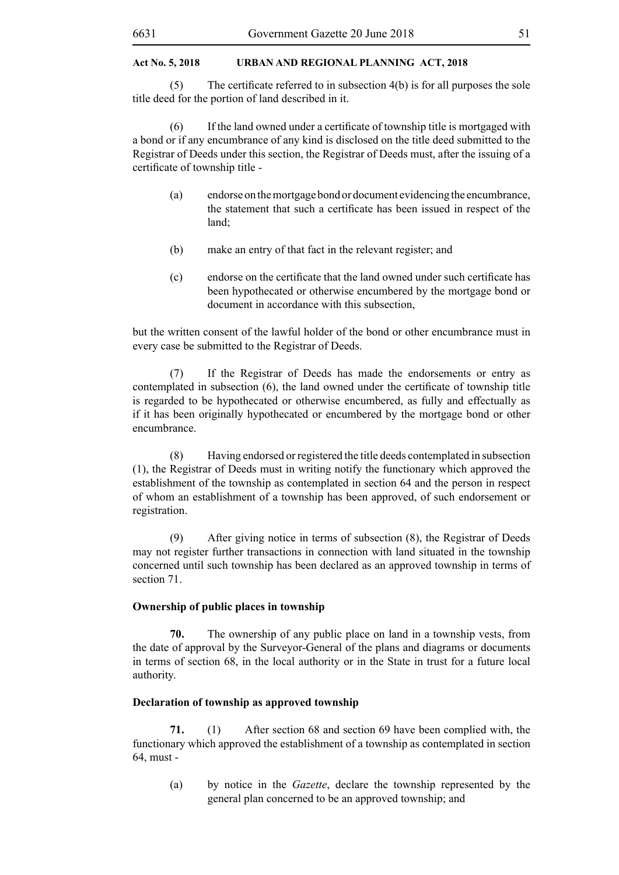(5) The certificate referred to in subsection 4(b) is for all purposes the sole title deed for the portion of land described in it.

 (6) If the land owned under a certificate of township title is mortgaged with a bond or if any encumbrance of any kind is disclosed on the title deed submitted to the Registrar of Deeds under this section, the Registrar of Deeds must, after the issuing of a certificate of township title -

- (a) endorse on the mortgage bond or document evidencing the encumbrance, the statement that such a certificate has been issued in respect of the land;
- (b) make an entry of that fact in the relevant register; and
- (c) endorse on the certificate that the land owned under such certificate has been hypothecated or otherwise encumbered by the mortgage bond or document in accordance with this subsection,

but the written consent of the lawful holder of the bond or other encumbrance must in every case be submitted to the Registrar of Deeds.

(7) If the Registrar of Deeds has made the endorsements or entry as contemplated in subsection (6), the land owned under the certificate of township title is regarded to be hypothecated or otherwise encumbered, as fully and effectually as if it has been originally hypothecated or encumbered by the mortgage bond or other encumbrance.

(8) Having endorsed or registered the title deeds contemplated in subsection (1), the Registrar of Deeds must in writing notify the functionary which approved the establishment of the township as contemplated in section 64 and the person in respect of whom an establishment of a township has been approved, of such endorsement or registration.

(9) After giving notice in terms of subsection (8), the Registrar of Deeds may not register further transactions in connection with land situated in the township concerned until such township has been declared as an approved township in terms of section 71.

#### **Ownership of public places in township**

**70.** The ownership of any public place on land in a township vests, from the date of approval by the Surveyor-General of the plans and diagrams or documents in terms of section 68, in the local authority or in the State in trust for a future local authority.

#### **Declaration of township as approved township**

**71.** (1) After section 68 and section 69 have been complied with, the functionary which approved the establishment of a township as contemplated in section 64, must -

(a) by notice in the *Gazette*, declare the township represented by the general plan concerned to be an approved township; and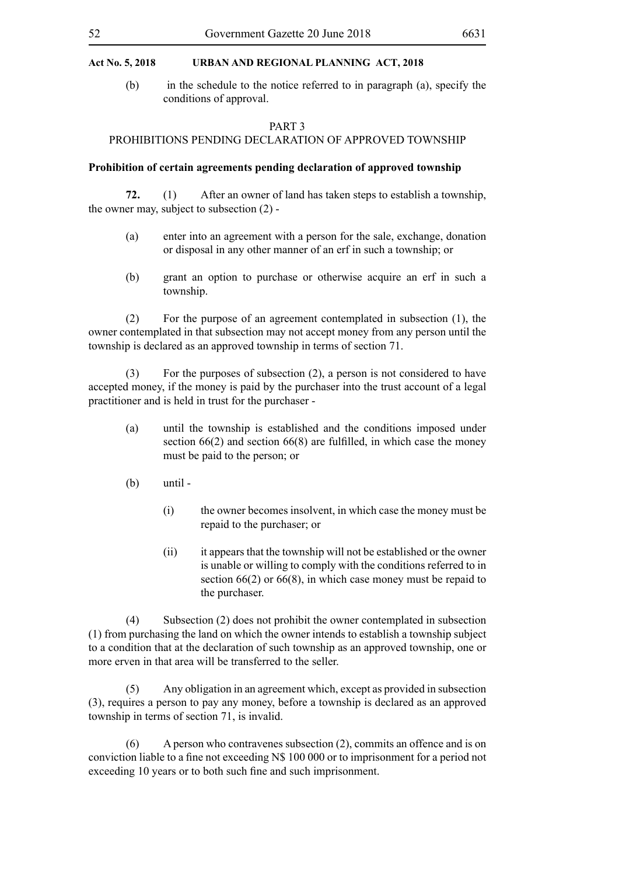(b) in the schedule to the notice referred to in paragraph (a), specify the conditions of approval.

#### PART 3

#### PROHIBITIONS PENDING DECLARATION OF APPROVED TOWNSHIP

# **Prohibition of certain agreements pending declaration of approved township**

**72.** (1) After an owner of land has taken steps to establish a township, the owner may, subject to subsection (2) -

- (a) enter into an agreement with a person for the sale, exchange, donation or disposal in any other manner of an erf in such a township; or
- (b) grant an option to purchase or otherwise acquire an erf in such a township.

(2) For the purpose of an agreement contemplated in subsection (1), the owner contemplated in that subsection may not accept money from any person until the township is declared as an approved township in terms of section 71.

(3) For the purposes of subsection (2), a person is not considered to have accepted money, if the money is paid by the purchaser into the trust account of a legal practitioner and is held in trust for the purchaser -

- (a) until the township is established and the conditions imposed under section 66(2) and section 66(8) are fulfilled, in which case the money must be paid to the person; or
- (b) until
	- (i) the owner becomes insolvent, in which case the money must be repaid to the purchaser; or
	- (ii) it appears that the township will not be established or the owner is unable or willing to comply with the conditions referred to in section 66(2) or 66(8), in which case money must be repaid to the purchaser.

(4) Subsection (2) does not prohibit the owner contemplated in subsection (1) from purchasing the land on which the owner intends to establish a township subject to a condition that at the declaration of such township as an approved township, one or more erven in that area will be transferred to the seller.

(5) Any obligation in an agreement which, except as provided in subsection (3), requires a person to pay any money, before a township is declared as an approved township in terms of section 71, is invalid.

(6) A person who contravenes subsection (2), commits an offence and is on conviction liable to a fine not exceeding N\$ 100 000 or to imprisonment for a period not exceeding 10 years or to both such fine and such imprisonment.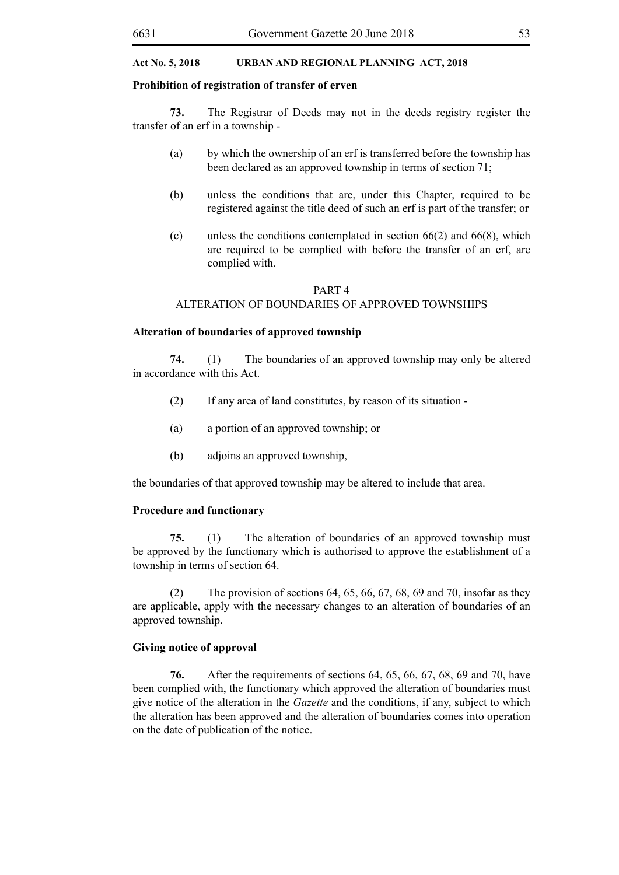#### **Prohibition of registration of transfer of erven**

**73.** The Registrar of Deeds may not in the deeds registry register the transfer of an erf in a township -

- (a) by which the ownership of an erf is transferred before the township has been declared as an approved township in terms of section 71;
- (b) unless the conditions that are, under this Chapter, required to be registered against the title deed of such an erf is part of the transfer; or
- (c) unless the conditions contemplated in section 66(2) and 66(8), which are required to be complied with before the transfer of an erf, are complied with.

#### PART 4

# ALTERATION OF BOUNDARIES OF APPROVED TOWNSHIPS

#### **Alteration of boundaries of approved township**

**74.** (1) The boundaries of an approved township may only be altered in accordance with this Act.

- (2) If any area of land constitutes, by reason of its situation -
- (a) a portion of an approved township; or
- (b) adjoins an approved township,

the boundaries of that approved township may be altered to include that area.

#### **Procedure and functionary**

**75.** (1) The alteration of boundaries of an approved township must be approved by the functionary which is authorised to approve the establishment of a township in terms of section 64.

(2) The provision of sections  $64, 65, 66, 67, 68, 69$  and  $70$ , insofar as they are applicable, apply with the necessary changes to an alteration of boundaries of an approved township.

#### **Giving notice of approval**

**76.** After the requirements of sections 64, 65, 66, 67, 68, 69 and 70, have been complied with, the functionary which approved the alteration of boundaries must give notice of the alteration in the *Gazette* and the conditions, if any, subject to which the alteration has been approved and the alteration of boundaries comes into operation on the date of publication of the notice.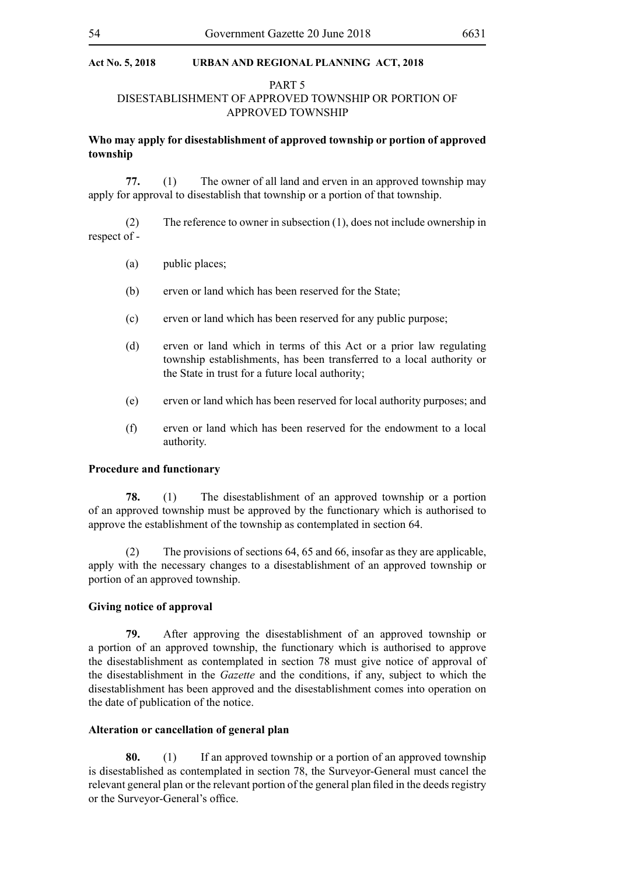#### PART 5

# DISESTABLISHMENT OF APPROVED TOWNSHIP OR PORTION OF APPROVED TOWNSHIP

# **Who may apply for disestablishment of approved township or portion of approved township**

**77.** (1) The owner of all land and erven in an approved township may apply for approval to disestablish that township or a portion of that township.

- (2) The reference to owner in subsection (1), does not include ownership in respect of -
	- (a) public places;
	- (b) erven or land which has been reserved for the State;
	- (c) erven or land which has been reserved for any public purpose;
	- (d) erven or land which in terms of this Act or a prior law regulating township establishments, has been transferred to a local authority or the State in trust for a future local authority;
	- (e) erven or land which has been reserved for local authority purposes; and
	- (f) erven or land which has been reserved for the endowment to a local authority.

#### **Procedure and functionary**

**78.** (1) The disestablishment of an approved township or a portion of an approved township must be approved by the functionary which is authorised to approve the establishment of the township as contemplated in section 64.

(2) The provisions of sections 64, 65 and 66, insofar as they are applicable, apply with the necessary changes to a disestablishment of an approved township or portion of an approved township.

#### **Giving notice of approval**

**79.** After approving the disestablishment of an approved township or a portion of an approved township, the functionary which is authorised to approve the disestablishment as contemplated in section 78 must give notice of approval of the disestablishment in the *Gazette* and the conditions, if any, subject to which the disestablishment has been approved and the disestablishment comes into operation on the date of publication of the notice.

#### **Alteration or cancellation of general plan**

**80.** (1) If an approved township or a portion of an approved township is disestablished as contemplated in section 78, the Surveyor-General must cancel the relevant general plan or the relevant portion of the general plan filed in the deeds registry or the Surveyor-General's office.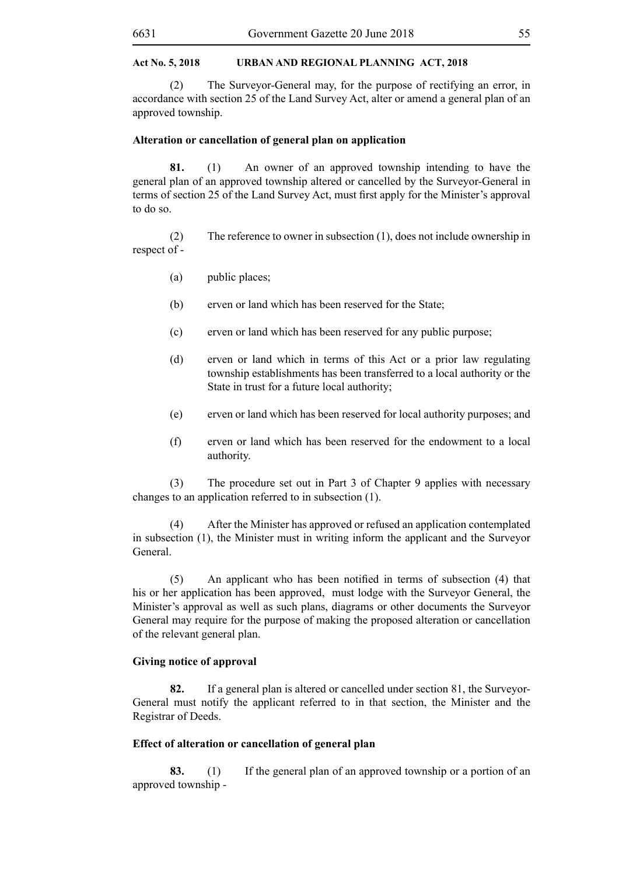(2) The Surveyor-General may, for the purpose of rectifying an error, in accordance with section 25 of the Land Survey Act, alter or amend a general plan of an approved township.

#### **Alteration or cancellation of general plan on application**

**81.** (1) An owner of an approved township intending to have the general plan of an approved township altered or cancelled by the Surveyor-General in terms of section 25 of the Land Survey Act, must first apply for the Minister's approval to do so.

(2) The reference to owner in subsection (1), does not include ownership in respect of -

- (a) public places;
- (b) erven or land which has been reserved for the State;
- (c) erven or land which has been reserved for any public purpose;
- (d) erven or land which in terms of this Act or a prior law regulating township establishments has been transferred to a local authority or the State in trust for a future local authority;
- (e) erven or land which has been reserved for local authority purposes; and
- (f) erven or land which has been reserved for the endowment to a local authority.

(3) The procedure set out in Part 3 of Chapter 9 applies with necessary changes to an application referred to in subsection (1).

(4) After the Minister has approved or refused an application contemplated in subsection (1), the Minister must in writing inform the applicant and the Surveyor General.

 (5) An applicant who has been notified in terms of subsection (4) that his or her application has been approved, must lodge with the Surveyor General, the Minister's approval as well as such plans, diagrams or other documents the Surveyor General may require for the purpose of making the proposed alteration or cancellation of the relevant general plan.

#### **Giving notice of approval**

**82.** If a general plan is altered or cancelled under section 81, the Surveyor-General must notify the applicant referred to in that section, the Minister and the Registrar of Deeds.

# **Effect of alteration or cancellation of general plan**

**83.** (1) If the general plan of an approved township or a portion of an approved township -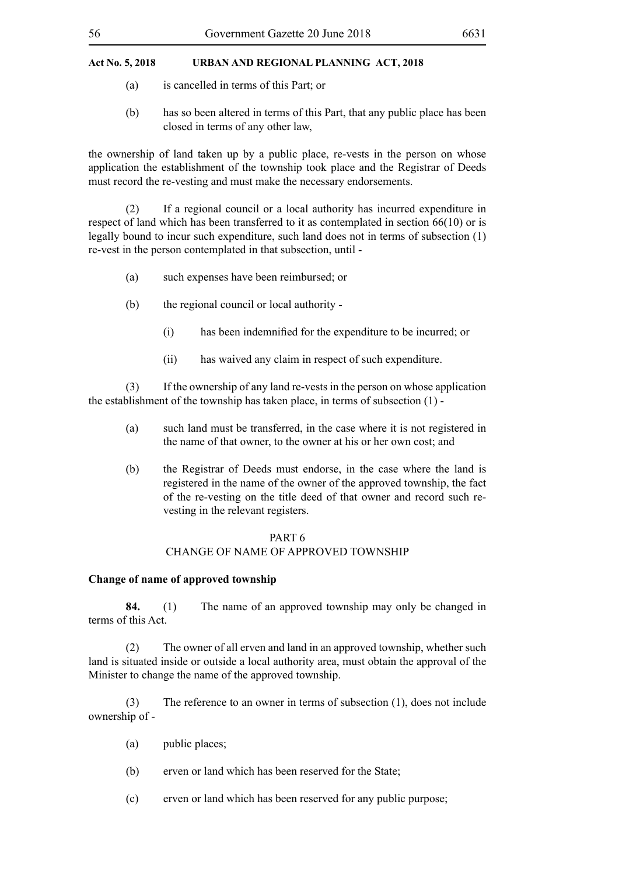- (a) is cancelled in terms of this Part; or
- (b) has so been altered in terms of this Part, that any public place has been closed in terms of any other law,

the ownership of land taken up by a public place, re-vests in the person on whose application the establishment of the township took place and the Registrar of Deeds must record the re-vesting and must make the necessary endorsements.

(2) If a regional council or a local authority has incurred expenditure in respect of land which has been transferred to it as contemplated in section 66(10) or is legally bound to incur such expenditure, such land does not in terms of subsection (1) re-vest in the person contemplated in that subsection, until -

- (a) such expenses have been reimbursed; or
- (b) the regional council or local authority
	- (i) has been indemnified for the expenditure to be incurred; or
	- (ii) has waived any claim in respect of such expenditure.

(3) If the ownership of any land re-vests in the person on whose application the establishment of the township has taken place, in terms of subsection (1) -

- (a) such land must be transferred, in the case where it is not registered in the name of that owner, to the owner at his or her own cost; and
- (b) the Registrar of Deeds must endorse, in the case where the land is registered in the name of the owner of the approved township, the fact of the re-vesting on the title deed of that owner and record such revesting in the relevant registers.

#### PART 6

# CHANGE OF NAME OF APPROVED TOWNSHIP

# **Change of name of approved township**

**84.** (1) The name of an approved township may only be changed in terms of this Act.

(2) The owner of all erven and land in an approved township, whether such land is situated inside or outside a local authority area, must obtain the approval of the Minister to change the name of the approved township.

(3) The reference to an owner in terms of subsection (1), does not include ownership of -

- (a) public places;
- (b) erven or land which has been reserved for the State;
- (c) erven or land which has been reserved for any public purpose;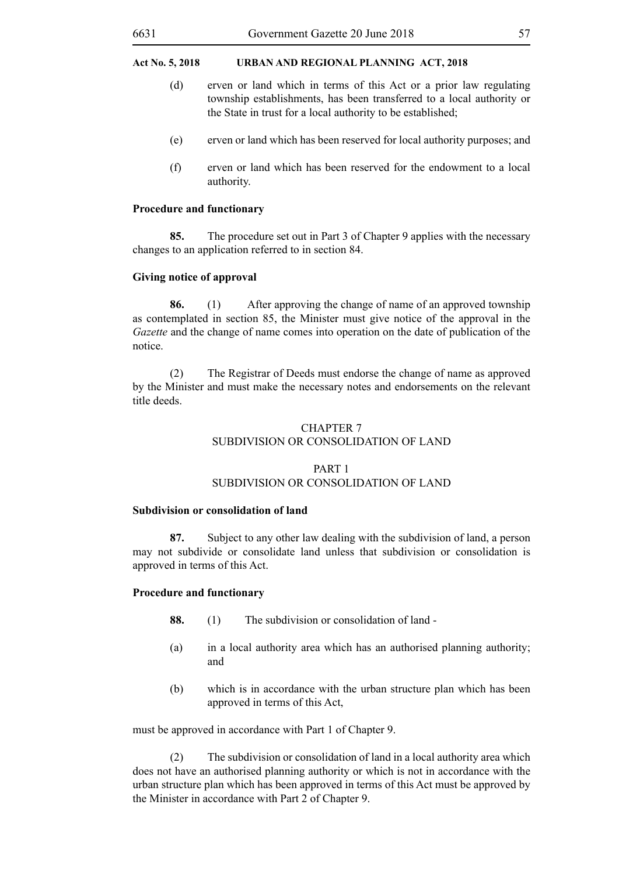- (d) erven or land which in terms of this Act or a prior law regulating township establishments, has been transferred to a local authority or the State in trust for a local authority to be established;
- (e) erven or land which has been reserved for local authority purposes; and
- (f) erven or land which has been reserved for the endowment to a local authority.

#### **Procedure and functionary**

**85.** The procedure set out in Part 3 of Chapter 9 applies with the necessary changes to an application referred to in section 84.

#### **Giving notice of approval**

**86.** (1) After approving the change of name of an approved township as contemplated in section 85, the Minister must give notice of the approval in the *Gazette* and the change of name comes into operation on the date of publication of the notice.

(2) The Registrar of Deeds must endorse the change of name as approved by the Minister and must make the necessary notes and endorsements on the relevant title deeds.

# CHAPTER 7 SUBDIVISION OR CONSOLIDATION OF LAND

# PART 1 SUBDIVISION OR CONSOLIDATION OF LAND

#### **Subdivision or consolidation of land**

**87.** Subject to any other law dealing with the subdivision of land, a person may not subdivide or consolidate land unless that subdivision or consolidation is approved in terms of this Act.

#### **Procedure and functionary**

- **88.** (1) The subdivision or consolidation of land -
- (a) in a local authority area which has an authorised planning authority; and
- (b) which is in accordance with the urban structure plan which has been approved in terms of this Act,

must be approved in accordance with Part 1 of Chapter 9.

(2) The subdivision or consolidation of land in a local authority area which does not have an authorised planning authority or which is not in accordance with the urban structure plan which has been approved in terms of this Act must be approved by the Minister in accordance with Part 2 of Chapter 9.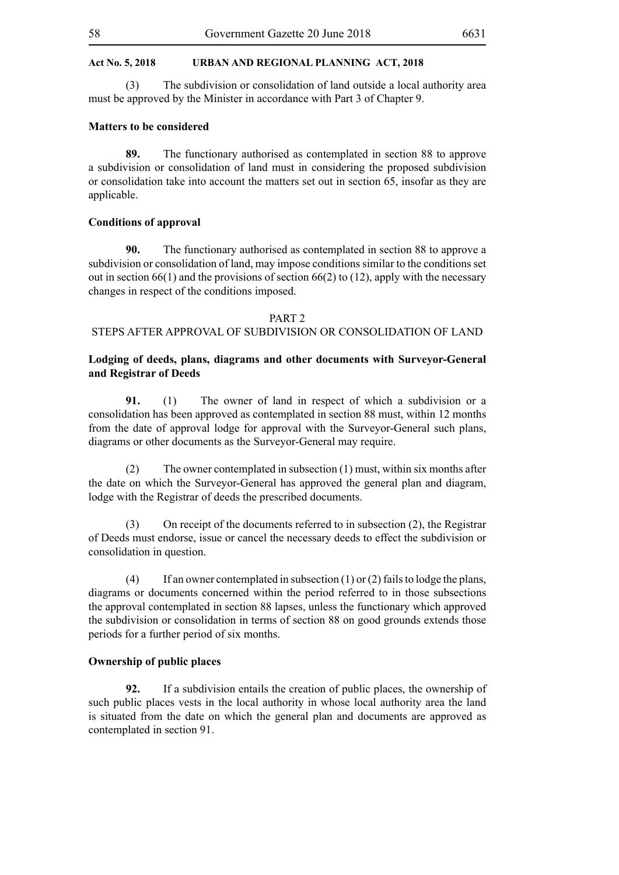(3) The subdivision or consolidation of land outside a local authority area must be approved by the Minister in accordance with Part 3 of Chapter 9.

#### **Matters to be considered**

**89.** The functionary authorised as contemplated in section 88 to approve a subdivision or consolidation of land must in considering the proposed subdivision or consolidation take into account the matters set out in section 65, insofar as they are applicable.

# **Conditions of approval**

**90.** The functionary authorised as contemplated in section 88 to approve a subdivision or consolidation of land, may impose conditions similar to the conditions set out in section  $66(1)$  and the provisions of section  $66(2)$  to  $(12)$ , apply with the necessary changes in respect of the conditions imposed.

#### PART 2

# STEPS AFTER APPROVAL OF SUBDIVISION OR CONSOLIDATION OF LAND

# **Lodging of deeds, plans, diagrams and other documents with Surveyor-General and Registrar of Deeds**

**91.** (1) The owner of land in respect of which a subdivision or a consolidation has been approved as contemplated in section 88 must, within 12 months from the date of approval lodge for approval with the Surveyor-General such plans, diagrams or other documents as the Surveyor-General may require.

(2) The owner contemplated in subsection (1) must, within six months after the date on which the Surveyor-General has approved the general plan and diagram, lodge with the Registrar of deeds the prescribed documents.

(3) On receipt of the documents referred to in subsection (2), the Registrar of Deeds must endorse, issue or cancel the necessary deeds to effect the subdivision or consolidation in question.

(4) If an owner contemplated in subsection (1) or (2) fails to lodge the plans, diagrams or documents concerned within the period referred to in those subsections the approval contemplated in section 88 lapses, unless the functionary which approved the subdivision or consolidation in terms of section 88 on good grounds extends those periods for a further period of six months.

#### **Ownership of public places**

**92.** If a subdivision entails the creation of public places, the ownership of such public places vests in the local authority in whose local authority area the land is situated from the date on which the general plan and documents are approved as contemplated in section 91.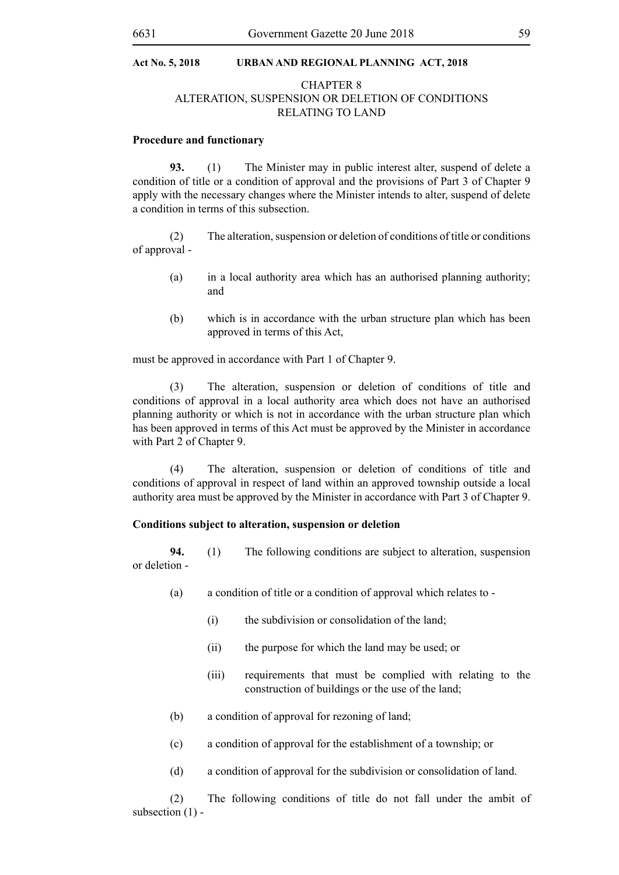# CHAPTER 8

## ALTERATION, SUSPENSION OR DELETION OF CONDITIONS RELATING TO LAND

#### **Procedure and functionary**

**93.** (1) The Minister may in public interest alter, suspend of delete a condition of title or a condition of approval and the provisions of Part 3 of Chapter 9 apply with the necessary changes where the Minister intends to alter, suspend of delete a condition in terms of this subsection.

(2) The alteration, suspension or deletion of conditions of title or conditions of approval -

- (a) in a local authority area which has an authorised planning authority; and
- (b) which is in accordance with the urban structure plan which has been approved in terms of this Act,

must be approved in accordance with Part 1 of Chapter 9.

(3) The alteration, suspension or deletion of conditions of title and conditions of approval in a local authority area which does not have an authorised planning authority or which is not in accordance with the urban structure plan which has been approved in terms of this Act must be approved by the Minister in accordance with Part 2 of Chapter 9.

(4) The alteration, suspension or deletion of conditions of title and conditions of approval in respect of land within an approved township outside a local authority area must be approved by the Minister in accordance with Part 3 of Chapter 9.

#### **Conditions subject to alteration, suspension or deletion**

**94.** (1) The following conditions are subject to alteration, suspension or deletion -

- (a) a condition of title or a condition of approval which relates to
	- (i) the subdivision or consolidation of the land;
	- (ii) the purpose for which the land may be used; or
	- (iii) requirements that must be complied with relating to the construction of buildings or the use of the land;
- (b) a condition of approval for rezoning of land;
- (c) a condition of approval for the establishment of a township; or
- (d) a condition of approval for the subdivision or consolidation of land.

(2) The following conditions of title do not fall under the ambit of subsection (1) -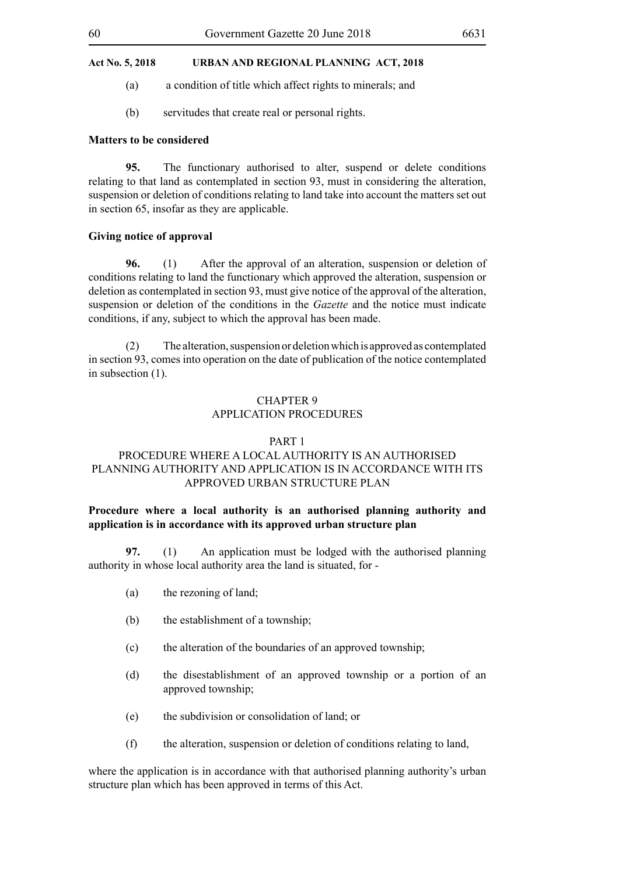- (a) a condition of title which affect rights to minerals; and
- (b) servitudes that create real or personal rights.

#### **Matters to be considered**

**95.** The functionary authorised to alter, suspend or delete conditions relating to that land as contemplated in section 93, must in considering the alteration, suspension or deletion of conditions relating to land take into account the matters set out in section 65, insofar as they are applicable.

#### **Giving notice of approval**

**96.** (1) After the approval of an alteration, suspension or deletion of conditions relating to land the functionary which approved the alteration, suspension or deletion as contemplated in section 93, must give notice of the approval of the alteration, suspension or deletion of the conditions in the *Gazette* and the notice must indicate conditions, if any, subject to which the approval has been made.

(2) The alteration, suspension or deletion which is approved as contemplated in section 93, comes into operation on the date of publication of the notice contemplated in subsection (1).

# CHAPTER 9 APPLICATION PROCEDURES

#### PART 1

# PROCEDURE WHERE A LOCAL AUTHORITY IS AN AUTHORISED PLANNING AUTHORITY AND APPLICATION IS IN ACCORDANCE WITH ITS APPROVED URBAN STRUCTURE PLAN

# **Procedure where a local authority is an authorised planning authority and application is in accordance with its approved urban structure plan**

**97.** (1) An application must be lodged with the authorised planning authority in whose local authority area the land is situated, for -

- (a) the rezoning of land;
- (b) the establishment of a township;
- (c) the alteration of the boundaries of an approved township;
- (d) the disestablishment of an approved township or a portion of an approved township;
- (e) the subdivision or consolidation of land; or
- (f) the alteration, suspension or deletion of conditions relating to land,

where the application is in accordance with that authorised planning authority's urban structure plan which has been approved in terms of this Act.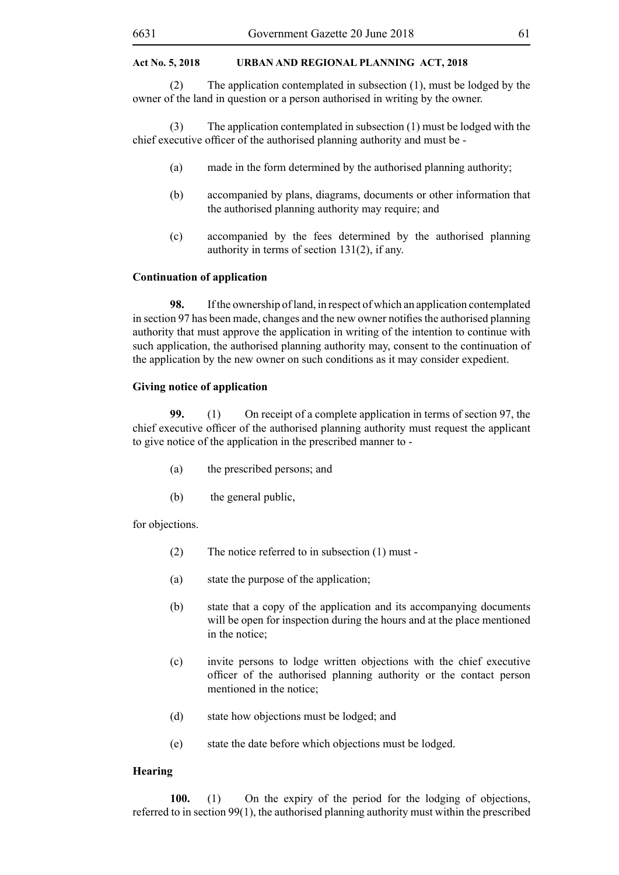(2) The application contemplated in subsection (1), must be lodged by the owner of the land in question or a person authorised in writing by the owner.

(3) The application contemplated in subsection (1) must be lodged with the chief executive officer of the authorised planning authority and must be -

- (a) made in the form determined by the authorised planning authority;
- (b) accompanied by plans, diagrams, documents or other information that the authorised planning authority may require; and
- (c) accompanied by the fees determined by the authorised planning authority in terms of section 131(2), if any.

#### **Continuation of application**

**98.** If the ownership of land, in respect of which an application contemplated in section 97 has been made, changes and the new owner notifies the authorised planning authority that must approve the application in writing of the intention to continue with such application, the authorised planning authority may, consent to the continuation of the application by the new owner on such conditions as it may consider expedient.

#### **Giving notice of application**

**99.** (1) On receipt of a complete application in terms of section 97, the chief executive officer of the authorised planning authority must request the applicant to give notice of the application in the prescribed manner to -

- (a) the prescribed persons; and
- (b) the general public,

for objections.

- (2) The notice referred to in subsection (1) must -
- (a) state the purpose of the application;
- (b) state that a copy of the application and its accompanying documents will be open for inspection during the hours and at the place mentioned in the notice:
- (c) invite persons to lodge written objections with the chief executive officer of the authorised planning authority or the contact person mentioned in the notice;
- (d) state how objections must be lodged; and
- (e) state the date before which objections must be lodged.

#### **Hearing**

**100.** (1) On the expiry of the period for the lodging of objections, referred to in section 99(1), the authorised planning authority must within the prescribed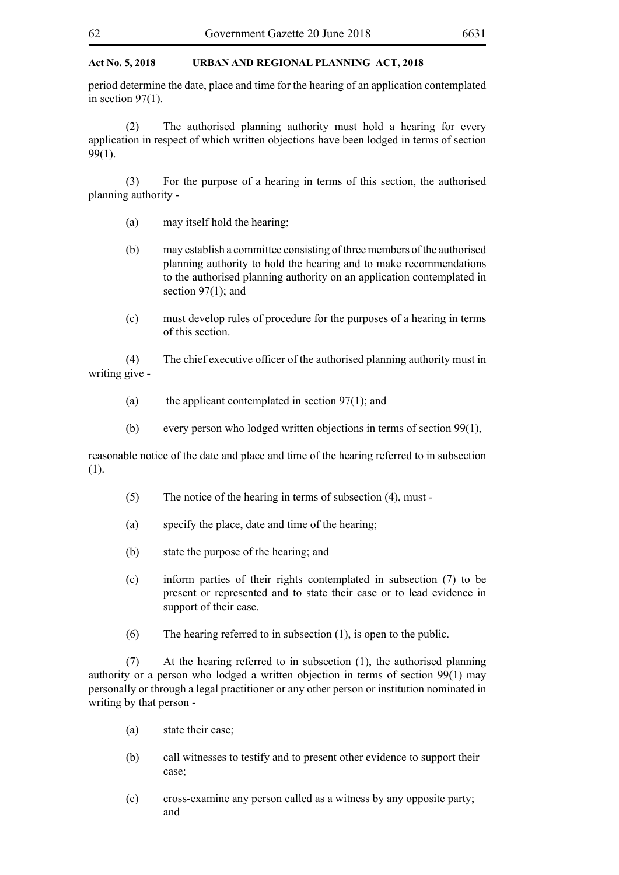period determine the date, place and time for the hearing of an application contemplated in section  $97(1)$ .

(2) The authorised planning authority must hold a hearing for every application in respect of which written objections have been lodged in terms of section 99(1).

(3) For the purpose of a hearing in terms of this section, the authorised planning authority -

- (a) may itself hold the hearing;
- (b) may establish a committee consisting of three members of the authorised planning authority to hold the hearing and to make recommendations to the authorised planning authority on an application contemplated in section 97(1); and
- (c) must develop rules of procedure for the purposes of a hearing in terms of this section.

 (4) The chief executive officer of the authorised planning authority must in writing give -

- (a) the applicant contemplated in section  $97(1)$ ; and
- (b) every person who lodged written objections in terms of section 99(1),

reasonable notice of the date and place and time of the hearing referred to in subsection (1).

- (5) The notice of the hearing in terms of subsection (4), must -
- (a) specify the place, date and time of the hearing;
- (b) state the purpose of the hearing; and
- (c) inform parties of their rights contemplated in subsection (7) to be present or represented and to state their case or to lead evidence in support of their case.
- (6) The hearing referred to in subsection (1), is open to the public.

(7) At the hearing referred to in subsection (1), the authorised planning authority or a person who lodged a written objection in terms of section 99(1) may personally or through a legal practitioner or any other person or institution nominated in writing by that person -

- (a) state their case;
- (b) call witnesses to testify and to present other evidence to support their case;
- (c) cross-examine any person called as a witness by any opposite party; and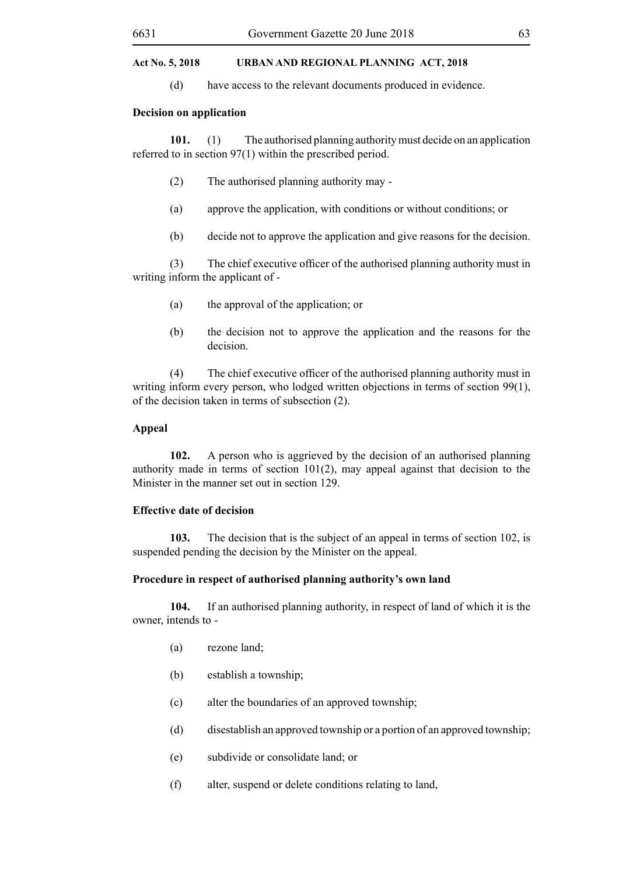(d) have access to the relevant documents produced in evidence.

#### **Decision on application**

**101.** (1) The authorised planning authority must decide on an application referred to in section 97(1) within the prescribed period.

- (2) The authorised planning authority may -
- (a) approve the application, with conditions or without conditions; or
- (b) decide not to approve the application and give reasons for the decision.

 (3) The chief executive officer of the authorised planning authority must in writing inform the applicant of -

- (a) the approval of the application; or
- (b) the decision not to approve the application and the reasons for the decision.

 (4) The chief executive officer of the authorised planning authority must in writing inform every person, who lodged written objections in terms of section 99(1), of the decision taken in terms of subsection (2).

#### **Appeal**

**102.** A person who is aggrieved by the decision of an authorised planning authority made in terms of section  $101(2)$ , may appeal against that decision to the Minister in the manner set out in section 129.

#### **Effective date of decision**

**103.** The decision that is the subject of an appeal in terms of section 102, is suspended pending the decision by the Minister on the appeal.

# **Procedure in respect of authorised planning authority's own land**

**104.** If an authorised planning authority, in respect of land of which it is the owner, intends to -

- (a) rezone land;
- (b) establish a township;
- (c) alter the boundaries of an approved township;
- (d) disestablish an approved township or a portion of an approved township;
- (e) subdivide or consolidate land; or
- (f) alter, suspend or delete conditions relating to land,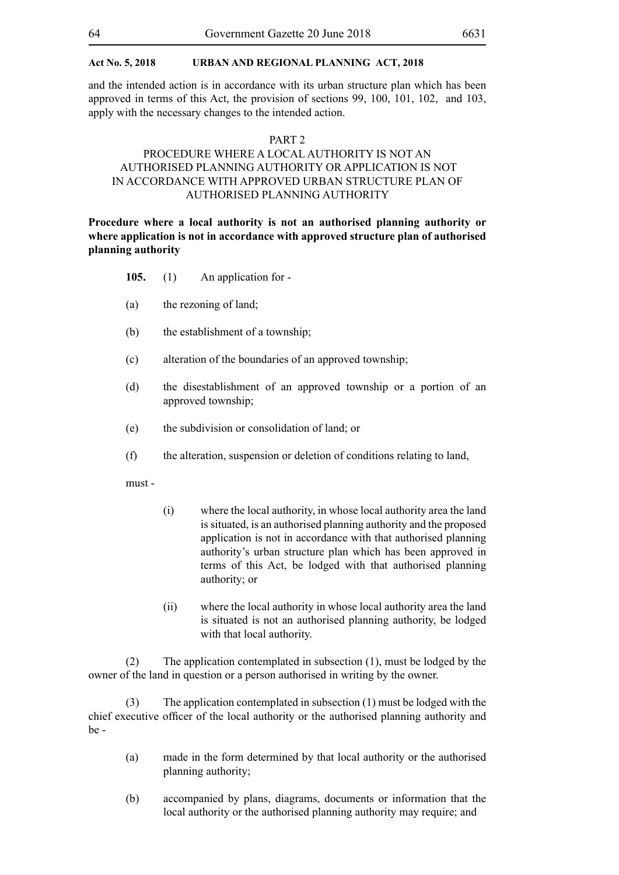and the intended action is in accordance with its urban structure plan which has been approved in terms of this Act, the provision of sections 99, 100, 101, 102, and 103, apply with the necessary changes to the intended action.

#### PART 2

# PROCEDURE WHERE A LOCAL AUTHORITY IS NOT AN AUTHORISED PLANNING AUTHORITY OR APPLICATION IS NOT IN ACCORDANCE WITH APPROVED URBAN STRUCTURE PLAN OF AUTHORISED PLANNING AUTHORITY

**Procedure where a local authority is not an authorised planning authority or where application is not in accordance with approved structure plan of authorised planning authority**

- **105.** (1) An application for -
- (a) the rezoning of land;
- (b) the establishment of a township;
- (c) alteration of the boundaries of an approved township;
- (d) the disestablishment of an approved township or a portion of an approved township;
- (e) the subdivision or consolidation of land; or
- (f) the alteration, suspension or deletion of conditions relating to land,

must -

- (i) where the local authority, in whose local authority area the land is situated, is an authorised planning authority and the proposed application is not in accordance with that authorised planning authority's urban structure plan which has been approved in terms of this Act, be lodged with that authorised planning authority; or
- (ii) where the local authority in whose local authority area the land is situated is not an authorised planning authority, be lodged with that local authority.

(2) The application contemplated in subsection (1), must be lodged by the owner of the land in question or a person authorised in writing by the owner.

(3) The application contemplated in subsection (1) must be lodged with the chief executive officer of the local authority or the authorised planning authority and be -

- (a) made in the form determined by that local authority or the authorised planning authority;
- (b) accompanied by plans, diagrams, documents or information that the local authority or the authorised planning authority may require; and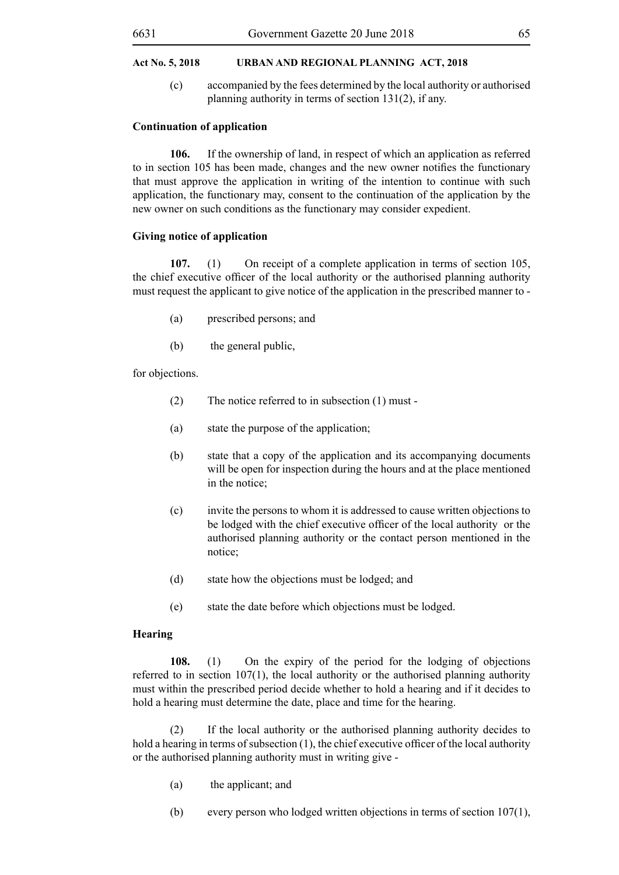(c) accompanied by the fees determined by the local authority or authorised planning authority in terms of section 131(2), if any.

#### **Continuation of application**

**106.** If the ownership of land, in respect of which an application as referred to in section 105 has been made, changes and the new owner notifies the functionary that must approve the application in writing of the intention to continue with such application, the functionary may, consent to the continuation of the application by the new owner on such conditions as the functionary may consider expedient.

### **Giving notice of application**

**107.** (1) On receipt of a complete application in terms of section 105, the chief executive officer of the local authority or the authorised planning authority must request the applicant to give notice of the application in the prescribed manner to -

- (a) prescribed persons; and
- (b) the general public,

for objections.

- (2) The notice referred to in subsection (1) must -
- (a) state the purpose of the application;
- (b) state that a copy of the application and its accompanying documents will be open for inspection during the hours and at the place mentioned in the notice;
- (c) invite the persons to whom it is addressed to cause written objections to be lodged with the chief executive officer of the local authority or the authorised planning authority or the contact person mentioned in the notice;
- (d) state how the objections must be lodged; and
- (e) state the date before which objections must be lodged.

# **Hearing**

**108.** (1) On the expiry of the period for the lodging of objections referred to in section 107(1), the local authority or the authorised planning authority must within the prescribed period decide whether to hold a hearing and if it decides to hold a hearing must determine the date, place and time for the hearing.

(2) If the local authority or the authorised planning authority decides to hold a hearing in terms of subsection  $(1)$ , the chief executive officer of the local authority or the authorised planning authority must in writing give -

- (a) the applicant; and
- (b) every person who lodged written objections in terms of section  $107(1)$ ,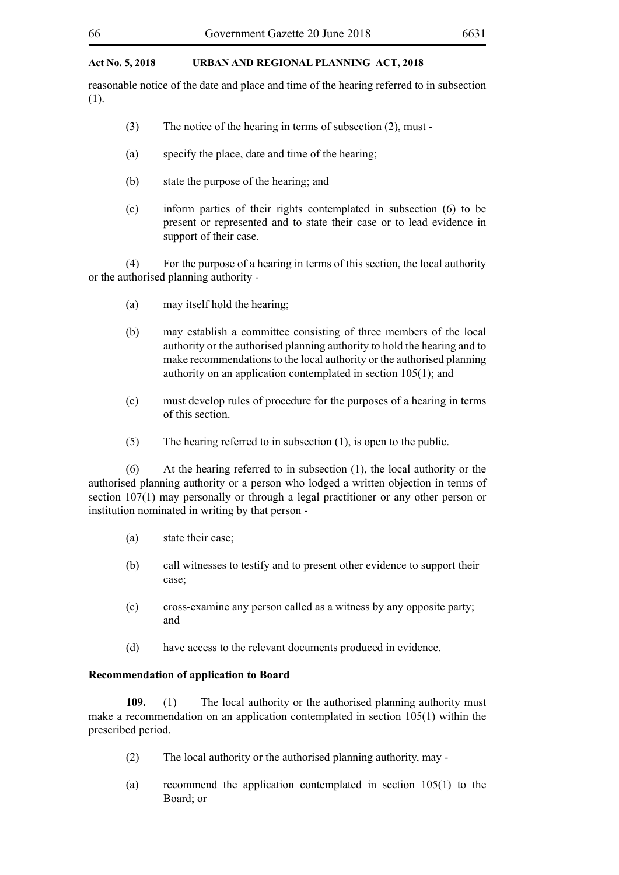reasonable notice of the date and place and time of the hearing referred to in subsection (1).

- (3) The notice of the hearing in terms of subsection (2), must -
- (a) specify the place, date and time of the hearing;
- (b) state the purpose of the hearing; and
- (c) inform parties of their rights contemplated in subsection (6) to be present or represented and to state their case or to lead evidence in support of their case.

(4) For the purpose of a hearing in terms of this section, the local authority or the authorised planning authority -

- (a) may itself hold the hearing;
- (b) may establish a committee consisting of three members of the local authority or the authorised planning authority to hold the hearing and to make recommendations to the local authority or the authorised planning authority on an application contemplated in section 105(1); and
- (c) must develop rules of procedure for the purposes of a hearing in terms of this section.
- (5) The hearing referred to in subsection (1), is open to the public.

(6) At the hearing referred to in subsection (1), the local authority or the authorised planning authority or a person who lodged a written objection in terms of section 107(1) may personally or through a legal practitioner or any other person or institution nominated in writing by that person -

- (a) state their case;
- (b) call witnesses to testify and to present other evidence to support their case;
- (c) cross-examine any person called as a witness by any opposite party; and
- (d) have access to the relevant documents produced in evidence.

# **Recommendation of application to Board**

**109.** (1) The local authority or the authorised planning authority must make a recommendation on an application contemplated in section 105(1) within the prescribed period.

- (2) The local authority or the authorised planning authority, may -
- (a) recommend the application contemplated in section 105(1) to the Board; or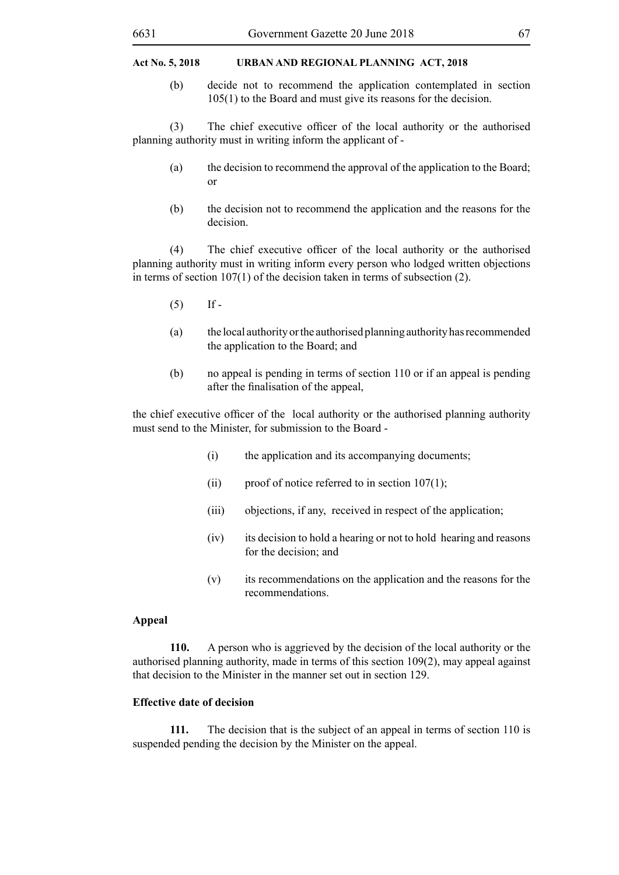#### 6631 Government Gazette 20 June 2018 67

# **Act No. 5, 2018 URBAN AND REGIONAL PLANNING Act, 2018**

(b) decide not to recommend the application contemplated in section 105(1) to the Board and must give its reasons for the decision.

(3) The chief executive officer of the local authority or the authorised planning authority must in writing inform the applicant of -

- (a) the decision to recommend the approval of the application to the Board; or
- (b) the decision not to recommend the application and the reasons for the decision.

 (4) The chief executive officer of the local authority or the authorised planning authority must in writing inform every person who lodged written objections in terms of section 107(1) of the decision taken in terms of subsection (2).

- $(5)$  If -
- (a) the local authority or the authorised planning authority has recommended the application to the Board; and
- (b) no appeal is pending in terms of section 110 or if an appeal is pending after the finalisation of the appeal,

the chief executive officer of the local authority or the authorised planning authority must send to the Minister, for submission to the Board -

- (i) the application and its accompanying documents;
- (ii) proof of notice referred to in section  $107(1)$ ;
- (iii) objections, if any, received in respect of the application;
- (iv) its decision to hold a hearing or not to hold hearing and reasons for the decision; and
- (v) its recommendations on the application and the reasons for the recommendations.

# **Appeal**

**110.** A person who is aggrieved by the decision of the local authority or the authorised planning authority, made in terms of this section 109(2), may appeal against that decision to the Minister in the manner set out in section 129.

# **Effective date of decision**

**111.** The decision that is the subject of an appeal in terms of section 110 is suspended pending the decision by the Minister on the appeal.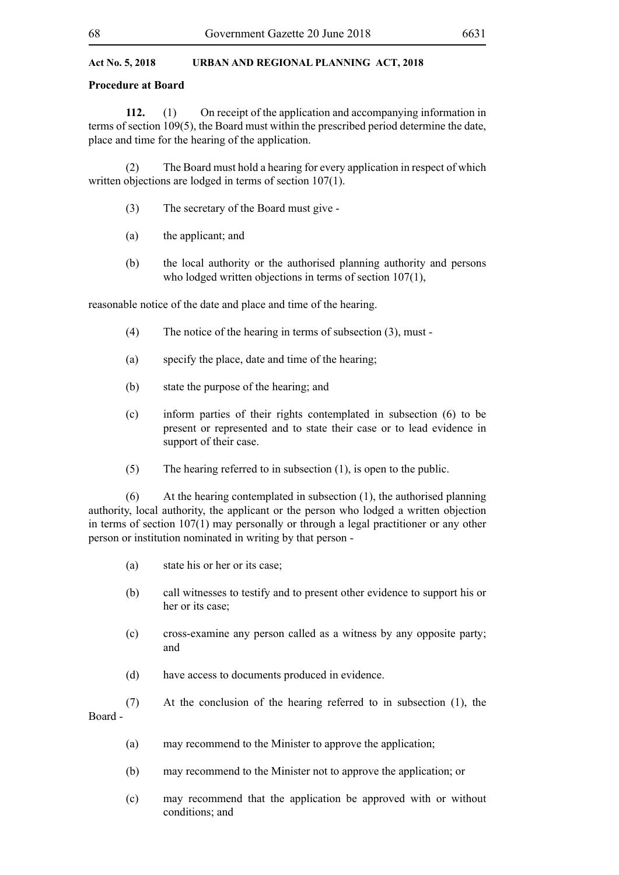# **Procedure at Board**

**112.** (1) On receipt of the application and accompanying information in terms of section 109(5), the Board must within the prescribed period determine the date, place and time for the hearing of the application.

(2) The Board must hold a hearing for every application in respect of which written objections are lodged in terms of section 107(1).

- (3) The secretary of the Board must give -
- (a) the applicant; and
- (b) the local authority or the authorised planning authority and persons who lodged written objections in terms of section 107(1),

reasonable notice of the date and place and time of the hearing.

- (4) The notice of the hearing in terms of subsection (3), must -
- (a) specify the place, date and time of the hearing;
- (b) state the purpose of the hearing; and
- (c) inform parties of their rights contemplated in subsection (6) to be present or represented and to state their case or to lead evidence in support of their case.
- (5) The hearing referred to in subsection (1), is open to the public.

(6) At the hearing contemplated in subsection (1), the authorised planning authority, local authority, the applicant or the person who lodged a written objection in terms of section 107(1) may personally or through a legal practitioner or any other person or institution nominated in writing by that person -

- (a) state his or her or its case;
- (b) call witnesses to testify and to present other evidence to support his or her or its case;
- (c) cross-examine any person called as a witness by any opposite party; and
- (d) have access to documents produced in evidence.
- (7) At the conclusion of the hearing referred to in subsection (1), the

Board -

- (a) may recommend to the Minister to approve the application;
- (b) may recommend to the Minister not to approve the application; or
- (c) may recommend that the application be approved with or without conditions; and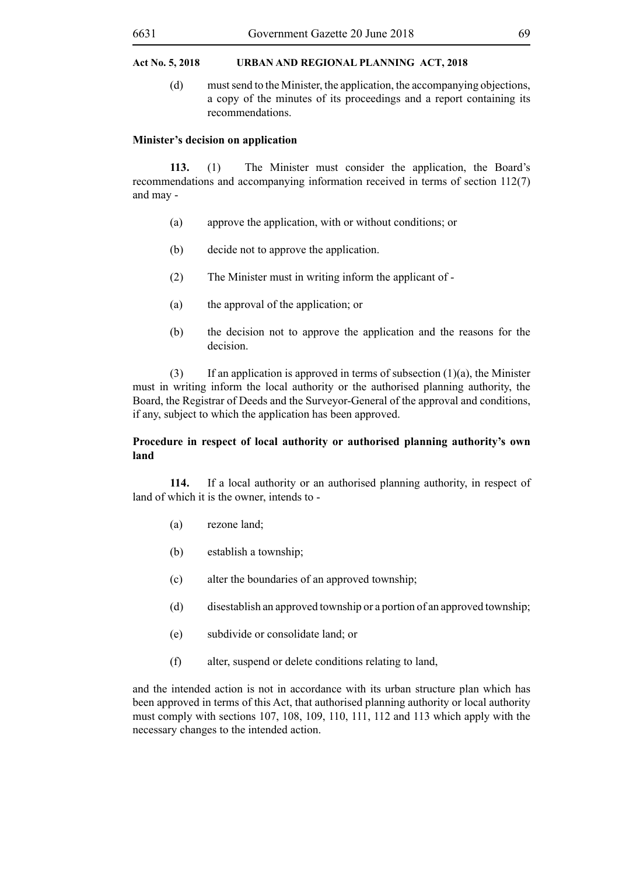(d) must send to the Minister, the application, the accompanying objections, a copy of the minutes of its proceedings and a report containing its recommendations.

#### **Minister's decision on application**

**113.** (1) The Minister must consider the application, the Board's recommendations and accompanying information received in terms of section 112(7) and may -

- (a) approve the application, with or without conditions; or
- (b) decide not to approve the application.
- (2) The Minister must in writing inform the applicant of -
- (a) the approval of the application; or
- (b) the decision not to approve the application and the reasons for the decision.

(3) If an application is approved in terms of subsection  $(1)(a)$ , the Minister must in writing inform the local authority or the authorised planning authority, the Board, the Registrar of Deeds and the Surveyor-General of the approval and conditions, if any, subject to which the application has been approved.

# **Procedure in respect of local authority or authorised planning authority's own land**

**114.** If a local authority or an authorised planning authority, in respect of land of which it is the owner, intends to -

- (a) rezone land;
- (b) establish a township;
- (c) alter the boundaries of an approved township;
- (d) disestablish an approved township or a portion of an approved township;
- (e) subdivide or consolidate land; or
- (f) alter, suspend or delete conditions relating to land,

and the intended action is not in accordance with its urban structure plan which has been approved in terms of this Act, that authorised planning authority or local authority must comply with sections 107, 108, 109, 110, 111, 112 and 113 which apply with the necessary changes to the intended action.

#### 6631 Government Gazette 20 June 2018 69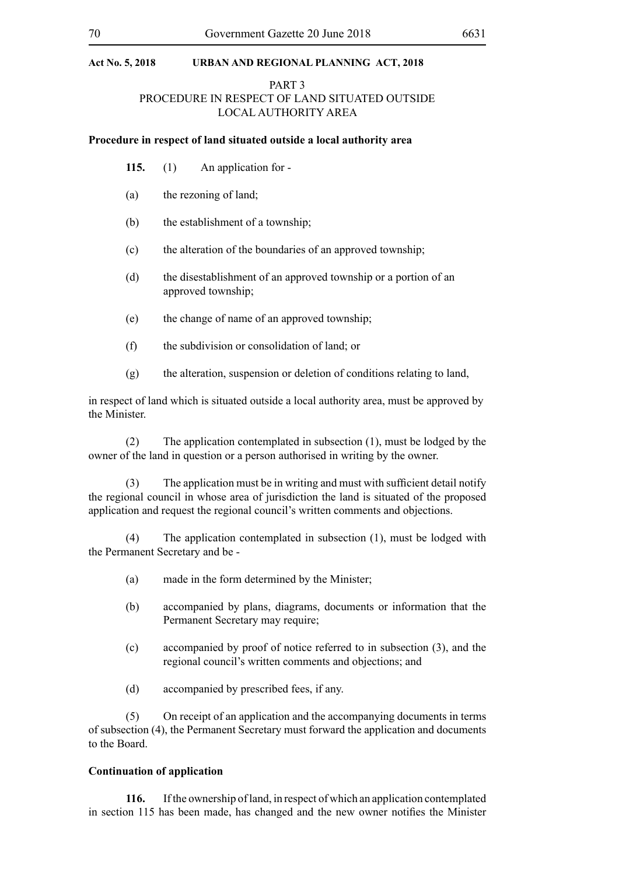# PART 3 PROCEDURE IN RESPECT OF LAND SITUATED OUTSIDE LOCAL AUTHORITY AREA

#### **Procedure in respect of land situated outside a local authority area**

- **115.** (1) An application for -
- (a) the rezoning of land;
- (b) the establishment of a township;
- (c) the alteration of the boundaries of an approved township;
- (d) the disestablishment of an approved township or a portion of an approved township;
- (e) the change of name of an approved township;
- (f) the subdivision or consolidation of land; or
- (g) the alteration, suspension or deletion of conditions relating to land,

in respect of land which is situated outside a local authority area, must be approved by the Minister.

(2) The application contemplated in subsection (1), must be lodged by the owner of the land in question or a person authorised in writing by the owner.

(3) The application must be in writing and must with sufficient detail notify the regional council in whose area of jurisdiction the land is situated of the proposed application and request the regional council's written comments and objections.

(4) The application contemplated in subsection (1), must be lodged with the Permanent Secretary and be -

- (a) made in the form determined by the Minister;
- (b) accompanied by plans, diagrams, documents or information that the Permanent Secretary may require;
- (c) accompanied by proof of notice referred to in subsection (3), and the regional council's written comments and objections; and
- (d) accompanied by prescribed fees, if any.

(5) On receipt of an application and the accompanying documents in terms of subsection (4), the Permanent Secretary must forward the application and documents to the Board.

# **Continuation of application**

**116.** If the ownership of land, in respect of which an application contemplated in section 115 has been made, has changed and the new owner notifies the Minister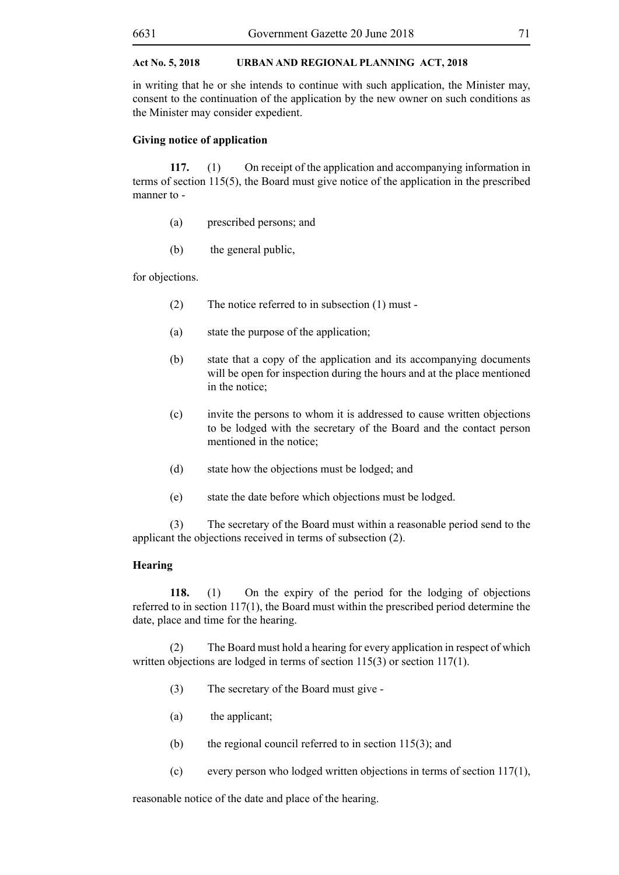in writing that he or she intends to continue with such application, the Minister may, consent to the continuation of the application by the new owner on such conditions as the Minister may consider expedient.

#### **Giving notice of application**

**117.** (1) On receipt of the application and accompanying information in terms of section 115(5), the Board must give notice of the application in the prescribed manner to -

- (a) prescribed persons; and
- (b) the general public,

for objections.

- (2) The notice referred to in subsection (1) must -
- (a) state the purpose of the application;
- (b) state that a copy of the application and its accompanying documents will be open for inspection during the hours and at the place mentioned in the notice;
- (c) invite the persons to whom it is addressed to cause written objections to be lodged with the secretary of the Board and the contact person mentioned in the notice;
- (d) state how the objections must be lodged; and
- (e) state the date before which objections must be lodged.

(3) The secretary of the Board must within a reasonable period send to the applicant the objections received in terms of subsection (2).

#### **Hearing**

**118.** (1) On the expiry of the period for the lodging of objections referred to in section 117(1), the Board must within the prescribed period determine the date, place and time for the hearing.

(2) The Board must hold a hearing for every application in respect of which written objections are lodged in terms of section 115(3) or section 117(1).

- (3) The secretary of the Board must give -
- (a) the applicant;
- (b) the regional council referred to in section 115(3); and
- (c) every person who lodged written objections in terms of section 117(1),

reasonable notice of the date and place of the hearing.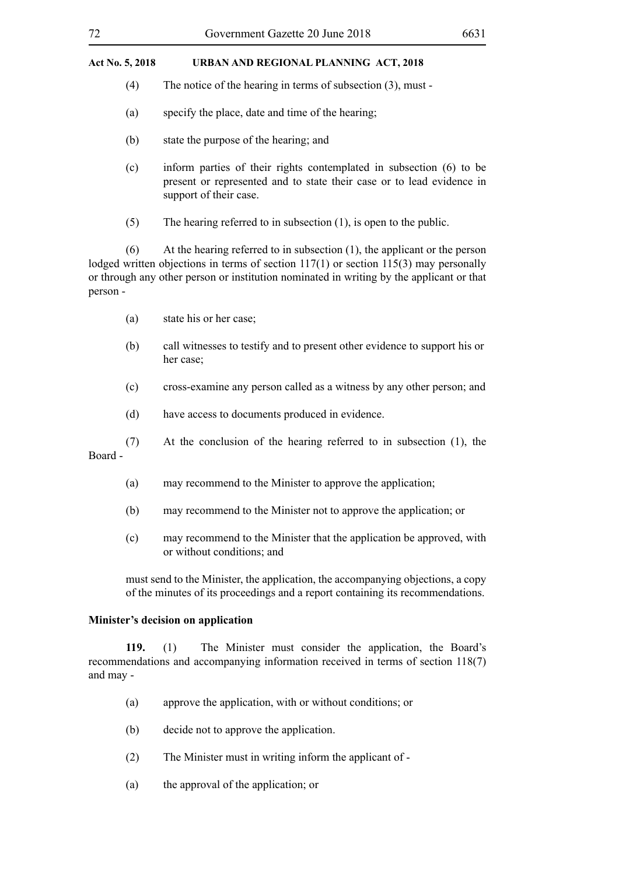- (4) The notice of the hearing in terms of subsection (3), must -
- (a) specify the place, date and time of the hearing;
- (b) state the purpose of the hearing; and
- (c) inform parties of their rights contemplated in subsection (6) to be present or represented and to state their case or to lead evidence in support of their case.
- (5) The hearing referred to in subsection (1), is open to the public.

(6) At the hearing referred to in subsection (1), the applicant or the person lodged written objections in terms of section 117(1) or section 115(3) may personally or through any other person or institution nominated in writing by the applicant or that person -

- (a) state his or her case;
- (b) call witnesses to testify and to present other evidence to support his or her case;
- (c) cross-examine any person called as a witness by any other person; and
- (d) have access to documents produced in evidence.
- (7) At the conclusion of the hearing referred to in subsection (1), the

Board -

- (a) may recommend to the Minister to approve the application;
- (b) may recommend to the Minister not to approve the application; or
- (c) may recommend to the Minister that the application be approved, with or without conditions; and

must send to the Minister, the application, the accompanying objections, a copy of the minutes of its proceedings and a report containing its recommendations.

# **Minister's decision on application**

**119.** (1) The Minister must consider the application, the Board's recommendations and accompanying information received in terms of section 118(7) and may -

- (a) approve the application, with or without conditions; or
- (b) decide not to approve the application.
- (2) The Minister must in writing inform the applicant of -
- (a) the approval of the application; or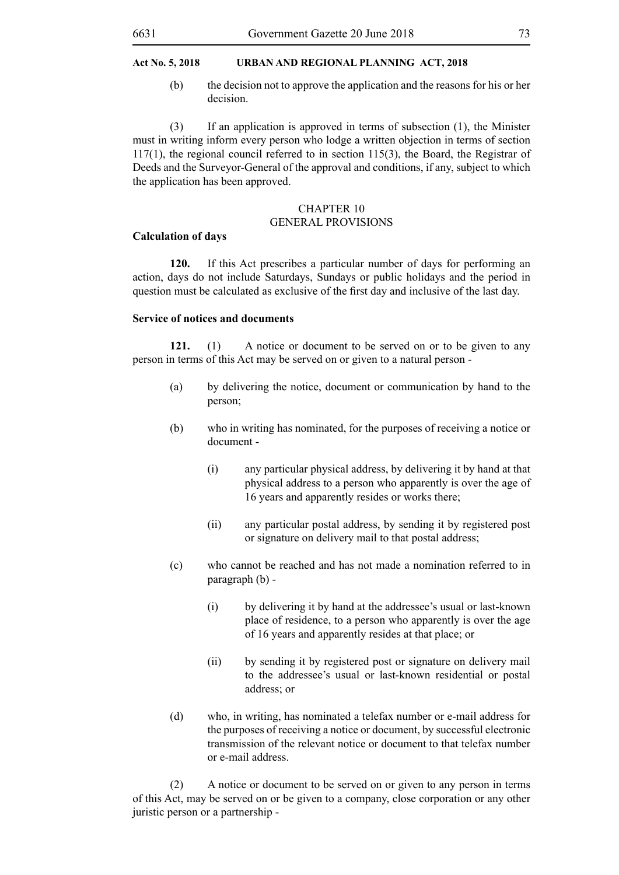(b) the decision not to approve the application and the reasons for his or her decision.

(3) If an application is approved in terms of subsection (1), the Minister must in writing inform every person who lodge a written objection in terms of section 117(1), the regional council referred to in section 115(3), the Board, the Registrar of Deeds and the Surveyor-General of the approval and conditions, if any, subject to which the application has been approved.

## CHAPTER 10 GENERAL PROVISIONS

#### **Calculation of days**

**120.** If this Act prescribes a particular number of days for performing an action, days do not include Saturdays, Sundays or public holidays and the period in question must be calculated as exclusive of the first day and inclusive of the last day.

#### **Service of notices and documents**

**121.** (1) A notice or document to be served on or to be given to any person in terms of this Act may be served on or given to a natural person -

- (a) by delivering the notice, document or communication by hand to the person;
- (b) who in writing has nominated, for the purposes of receiving a notice or document -
	- (i) any particular physical address, by delivering it by hand at that physical address to a person who apparently is over the age of 16 years and apparently resides or works there;
	- (ii) any particular postal address, by sending it by registered post or signature on delivery mail to that postal address;
- (c) who cannot be reached and has not made a nomination referred to in paragraph (b) -
	- (i) by delivering it by hand at the addressee's usual or last-known place of residence, to a person who apparently is over the age of 16 years and apparently resides at that place; or
	- (ii) by sending it by registered post or signature on delivery mail to the addressee's usual or last-known residential or postal address; or
- (d) who, in writing, has nominated a telefax number or e-mail address for the purposes of receiving a notice or document, by successful electronic transmission of the relevant notice or document to that telefax number or e-mail address.

(2) A notice or document to be served on or given to any person in terms of this Act, may be served on or be given to a company, close corporation or any other juristic person or a partnership -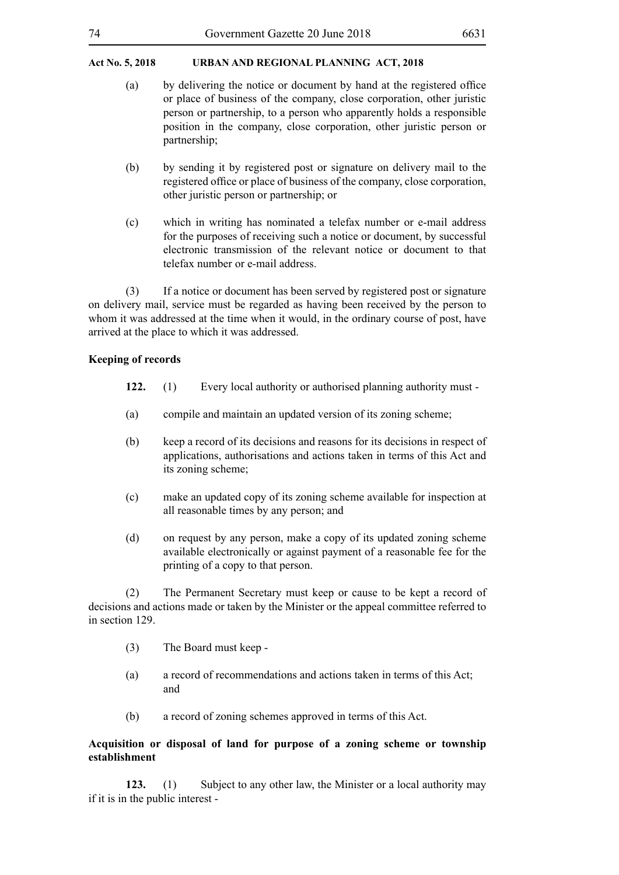| 74<br>Government Gazette 20 June 2018 | 6631 |
|---------------------------------------|------|
|---------------------------------------|------|

- (a) by delivering the notice or document by hand at the registered office or place of business of the company, close corporation, other juristic person or partnership, to a person who apparently holds a responsible position in the company, close corporation, other juristic person or partnership;
- (b) by sending it by registered post or signature on delivery mail to the registered office or place of business of the company, close corporation, other juristic person or partnership; or
- (c) which in writing has nominated a telefax number or e-mail address for the purposes of receiving such a notice or document, by successful electronic transmission of the relevant notice or document to that telefax number or e-mail address.

(3) If a notice or document has been served by registered post or signature on delivery mail, service must be regarded as having been received by the person to whom it was addressed at the time when it would, in the ordinary course of post, have arrived at the place to which it was addressed.

# **Keeping of records**

- **122.** (1) Every local authority or authorised planning authority must -
- (a) compile and maintain an updated version of its zoning scheme;
- (b) keep a record of its decisions and reasons for its decisions in respect of applications, authorisations and actions taken in terms of this Act and its zoning scheme;
- (c) make an updated copy of its zoning scheme available for inspection at all reasonable times by any person; and
- (d) on request by any person, make a copy of its updated zoning scheme available electronically or against payment of a reasonable fee for the printing of a copy to that person.

(2) The Permanent Secretary must keep or cause to be kept a record of decisions and actions made or taken by the Minister or the appeal committee referred to in section 129.

- (3) The Board must keep -
- (a) a record of recommendations and actions taken in terms of this Act; and
- (b) a record of zoning schemes approved in terms of this Act.

# **Acquisition or disposal of land for purpose of a zoning scheme or township establishment**

**123.** (1) Subject to any other law, the Minister or a local authority may if it is in the public interest -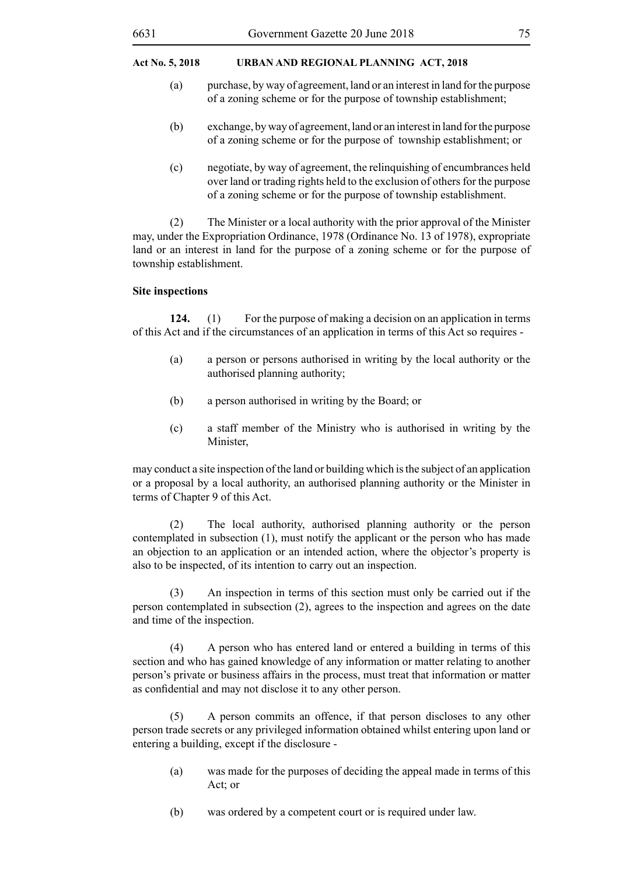- (a) purchase, by way of agreement, land or an interest in land for the purpose of a zoning scheme or for the purpose of township establishment;
- (b) exchange, by way of agreement, land or an interest in land for the purpose of a zoning scheme or for the purpose of township establishment; or
- (c) negotiate, by way of agreement, the relinquishing of encumbrances held over land or trading rights held to the exclusion of others for the purpose of a zoning scheme or for the purpose of township establishment.

(2) The Minister or a local authority with the prior approval of the Minister may, under the Expropriation Ordinance, 1978 (Ordinance No. 13 of 1978), expropriate land or an interest in land for the purpose of a zoning scheme or for the purpose of township establishment.

# **Site inspections**

**124.** (1) For the purpose of making a decision on an application in terms of this Act and if the circumstances of an application in terms of this Act so requires -

- (a) a person or persons authorised in writing by the local authority or the authorised planning authority;
- (b) a person authorised in writing by the Board; or
- (c) a staff member of the Ministry who is authorised in writing by the Minister,

may conduct a site inspection of the land or building which is the subject of an application or a proposal by a local authority, an authorised planning authority or the Minister in terms of Chapter 9 of this Act.

(2) The local authority, authorised planning authority or the person contemplated in subsection (1), must notify the applicant or the person who has made an objection to an application or an intended action, where the objector's property is also to be inspected, of its intention to carry out an inspection.

(3) An inspection in terms of this section must only be carried out if the person contemplated in subsection (2), agrees to the inspection and agrees on the date and time of the inspection.

(4) A person who has entered land or entered a building in terms of this section and who has gained knowledge of any information or matter relating to another person's private or business affairs in the process, must treat that information or matter as confidential and may not disclose it to any other person.

(5) A person commits an offence, if that person discloses to any other person trade secrets or any privileged information obtained whilst entering upon land or entering a building, except if the disclosure -

- (a) was made for the purposes of deciding the appeal made in terms of this Act; or
- (b) was ordered by a competent court or is required under law.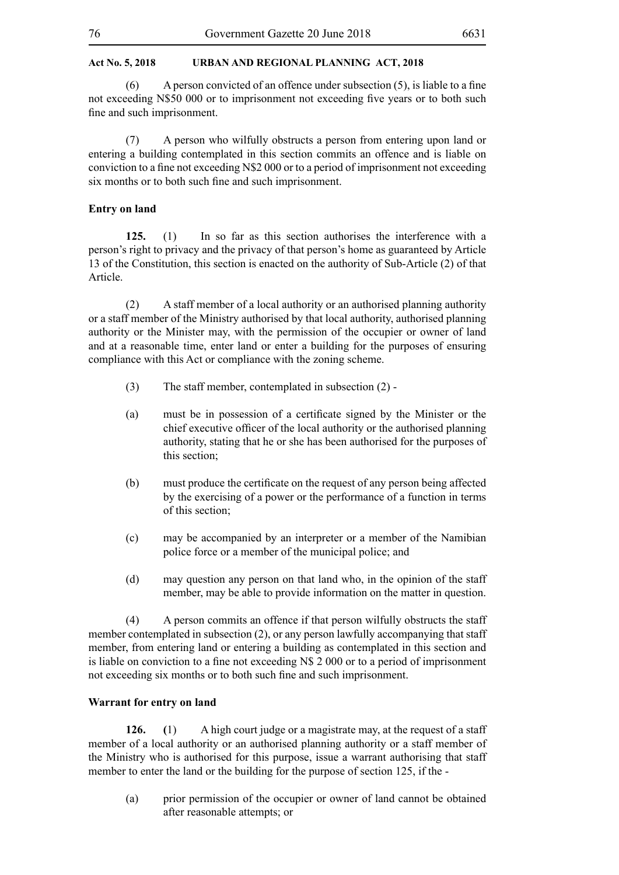(6) A person convicted of an offence under subsection  $(5)$ , is liable to a fine not exceeding N\$50 000 or to imprisonment not exceeding five years or to both such fine and such imprisonment.

(7) A person who wilfully obstructs a person from entering upon land or entering a building contemplated in this section commits an offence and is liable on conviction to a fine not exceeding N\$2 000 or to a period of imprisonment not exceeding six months or to both such fine and such imprisonment.

### **Entry on land**

**125.** (1) In so far as this section authorises the interference with a person's right to privacy and the privacy of that person's home as guaranteed by Article 13 of the Constitution, this section is enacted on the authority of Sub-Article (2) of that Article.

(2) A staff member of a local authority or an authorised planning authority or a staff member of the Ministry authorised by that local authority, authorised planning authority or the Minister may, with the permission of the occupier or owner of land and at a reasonable time, enter land or enter a building for the purposes of ensuring compliance with this Act or compliance with the zoning scheme.

- (3) The staff member, contemplated in subsection (2) -
- (a) must be in possession of a certificate signed by the Minister or the chief executive officer of the local authority or the authorised planning authority, stating that he or she has been authorised for the purposes of this section;
- (b) must produce the certificate on the request of any person being affected by the exercising of a power or the performance of a function in terms of this section;
- (c) may be accompanied by an interpreter or a member of the Namibian police force or a member of the municipal police; and
- (d) may question any person on that land who, in the opinion of the staff member, may be able to provide information on the matter in question.

(4) A person commits an offence if that person wilfully obstructs the staff member contemplated in subsection (2), or any person lawfully accompanying that staff member, from entering land or entering a building as contemplated in this section and is liable on conviction to a fine not exceeding N\$ 2 000 or to a period of imprisonment not exceeding six months or to both such fine and such imprisonment.

#### **Warrant for entry on land**

**126. (**1) A high court judge or a magistrate may, at the request of a staff member of a local authority or an authorised planning authority or a staff member of the Ministry who is authorised for this purpose, issue a warrant authorising that staff member to enter the land or the building for the purpose of section 125, if the -

(a) prior permission of the occupier or owner of land cannot be obtained after reasonable attempts; or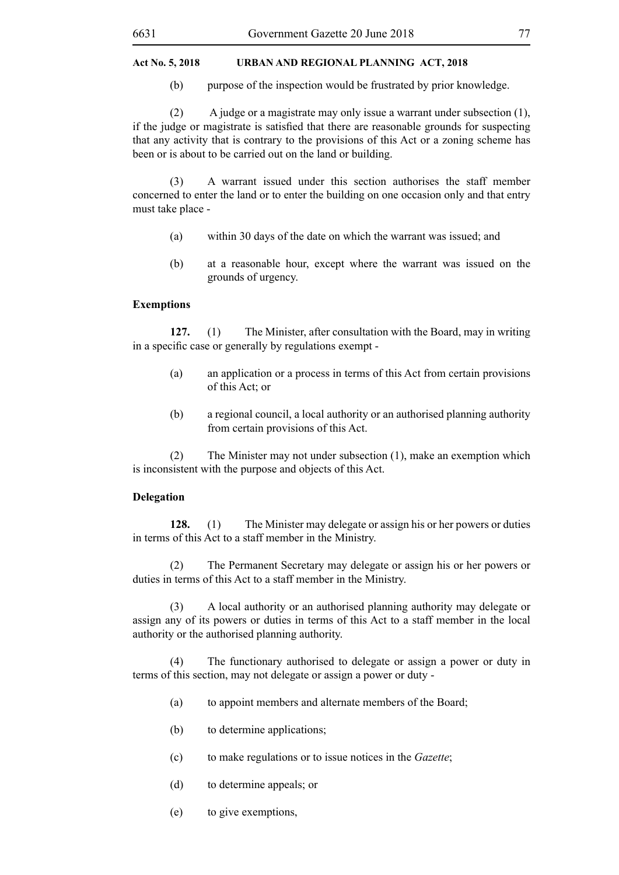(b) purpose of the inspection would be frustrated by prior knowledge.

(2) A judge or a magistrate may only issue a warrant under subsection (1), if the judge or magistrate is satisfied that there are reasonable grounds for suspecting that any activity that is contrary to the provisions of this Act or a zoning scheme has been or is about to be carried out on the land or building.

(3) A warrant issued under this section authorises the staff member concerned to enter the land or to enter the building on one occasion only and that entry must take place -

- (a) within 30 days of the date on which the warrant was issued; and
- (b) at a reasonable hour, except where the warrant was issued on the grounds of urgency.

# **Exemptions**

**127.** (1) The Minister, after consultation with the Board, may in writing in a specific case or generally by regulations exempt -

- (a) an application or a process in terms of this Act from certain provisions of this Act; or
- (b) a regional council, a local authority or an authorised planning authority from certain provisions of this Act.

(2) The Minister may not under subsection (1), make an exemption which is inconsistent with the purpose and objects of this Act.

# **Delegation**

**128.** (1) The Minister may delegate or assign his or her powers or duties in terms of this Act to a staff member in the Ministry.

(2) The Permanent Secretary may delegate or assign his or her powers or duties in terms of this Act to a staff member in the Ministry.

(3) A local authority or an authorised planning authority may delegate or assign any of its powers or duties in terms of this Act to a staff member in the local authority or the authorised planning authority.

(4) The functionary authorised to delegate or assign a power or duty in terms of this section, may not delegate or assign a power or duty -

- (a) to appoint members and alternate members of the Board;
- (b) to determine applications;
- (c) to make regulations or to issue notices in the *Gazette*;
- (d) to determine appeals; or
- (e) to give exemptions,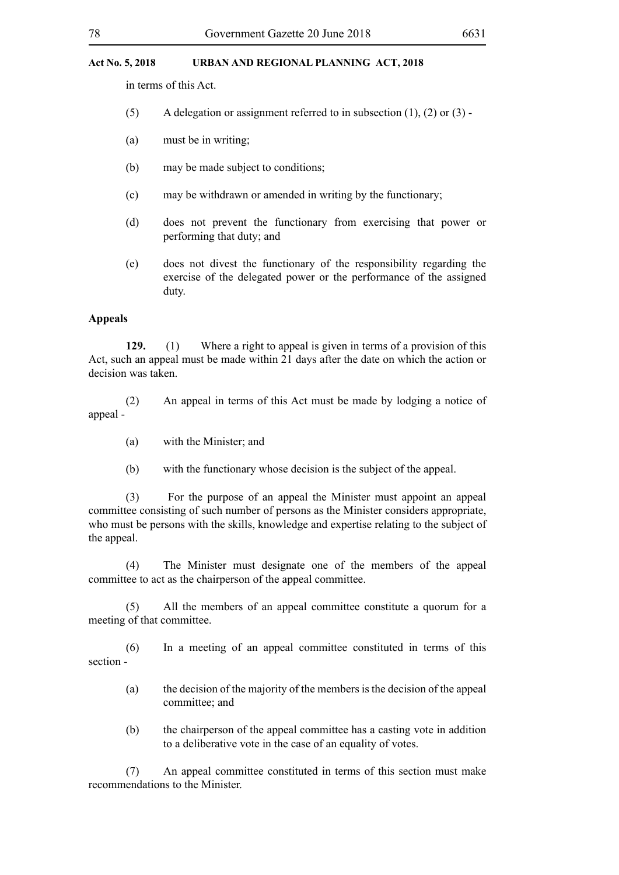in terms of this Act.

- (5) A delegation or assignment referred to in subsection  $(1)$ ,  $(2)$  or  $(3)$  -
- (a) must be in writing;
- (b) may be made subject to conditions;
- (c) may be withdrawn or amended in writing by the functionary;
- (d) does not prevent the functionary from exercising that power or performing that duty; and
- (e) does not divest the functionary of the responsibility regarding the exercise of the delegated power or the performance of the assigned duty.

#### **Appeals**

**129.** (1) Where a right to appeal is given in terms of a provision of this Act, such an appeal must be made within 21 days after the date on which the action or decision was taken.

(2) An appeal in terms of this Act must be made by lodging a notice of appeal -

- (a) with the Minister; and
- (b) with the functionary whose decision is the subject of the appeal.

(3) For the purpose of an appeal the Minister must appoint an appeal committee consisting of such number of persons as the Minister considers appropriate, who must be persons with the skills, knowledge and expertise relating to the subject of the appeal.

(4) The Minister must designate one of the members of the appeal committee to act as the chairperson of the appeal committee.

(5) All the members of an appeal committee constitute a quorum for a meeting of that committee.

(6) In a meeting of an appeal committee constituted in terms of this section -

- (a) the decision of the majority of the members is the decision of the appeal committee; and
- (b) the chairperson of the appeal committee has a casting vote in addition to a deliberative vote in the case of an equality of votes.

(7) An appeal committee constituted in terms of this section must make recommendations to the Minister.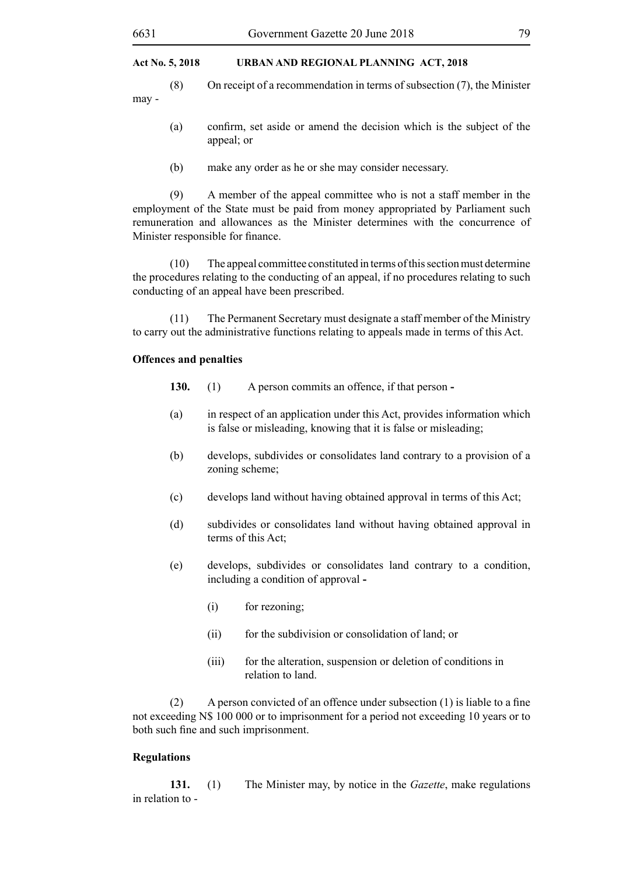(8) On receipt of a recommendation in terms of subsection (7), the Minister may -

- (a) confirm, set aside or amend the decision which is the subject of the appeal; or
- (b) make any order as he or she may consider necessary.

(9) A member of the appeal committee who is not a staff member in the employment of the State must be paid from money appropriated by Parliament such remuneration and allowances as the Minister determines with the concurrence of Minister responsible for finance.

(10) The appeal committee constituted in terms of this section must determine the procedures relating to the conducting of an appeal, if no procedures relating to such conducting of an appeal have been prescribed.

(11) The Permanent Secretary must designate a staff member of the Ministry to carry out the administrative functions relating to appeals made in terms of this Act.

# **Offences and penalties**

- **130.** (1) A person commits an offence, if that person **-**
- (a) in respect of an application under this Act, provides information which is false or misleading, knowing that it is false or misleading;
- (b) develops, subdivides or consolidates land contrary to a provision of a zoning scheme;
- (c) develops land without having obtained approval in terms of this Act;
- (d) subdivides or consolidates land without having obtained approval in terms of this Act;
- (e) develops, subdivides or consolidates land contrary to a condition, including a condition of approval **-**
	- (i) for rezoning;
	- (ii) for the subdivision or consolidation of land; or
	- (iii) for the alteration, suspension or deletion of conditions in relation to land.

(2) A person convicted of an offence under subsection (1) is liable to a fine not exceeding N\$ 100 000 or to imprisonment for a period not exceeding 10 years or to both such fine and such imprisonment.

#### **Regulations**

**131.** (1) The Minister may, by notice in the *Gazette*, make regulations in relation to -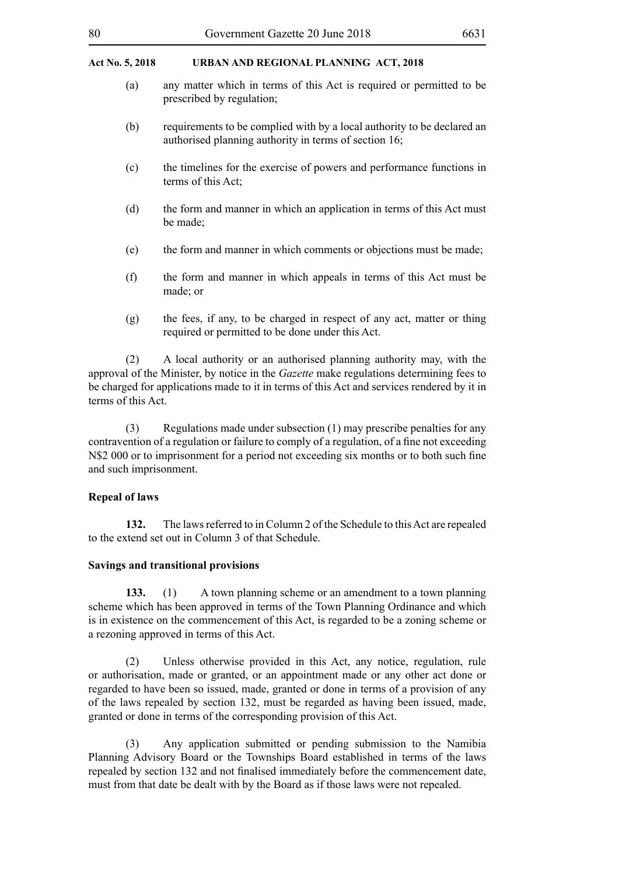- (a) any matter which in terms of this Act is required or permitted to be prescribed by regulation;
- (b) requirements to be complied with by a local authority to be declared an authorised planning authority in terms of section 16;
- (c) the timelines for the exercise of powers and performance functions in terms of this Act;
- (d) the form and manner in which an application in terms of this Act must be made;
- (e) the form and manner in which comments or objections must be made;
- (f) the form and manner in which appeals in terms of this Act must be made; or
- (g) the fees, if any, to be charged in respect of any act, matter or thing required or permitted to be done under this Act.

(2) A local authority or an authorised planning authority may, with the approval of the Minister, by notice in the *Gazette* make regulations determining fees to be charged for applications made to it in terms of this Act and services rendered by it in terms of this Act.

(3) Regulations made under subsection (1) may prescribe penalties for any contravention of a regulation or failure to comply of a regulation, of a fine not exceeding N\$2 000 or to imprisonment for a period not exceeding six months or to both such fine and such imprisonment.

# **Repeal of laws**

**132.** The laws referred to in Column 2 of the Schedule to this Act are repealed to the extend set out in Column 3 of that Schedule.

#### **Savings and transitional provisions**

**133.** (1) A town planning scheme or an amendment to a town planning scheme which has been approved in terms of the Town Planning Ordinance and which is in existence on the commencement of this Act, is regarded to be a zoning scheme or a rezoning approved in terms of this Act.

(2) Unless otherwise provided in this Act, any notice, regulation, rule or authorisation, made or granted, or an appointment made or any other act done or regarded to have been so issued, made, granted or done in terms of a provision of any of the laws repealed by section 132, must be regarded as having been issued, made, granted or done in terms of the corresponding provision of this Act.

(3) Any application submitted or pending submission to the Namibia Planning Advisory Board or the Townships Board established in terms of the laws repealed by section 132 and not finalised immediately before the commencement date, must from that date be dealt with by the Board as if those laws were not repealed.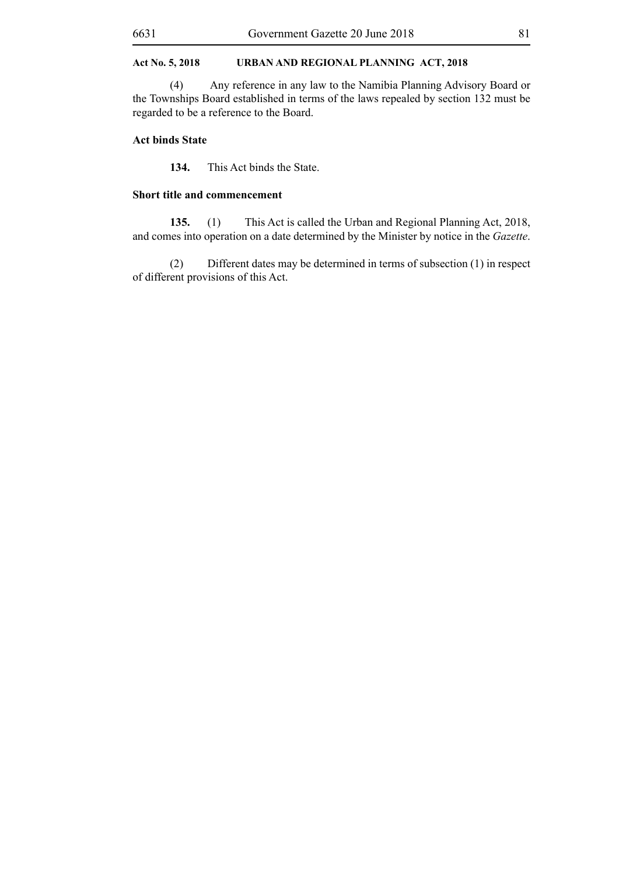(4) Any reference in any law to the Namibia Planning Advisory Board or the Townships Board established in terms of the laws repealed by section 132 must be regarded to be a reference to the Board.

# **Act binds State**

**134.** This Act binds the State.

# **Short title and commencement**

**135.** (1) This Act is called the Urban and Regional Planning Act, 2018, and comes into operation on a date determined by the Minister by notice in the *Gazette*.

(2) Different dates may be determined in terms of subsection (1) in respect of different provisions of this Act.